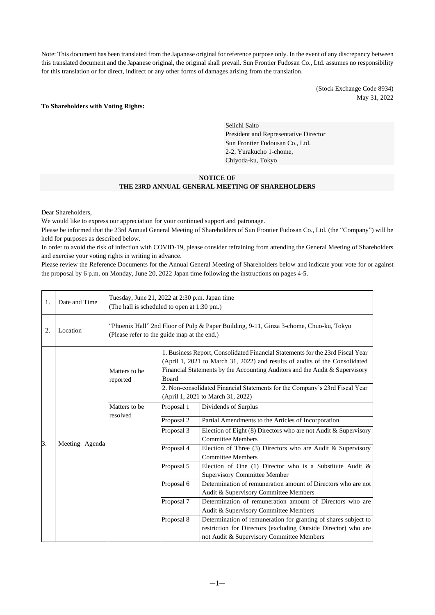Note: This document has been translated from the Japanese original for reference purpose only. In the event of any discrepancy between this translated document and the Japanese original, the original shall prevail. Sun Frontier Fudosan Co., Ltd. assumes no responsibility for this translation or for direct, indirect or any other forms of damages arising from the translation.

> (Stock Exchange Code 8934) May 31, 2022

#### **To Shareholders with Voting Rights:**

Seiichi Saito President and Representative Director Sun Frontier Fudousan Co., Ltd. 2-2, Yurakucho 1-chome, Chiyoda-ku, Tokyo

## **NOTICE OF**

#### **THE 23RD ANNUAL GENERAL MEETING OF SHAREHOLDERS**

Dear Shareholders,

We would like to express our appreciation for your continued support and patronage.

Please be informed that the 23rd Annual General Meeting of Shareholders of Sun Frontier Fudosan Co., Ltd. (the "Company") will be held for purposes as described below.

In order to avoid the risk of infection with COVID-19, please consider refraining from attending the General Meeting of Shareholders and exercise your voting rights in writing in advance.

Please review the Reference Documents for the Annual General Meeting of Shareholders below and indicate your vote for or against the proposal by 6 p.m. on Monday, June 20, 2022 Japan time following the instructions on pages 4-5.

| 1. | Date and Time  | Tuesday, June 21, 2022 at 2:30 p.m. Japan time<br>(The hall is scheduled to open at 1:30 pm.)                                         |                                                                                                                                                                                                                                                                                                                                                                           |                                                                                                                                                                                |
|----|----------------|---------------------------------------------------------------------------------------------------------------------------------------|---------------------------------------------------------------------------------------------------------------------------------------------------------------------------------------------------------------------------------------------------------------------------------------------------------------------------------------------------------------------------|--------------------------------------------------------------------------------------------------------------------------------------------------------------------------------|
| 2. | Location       | "Phoenix Hall" 2nd Floor of Pulp & Paper Building, 9-11, Ginza 3-chome, Chuo-ku, Tokyo<br>(Please refer to the guide map at the end.) |                                                                                                                                                                                                                                                                                                                                                                           |                                                                                                                                                                                |
|    | Meeting Agenda | Matters to be<br>reported                                                                                                             | 1. Business Report, Consolidated Financial Statements for the 23rd Fiscal Year<br>(April 1, 2021 to March 31, 2022) and results of audits of the Consolidated<br>Financial Statements by the Accounting Auditors and the Audit & Supervisory<br>Board<br>2. Non-consolidated Financial Statements for the Company's 23rd Fiscal Year<br>(April 1, 2021 to March 31, 2022) |                                                                                                                                                                                |
|    |                | Matters to be                                                                                                                         | Proposal 1                                                                                                                                                                                                                                                                                                                                                                | Dividends of Surplus                                                                                                                                                           |
| 3. |                | resolved                                                                                                                              | Proposal 2                                                                                                                                                                                                                                                                                                                                                                | Partial Amendments to the Articles of Incorporation                                                                                                                            |
|    |                |                                                                                                                                       | Proposal 3                                                                                                                                                                                                                                                                                                                                                                | Election of Eight (8) Directors who are not Audit & Supervisory<br><b>Committee Members</b>                                                                                    |
|    |                |                                                                                                                                       | Proposal 4                                                                                                                                                                                                                                                                                                                                                                | Election of Three $(3)$ Directors who are Audit & Supervisory<br><b>Committee Members</b>                                                                                      |
|    |                |                                                                                                                                       | Proposal 5                                                                                                                                                                                                                                                                                                                                                                | Election of One (1) Director who is a Substitute Audit $\&$<br><b>Supervisory Committee Member</b>                                                                             |
|    |                |                                                                                                                                       | Proposal 6                                                                                                                                                                                                                                                                                                                                                                | Determination of remuneration amount of Directors who are not<br>Audit & Supervisory Committee Members                                                                         |
|    |                |                                                                                                                                       | Proposal 7                                                                                                                                                                                                                                                                                                                                                                | Determination of remuneration amount of Directors who are<br>Audit & Supervisory Committee Members                                                                             |
|    |                |                                                                                                                                       | Proposal 8                                                                                                                                                                                                                                                                                                                                                                | Determination of remuneration for granting of shares subject to<br>restriction for Directors (excluding Outside Director) who are<br>not Audit & Supervisory Committee Members |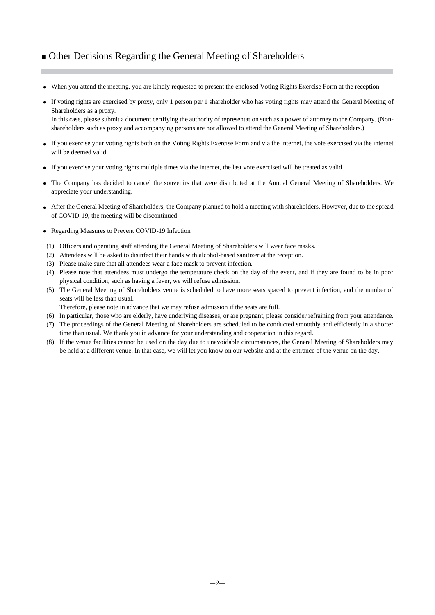# ■ Other Decisions Regarding the General Meeting of Shareholders

- When you attend the meeting, you are kindly requested to present the enclosed Voting Rights Exercise Form at the reception.
- If voting rights are exercised by proxy, only 1 person per 1 shareholder who has voting rights may attend the General Meeting of Shareholders as a proxy. In this case, please submit a document certifying the authority of representation such as a power of attorney to the Company. (Nonshareholders such as proxy and accompanying persons are not allowed to attend the General Meeting of Shareholders.)
- If you exercise your voting rights both on the Voting Rights Exercise Form and via the internet, the vote exercised via the internet will be deemed valid.
- If you exercise your voting rights multiple times via the internet, the last vote exercised will be treated as valid.
- The Company has decided to cancel the souvenirs that were distributed at the Annual General Meeting of Shareholders. We appreciate your understanding.
- After the General Meeting of Shareholders, the Company planned to hold a meeting with shareholders. However, due to the spread of COVID-19, the meeting will be discontinued.
- Regarding Measures to Prevent COVID-19 Infection
- (1) Officers and operating staff attending the General Meeting of Shareholders will wear face masks.
- (2) Attendees will be asked to disinfect their hands with alcohol-based sanitizer at the reception.
- (3) Please make sure that all attendees wear a face mask to prevent infection.
- (4) Please note that attendees must undergo the temperature check on the day of the event, and if they are found to be in poor physical condition, such as having a fever, we will refuse admission.
- (5) The General Meeting of Shareholders venue is scheduled to have more seats spaced to prevent infection, and the number of seats will be less than usual.
	- Therefore, please note in advance that we may refuse admission if the seats are full.
- (6) In particular, those who are elderly, have underlying diseases, or are pregnant, please consider refraining from your attendance.
- (7) The proceedings of the General Meeting of Shareholders are scheduled to be conducted smoothly and efficiently in a shorter time than usual. We thank you in advance for your understanding and cooperation in this regard.
- (8) If the venue facilities cannot be used on the day due to unavoidable circumstances, the General Meeting of Shareholders may be held at a different venue. In that case, we will let you know on our website and at the entrance of the venue on the day.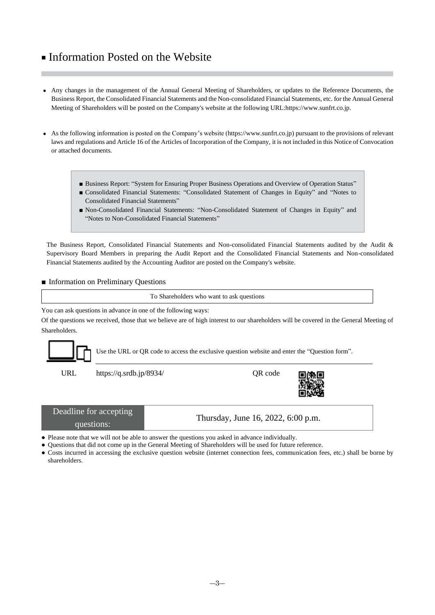# ■ Information Posted on the Website

- Any changes in the management of the Annual General Meeting of Shareholders, or updates to the Reference Documents, the Business Report, the Consolidated Financial Statements and the Non-consolidated Financial Statements, etc. for the Annual General Meeting of Shareholders will be posted on the Company's website at the following UR[L:https://www.sunfrt.co.jp.](https://www.sunfrt.co.jp/)
- As the following information is posted on the Company's website [\(https://www.sunfrt.co.jp\)](https://www.sunfrt.co.jp/) pursuant to the provisions of relevant laws and regulations and Article 16 of the Articles of Incorporation of the Company, it is not included in this Notice of Convocation or attached documents.
	- Business Report: "System for Ensuring Proper Business Operations and Overview of Operation Status"
	- Consolidated Financial Statements: "Consolidated Statement of Changes in Equity" and "Notes to Consolidated Financial Statements"
	- Non-Consolidated Financial Statements: "Non-Consolidated Statement of Changes in Equity" and "Notes to Non-Consolidated Financial Statements"

The Business Report, Consolidated Financial Statements and Non-consolidated Financial Statements audited by the Audit & Supervisory Board Members in preparing the Audit Report and the Consolidated Financial Statements and Non-consolidated Financial Statements audited by the Accounting Auditor are posted on the Company's website.

### ■ Information on Preliminary Questions

To Shareholders who want to ask questions

You can ask questions in advance in one of the following ways:

Of the questions we received, those that we believe are of high interest to our shareholders will be covered in the General Meeting of Shareholders.



Use the URL or QR code to access the exclusive question website and enter the "Question form".

URL https://q.srdb.jp/8934/ QR code



| Deadline for accepting | Thursday, June 16, 2022, 6:00 p.m. |
|------------------------|------------------------------------|
| questions:             |                                    |

● Please note that we will not be able to answer the questions you asked in advance individually.

● Questions that did not come up in the General Meeting of Shareholders will be used for future reference.

● Costs incurred in accessing the exclusive question website (internet connection fees, communication fees, etc.) shall be borne by shareholders.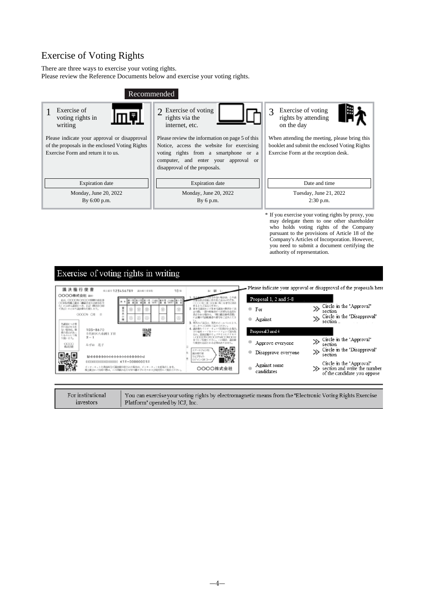# Exercise of Voting Rights

There are three ways to exercise your voting rights.

Please review the Reference Documents below and exercise your voting rights.

| Recommended                                                                                                                          |                                                                                                                                                                                                               |                                                                                                                                        |  |  |
|--------------------------------------------------------------------------------------------------------------------------------------|---------------------------------------------------------------------------------------------------------------------------------------------------------------------------------------------------------------|----------------------------------------------------------------------------------------------------------------------------------------|--|--|
| Exercise of<br>1日<br>voting rights in<br>writing                                                                                     | 2 Exercise of voting<br>rights via the<br>internet, etc.                                                                                                                                                      | Exercise of voting<br>rights by attending<br>on the day                                                                                |  |  |
| Please indicate your approval or disapproval<br>of the proposals in the enclosed Voting Rights<br>Exercise Form and return it to us. | Please review the information on page 5 of this<br>Notice, access the website for exercising<br>voting rights from a smartphone or a<br>computer, and enter your approval or<br>disapproval of the proposals. | When attending the meeting, please bring this<br>booklet and submit the enclosed Voting Rights<br>Exercise Form at the reception desk. |  |  |
| <b>Expiration</b> date                                                                                                               | <b>Expiration</b> date                                                                                                                                                                                        | Date and time                                                                                                                          |  |  |
| Monday, June 20, 2022                                                                                                                | Monday, June 20, 2022                                                                                                                                                                                         | Tuesday, June 21, 2022                                                                                                                 |  |  |
| By 6:00 p.m.                                                                                                                         | By $6$ p.m.                                                                                                                                                                                                   | $2:30$ p.m.                                                                                                                            |  |  |
|                                                                                                                                      | * If you exercise your voting rights by proxy, you                                                                                                                                                            |                                                                                                                                        |  |  |

may delegate them to one other shareholder who holds voting rights of the Company pursuant to the provisions of Article 18 of the Company's Articles of Incorporation. However, you need to submit a document certifying the authority of representation.

|                                                      | Exercise of voting rights in writing                                                                                          |                                                                                |                            |                                                                                         |
|------------------------------------------------------|-------------------------------------------------------------------------------------------------------------------------------|--------------------------------------------------------------------------------|----------------------------|-----------------------------------------------------------------------------------------|
| 議決権行使書<br>OOOO株式会社 are<br><b>COONOSCO ISBRAGES</b>   | RISU 123456789<br>議決権行使辞数<br>[통시] GISS 통기<br>중통하운 (201                                                                        | 10 <sup>th</sup><br>朝 1-<br>おたるごとにいたがき                                         | Proposal 1, 2 and 5-8      | Please indicate your approval or disapproval of the proposals here                      |
| 61 EMPGERCOS, ES (BARCKE<br>ており)のとおり温泉最も引線します。       | <b>MO GRADE EXHIBITION</b>                                                                                                    | 2012/02/20 02:08 11:1                                                          | For<br>m                   | Circle in the "Approval"<br>section                                                     |
| 外国語シット性                                              | OOO04 Cff ft<br>ø                                                                                                             | 新設は、第月のボールペンピュリ、                                                               | 中<br>Against               | Circle in the "Disapproval"<br>section                                                  |
| Keylishe k.h.<br>St. 40062, 19<br>成り返しいるい<br>たものとして取 | 103-8670<br>饕<br>千代田区八面洞1丁目                                                                                                   | はっきりえ口印をご記入ください。<br>インターリョトでお投される場合、<br>コードをスマートフォン CHA&<br>防風送観のり 。アサイトにアクセス  | Proposal 3 and 4           |                                                                                         |
| り取ります。<br>0000                                       | $2 - 1$<br>みずは 花子                                                                                                             | <b>X PICHICK STYLET BEX X 32</b><br>トウヒごも除ください。この場の、湯込む<br>2002年9月3日にもの間はありません | ۰<br>Approve everyone      | Circle in the "Approval"<br>section                                                     |
|                                                      |                                                                                                                               | スマートフォン田<br>属决理行徒<br>ウェブサイト                                                    | Disapprove everyone<br>囐   | Circle in the "Disapproval"<br>section                                                  |
|                                                      | 03000300030000000000 K1Y-00000001#<br>インターテットと表面的方式認知時が聞きれた場合は、インターテットを有効とします。<br>株主新会にご内容の数は、この情報の在岸を切り継ぎすにそのまま会場受付にご案内ください。 | DZ4'J OE<br>0000株式会社                                                           | Against some<br>candidates | Circle in the "Approval"<br>section and write the number<br>of the candidate you oppose |

| For institutional |  |
|-------------------|--|
| mvestors          |  |

You can exercise your voting rights by electromagnetic means from the "Electronic Voting Rights Exercise Platform" operated by ICJ, Inc.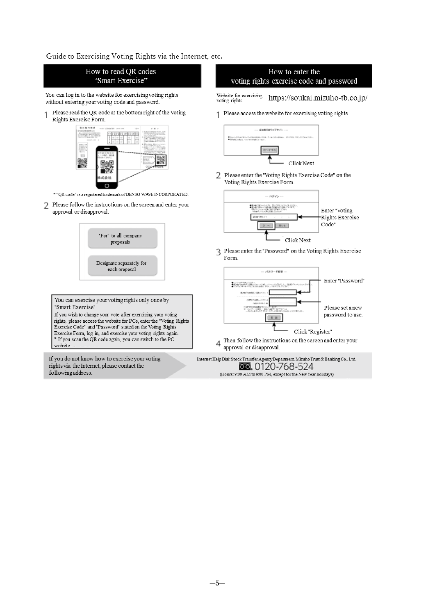Guide to Exercising Voting Rights via the Internet, etc.

following address



 $-5-$ 

(Hours: 9:00 AM to 9:00 PM, except for the New Year holidays)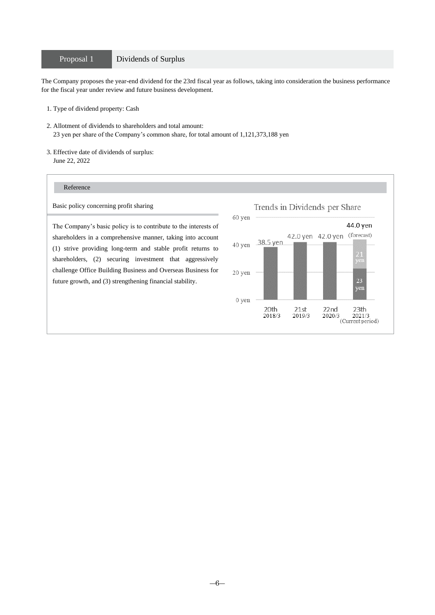## Proposal 1 Dividends of Surplus

The Company proposes the year-end dividend for the 23rd fiscal year as follows, taking into consideration the business performance for the fiscal year under review and future business development.

- 1. Type of dividend property: Cash
- 2. Allotment of dividends to shareholders and total amount: 23 yen per share of the Company's common share, for total amount of 1,121,373,188 yen
- 3. Effective date of dividends of surplus: June 22, 2022

### Reference

Basic policy concerning profit sharing

The Company's basic policy is to contribute to the interests of shareholders in a comprehensive manner, taking into account (1) strive providing long-term and stable profit returns to shareholders, (2) securing investment that aggressively challenge Office Building Business and Overseas Business for future growth, and (3) strengthening financial stability.

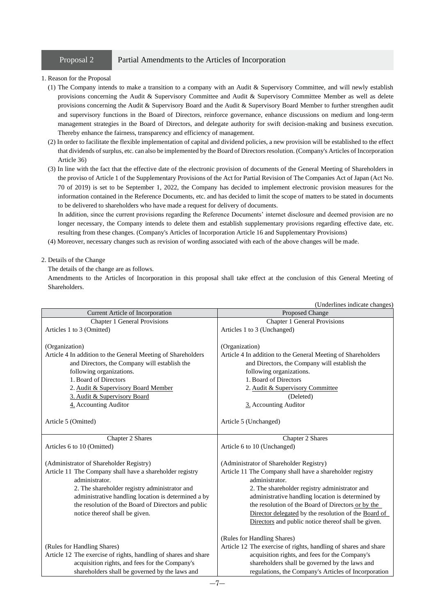## Proposal 2 Partial Amendments to the Articles of Incorporation

#### 1. Reason for the Proposal

- (1) The Company intends to make a transition to a company with an Audit & Supervisory Committee, and will newly establish provisions concerning the Audit & Supervisory Committee and Audit & Supervisory Committee Member as well as delete provisions concerning the Audit & Supervisory Board and the Audit & Supervisory Board Member to further strengthen audit and supervisory functions in the Board of Directors, reinforce governance, enhance discussions on medium and long-term management strategies in the Board of Directors, and delegate authority for swift decision-making and business execution. Thereby enhance the fairness, transparency and efficiency of management.
- (2) In order to facilitate the flexible implementation of capital and dividend policies, a new provision will be established to the effect that dividends of surplus, etc. can also be implemented by the Board of Directors resolution. (Company's Articles of Incorporation Article 36)
- (3) In line with the fact that the effective date of the electronic provision of documents of the General Meeting of Shareholders in the proviso of Article 1 of the Supplementary Provisions of the Act for Partial Revision of The Companies Act of Japan (Act No. 70 of 2019) is set to be September 1, 2022, the Company has decided to implement electronic provision measures for the information contained in the Reference Documents, etc. and has decided to limit the scope of matters to be stated in documents to be delivered to shareholders who have made a request for delivery of documents.

In addition, since the current provisions regarding the Reference Documents' internet disclosure and deemed provision are no longer necessary, the Company intends to delete them and establish supplementary provisions regarding effective date, etc. resulting from these changes. (Company's Articles of Incorporation Article 16 and Supplementary Provisions)

(4) Moreover, necessary changes such as revision of wording associated with each of the above changes will be made.

#### 2. Details of the Change

#### The details of the change are as follows.

Amendments to the Articles of Incorporation in this proposal shall take effect at the conclusion of this General Meeting of Shareholders.

|                                                                                                                                                                                                                                                                                                                        | (Underlines indicate changes)                                                                                                                                                                                                                                                                                                                                                                    |  |
|------------------------------------------------------------------------------------------------------------------------------------------------------------------------------------------------------------------------------------------------------------------------------------------------------------------------|--------------------------------------------------------------------------------------------------------------------------------------------------------------------------------------------------------------------------------------------------------------------------------------------------------------------------------------------------------------------------------------------------|--|
| Current Article of Incorporation                                                                                                                                                                                                                                                                                       | Proposed Change                                                                                                                                                                                                                                                                                                                                                                                  |  |
| Chapter 1 General Provisions                                                                                                                                                                                                                                                                                           | <b>Chapter 1 General Provisions</b>                                                                                                                                                                                                                                                                                                                                                              |  |
| Articles 1 to 3 (Omitted)                                                                                                                                                                                                                                                                                              | Articles 1 to 3 (Unchanged)                                                                                                                                                                                                                                                                                                                                                                      |  |
| (Organization)<br>Article 4 In addition to the General Meeting of Shareholders<br>and Directors, the Company will establish the<br>following organizations.<br>1. Board of Directors<br>2. Audit & Supervisory Board Member<br>3. Audit & Supervisory Board<br>4. Accounting Auditor                                   | (Organization)<br>Article 4 In addition to the General Meeting of Shareholders<br>and Directors, the Company will establish the<br>following organizations.<br>1. Board of Directors<br>2. Audit & Supervisory Committee<br>(Deleted)<br>3. Accounting Auditor                                                                                                                                   |  |
| Article 5 (Omitted)                                                                                                                                                                                                                                                                                                    | Article 5 (Unchanged)                                                                                                                                                                                                                                                                                                                                                                            |  |
| Chapter 2 Shares                                                                                                                                                                                                                                                                                                       | Chapter 2 Shares                                                                                                                                                                                                                                                                                                                                                                                 |  |
| Articles 6 to 10 (Omitted)                                                                                                                                                                                                                                                                                             | Article 6 to 10 (Unchanged)                                                                                                                                                                                                                                                                                                                                                                      |  |
| (Administrator of Shareholder Registry)<br>Article 11 The Company shall have a shareholder registry<br>administrator.<br>2. The shareholder registry administrator and<br>administrative handling location is determined a by<br>the resolution of the Board of Directors and public<br>notice thereof shall be given. | (Administrator of Shareholder Registry)<br>Article 11 The Company shall have a shareholder registry<br>administrator.<br>2. The shareholder registry administrator and<br>administrative handling location is determined by<br>the resolution of the Board of Directors or by the<br>Director delegated by the resolution of the Board of<br>Directors and public notice thereof shall be given. |  |
| (Rules for Handling Shares)<br>Article 12 The exercise of rights, handling of shares and share<br>acquisition rights, and fees for the Company's<br>shareholders shall be governed by the laws and                                                                                                                     | (Rules for Handling Shares)<br>Article 12 The exercise of rights, handling of shares and share<br>acquisition rights, and fees for the Company's<br>shareholders shall be governed by the laws and<br>regulations, the Company's Articles of Incorporation                                                                                                                                       |  |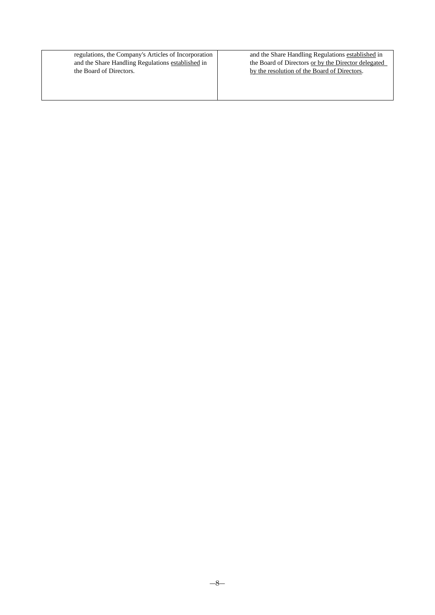regulations, the Company's Articles of Incorporation and the Share Handling Regulations established in the Board of Directors.

and the Share Handling Regulations established in the Board of Directors or by the Director delegated by the resolution of the Board of Directors.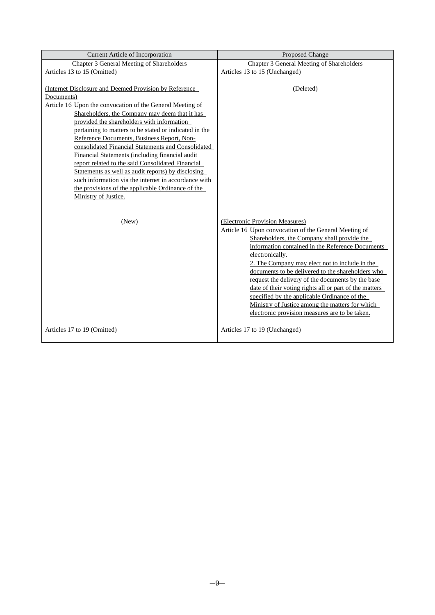| Current Article of Incorporation                                                                                                                                                                                                                                                                                                                                                                                                                                                                                                                                                                                       | Proposed Change                                                                                                                                                                                                                                                                                                                                                                                                                                                                                                                                                                           |
|------------------------------------------------------------------------------------------------------------------------------------------------------------------------------------------------------------------------------------------------------------------------------------------------------------------------------------------------------------------------------------------------------------------------------------------------------------------------------------------------------------------------------------------------------------------------------------------------------------------------|-------------------------------------------------------------------------------------------------------------------------------------------------------------------------------------------------------------------------------------------------------------------------------------------------------------------------------------------------------------------------------------------------------------------------------------------------------------------------------------------------------------------------------------------------------------------------------------------|
| Chapter 3 General Meeting of Shareholders                                                                                                                                                                                                                                                                                                                                                                                                                                                                                                                                                                              | Chapter 3 General Meeting of Shareholders                                                                                                                                                                                                                                                                                                                                                                                                                                                                                                                                                 |
| Articles 13 to 15 (Omitted)                                                                                                                                                                                                                                                                                                                                                                                                                                                                                                                                                                                            | Articles 13 to 15 (Unchanged)                                                                                                                                                                                                                                                                                                                                                                                                                                                                                                                                                             |
| (Internet Disclosure and Deemed Provision by Reference)<br>Documents)<br>Article 16 Upon the convocation of the General Meeting of<br>Shareholders, the Company may deem that it has<br>provided the shareholders with information<br>pertaining to matters to be stated or indicated in the<br>Reference Documents, Business Report, Non-<br>consolidated Financial Statements and Consolidated<br>Financial Statements (including financial audit<br>report related to the said Consolidated Financial<br>Statements as well as audit reports) by disclosing<br>such information via the internet in accordance with | (Deleted)                                                                                                                                                                                                                                                                                                                                                                                                                                                                                                                                                                                 |
| the provisions of the applicable Ordinance of the                                                                                                                                                                                                                                                                                                                                                                                                                                                                                                                                                                      |                                                                                                                                                                                                                                                                                                                                                                                                                                                                                                                                                                                           |
| Ministry of Justice.<br>(New)                                                                                                                                                                                                                                                                                                                                                                                                                                                                                                                                                                                          | (Electronic Provision Measures)<br>Article 16 Upon convocation of the General Meeting of<br>Shareholders, the Company shall provide the<br>information contained in the Reference Documents<br>electronically.<br>2. The Company may elect not to include in the<br>documents to be delivered to the shareholders who<br>request the delivery of the documents by the base<br>date of their voting rights all or part of the matters<br>specified by the applicable Ordinance of the<br>Ministry of Justice among the matters for which<br>electronic provision measures are to be taken. |
| Articles 17 to 19 (Omitted)                                                                                                                                                                                                                                                                                                                                                                                                                                                                                                                                                                                            | Articles 17 to 19 (Unchanged)                                                                                                                                                                                                                                                                                                                                                                                                                                                                                                                                                             |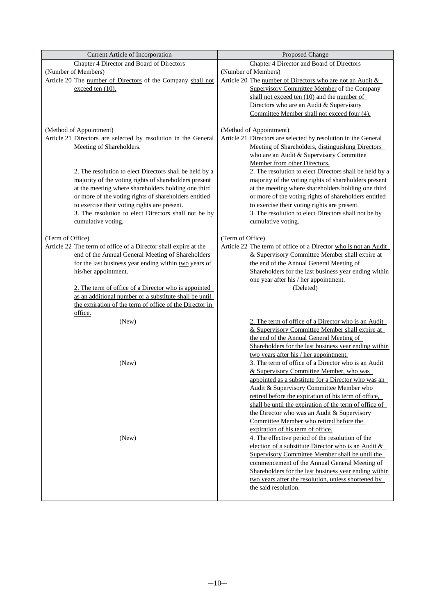| Current Article of Incorporation                                | Proposed Change                                                 |
|-----------------------------------------------------------------|-----------------------------------------------------------------|
| Chapter 4 Director and Board of Directors                       | Chapter 4 Director and Board of Directors                       |
| (Number of Members)                                             | (Number of Members)                                             |
| Article 20 The number of Directors of the Company shall not     | Article 20 The number of Directors who are not an Audit &       |
| exceed ten (10).                                                | <b>Supervisory Committee Member of the Company</b>              |
|                                                                 | shall not exceed ten (10) and the number of                     |
|                                                                 | Directors who are an Audit & Supervisory                        |
|                                                                 | Committee Member shall not exceed four (4).                     |
|                                                                 |                                                                 |
| (Method of Appointment)                                         | (Method of Appointment)                                         |
| Article 21 Directors are selected by resolution in the General  | Article 21 Directors are selected by resolution in the General  |
| Meeting of Shareholders.                                        | Meeting of Shareholders, distinguishing Directors               |
|                                                                 | who are an Audit & Supervisory Committee                        |
|                                                                 | Member from other Directors.                                    |
| 2. The resolution to elect Directors shall be held by a         | 2. The resolution to elect Directors shall be held by a         |
| majority of the voting rights of shareholders present           | majority of the voting rights of shareholders present           |
| at the meeting where shareholders holding one third             | at the meeting where shareholders holding one third             |
| or more of the voting rights of shareholders entitled           | or more of the voting rights of shareholders entitled           |
| to exercise their voting rights are present.                    | to exercise their voting rights are present.                    |
| 3. The resolution to elect Directors shall not be by            | 3. The resolution to elect Directors shall not be by            |
| cumulative voting.                                              | cumulative voting.                                              |
|                                                                 |                                                                 |
| (Term of Office)                                                | (Term of Office)                                                |
| Article 22 The term of office of a Director shall expire at the | Article 22 The term of office of a Director who is not an Audit |
| end of the Annual General Meeting of Shareholders               | & Supervisory Committee Member shall expire at                  |
| for the last business year ending within two years of           | the end of the Annual General Meeting of                        |
| his/her appointment.                                            | Shareholders for the last business year ending within           |
|                                                                 | one year after his / her appointment.                           |
| 2. The term of office of a Director who is appointed            | (Deleted)                                                       |
| as an additional number or a substitute shall be until          |                                                                 |
| the expiration of the term of office of the Director in         |                                                                 |
| office.                                                         |                                                                 |
| (New)                                                           | 2. The term of office of a Director who is an Audit             |
|                                                                 | & Supervisory Committee Member shall expire at                  |
|                                                                 | the end of the Annual General Meeting of                        |
|                                                                 | Shareholders for the last business year ending within           |
|                                                                 | two years after his / her appointment.                          |
| (New)                                                           | 3. The term of office of a Director who is an Audit             |
|                                                                 | & Supervisory Committee Member, who was                         |
|                                                                 | appointed as a substitute for a Director who was an             |
|                                                                 | <b>Audit &amp; Supervisory Committee Member who</b>             |
|                                                                 | retired before the expiration of his term of office.            |
|                                                                 | shall be until the expiration of the term of office of          |
|                                                                 | the Director who was an Audit & Supervisory                     |
|                                                                 | Committee Member who retired before the                         |
|                                                                 | expiration of his term of office.                               |
| (New)                                                           | 4. The effective period of the resolution of the                |
|                                                                 | election of a substitute Director who is an Audit &             |
|                                                                 | Supervisory Committee Member shall be until the                 |
|                                                                 | commencement of the Annual General Meeting of                   |
|                                                                 | Shareholders for the last business year ending within           |
|                                                                 | two years after the resolution, unless shortened by             |
|                                                                 | the said resolution.                                            |
|                                                                 |                                                                 |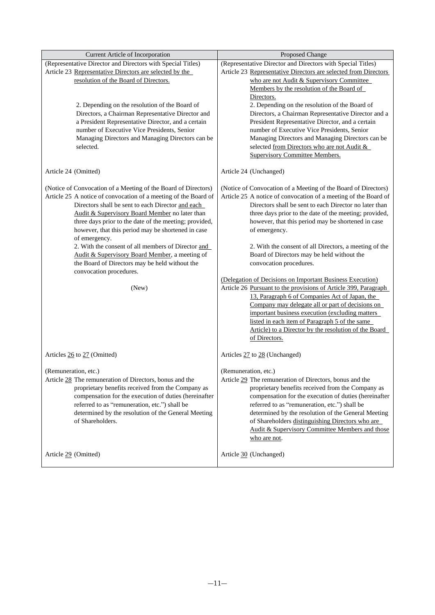| Current Article of Incorporation                                                                       | Proposed Change                                                                                                              |  |
|--------------------------------------------------------------------------------------------------------|------------------------------------------------------------------------------------------------------------------------------|--|
| (Representative Director and Directors with Special Titles)                                            | (Representative Director and Directors with Special Titles)                                                                  |  |
| Article 23 Representative Directors are selected by the                                                | Article 23 Representative Directors are selected from Directors                                                              |  |
| resolution of the Board of Directors.                                                                  | who are not Audit & Supervisory Committee                                                                                    |  |
|                                                                                                        | Members by the resolution of the Board of                                                                                    |  |
|                                                                                                        | Directors.                                                                                                                   |  |
| 2. Depending on the resolution of the Board of                                                         | 2. Depending on the resolution of the Board of                                                                               |  |
| Directors, a Chairman Representative Director and                                                      | Directors, a Chairman Representative Director and a                                                                          |  |
| a President Representative Director, and a certain                                                     | President Representative Director, and a certain                                                                             |  |
| number of Executive Vice Presidents, Senior                                                            | number of Executive Vice Presidents, Senior                                                                                  |  |
| Managing Directors and Managing Directors can be                                                       | Managing Directors and Managing Directors can be                                                                             |  |
| selected.                                                                                              | selected from Directors who are not Audit &<br><b>Supervisory Committee Members.</b>                                         |  |
|                                                                                                        |                                                                                                                              |  |
| Article 24 (Omitted)                                                                                   | Article 24 (Unchanged)                                                                                                       |  |
| (Notice of Convocation of a Meeting of the Board of Directors)                                         | (Notice of Convocation of a Meeting of the Board of Directors)                                                               |  |
| Article 25 A notice of convocation of a meeting of the Board of                                        | Article 25 A notice of convocation of a meeting of the Board of                                                              |  |
| Directors shall be sent to each Director and each                                                      | Directors shall be sent to each Director no later than                                                                       |  |
| Audit & Supervisory Board Member no later than                                                         | three days prior to the date of the meeting; provided,                                                                       |  |
| three days prior to the date of the meeting; provided,                                                 | however, that this period may be shortened in case                                                                           |  |
| however, that this period may be shortened in case                                                     | of emergency.                                                                                                                |  |
| of emergency.                                                                                          |                                                                                                                              |  |
| 2. With the consent of all members of Director and                                                     | 2. With the consent of all Directors, a meeting of the                                                                       |  |
| Audit & Supervisory Board Member, a meeting of                                                         | Board of Directors may be held without the                                                                                   |  |
| the Board of Directors may be held without the                                                         | convocation procedures.                                                                                                      |  |
| convocation procedures.                                                                                |                                                                                                                              |  |
| (New)                                                                                                  | (Delegation of Decisions on Important Business Execution)<br>Article 26 Pursuant to the provisions of Article 399, Paragraph |  |
|                                                                                                        | 13, Paragraph 6 of Companies Act of Japan, the                                                                               |  |
|                                                                                                        | Company may delegate all or part of decisions on                                                                             |  |
|                                                                                                        | important business execution (excluding matters                                                                              |  |
|                                                                                                        | listed in each item of Paragraph 5 of the same                                                                               |  |
|                                                                                                        | Article) to a Director by the resolution of the Board                                                                        |  |
|                                                                                                        | of Directors.                                                                                                                |  |
| Articles 26 to 27 (Omitted)                                                                            | Articles 27 to 28 (Unchanged)                                                                                                |  |
|                                                                                                        |                                                                                                                              |  |
| (Remuneration, etc.)                                                                                   | (Remuneration, etc.)                                                                                                         |  |
| Article 28 The remuneration of Directors, bonus and the                                                | Article 29 The remuneration of Directors, bonus and the                                                                      |  |
| proprietary benefits received from the Company as                                                      | proprietary benefits received from the Company as                                                                            |  |
| compensation for the execution of duties (hereinafter<br>referred to as "remuneration, etc.") shall be | compensation for the execution of duties (hereinafter<br>referred to as "remuneration, etc.") shall be                       |  |
| determined by the resolution of the General Meeting                                                    | determined by the resolution of the General Meeting                                                                          |  |
| of Shareholders.                                                                                       | of Shareholders distinguishing Directors who are                                                                             |  |
|                                                                                                        | Audit & Supervisory Committee Members and those                                                                              |  |
|                                                                                                        | who are not.                                                                                                                 |  |
|                                                                                                        |                                                                                                                              |  |
| Article 29 (Omitted)                                                                                   | Article 30 (Unchanged)                                                                                                       |  |
|                                                                                                        |                                                                                                                              |  |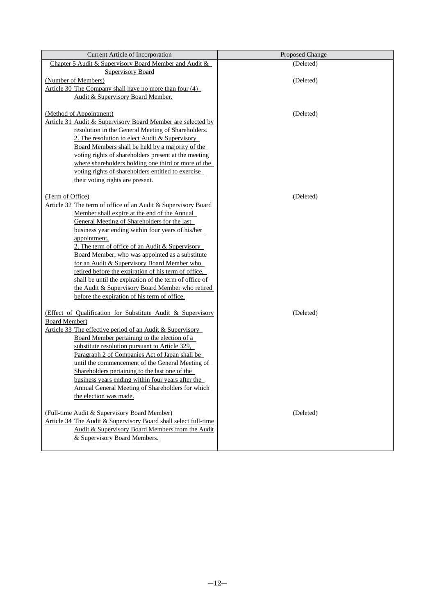| Current Article of Incorporation                                                                         | Proposed Change |
|----------------------------------------------------------------------------------------------------------|-----------------|
| Chapter 5 Audit & Supervisory Board Member and Audit &                                                   | (Deleted)       |
| <b>Supervisory Board</b>                                                                                 |                 |
| (Number of Members)                                                                                      | (Deleted)       |
| Article 30 The Company shall have no more than four (4)                                                  |                 |
| Audit & Supervisory Board Member.                                                                        |                 |
|                                                                                                          |                 |
| (Method of Appointment)                                                                                  | (Deleted)       |
| Article 31 Audit & Supervisory Board Member are selected by                                              |                 |
| resolution in the General Meeting of Shareholders.                                                       |                 |
| 2. The resolution to elect Audit & Supervisory                                                           |                 |
| Board Members shall be held by a majority of the<br>voting rights of shareholders present at the meeting |                 |
| where shareholders holding one third or more of the                                                      |                 |
| voting rights of shareholders entitled to exercise                                                       |                 |
| their voting rights are present.                                                                         |                 |
|                                                                                                          |                 |
| (Term of Office)                                                                                         | (Deleted)       |
| Article 32 The term of office of an Audit & Supervisory Board                                            |                 |
| Member shall expire at the end of the Annual                                                             |                 |
| General Meeting of Shareholders for the last                                                             |                 |
| business year ending within four years of his/her                                                        |                 |
| appointment.                                                                                             |                 |
| 2. The term of office of an Audit & Supervisory                                                          |                 |
| Board Member, who was appointed as a substitute                                                          |                 |
| for an Audit & Supervisory Board Member who                                                              |                 |
| retired before the expiration of his term of office,                                                     |                 |
| shall be until the expiration of the term of office of                                                   |                 |
| the Audit & Supervisory Board Member who retired                                                         |                 |
| before the expiration of his term of office.                                                             |                 |
| (Effect of Qualification for Substitute Audit & Supervisory                                              | (Deleted)       |
| Board Member)                                                                                            |                 |
| Article 33 The effective period of an Audit & Supervisory                                                |                 |
| Board Member pertaining to the election of a                                                             |                 |
| substitute resolution pursuant to Article 329,                                                           |                 |
| Paragraph 2 of Companies Act of Japan shall be                                                           |                 |
| until the commencement of the General Meeting of                                                         |                 |
| Shareholders pertaining to the last one of the                                                           |                 |
| business years ending within four years after the                                                        |                 |
| <b>Annual General Meeting of Shareholders for which</b>                                                  |                 |
| the election was made.                                                                                   |                 |
|                                                                                                          |                 |
| (Full-time Audit & Supervisory Board Member)                                                             | (Deleted)       |
| Article 34 The Audit & Supervisory Board shall select full-time                                          |                 |
| Audit & Supervisory Board Members from the Audit                                                         |                 |
| & Supervisory Board Members.                                                                             |                 |
|                                                                                                          |                 |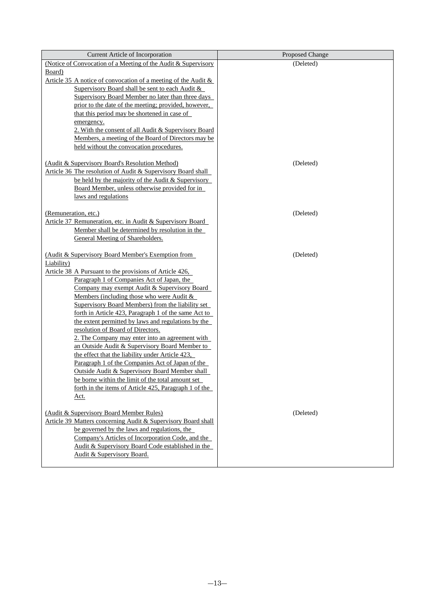| <b>Current Article of Incorporation</b>                                                                | Proposed Change |
|--------------------------------------------------------------------------------------------------------|-----------------|
| (Notice of Convocation of a Meeting of the Audit & Supervisory                                         | (Deleted)       |
| Board)                                                                                                 |                 |
| Article 35 A notice of convocation of a meeting of the Audit $\&$                                      |                 |
| Supervisory Board shall be sent to each Audit &                                                        |                 |
| Supervisory Board Member no later than three days                                                      |                 |
| prior to the date of the meeting; provided, however,                                                   |                 |
| that this period may be shortened in case of                                                           |                 |
| emergency.                                                                                             |                 |
| 2. With the consent of all Audit & Supervisory Board                                                   |                 |
| Members, a meeting of the Board of Directors may be                                                    |                 |
| held without the convocation procedures.                                                               |                 |
|                                                                                                        |                 |
| (Audit & Supervisory Board's Resolution Method)                                                        | (Deleted)       |
| Article 36 The resolution of Audit & Supervisory Board shall                                           |                 |
| be held by the majority of the Audit & Supervisory                                                     |                 |
| Board Member, unless otherwise provided for in                                                         |                 |
| laws and regulations                                                                                   |                 |
|                                                                                                        |                 |
| (Remuneration, etc.)                                                                                   | (Deleted)       |
| Article 37 Remuneration, etc. in Audit & Supervisory Board                                             |                 |
| Member shall be determined by resolution in the<br>General Meeting of Shareholders.                    |                 |
|                                                                                                        |                 |
| (Audit & Supervisory Board Member's Exemption from                                                     | (Deleted)       |
| Liability)                                                                                             |                 |
| Article 38 A Pursuant to the provisions of Article 426,                                                |                 |
| Paragraph 1 of Companies Act of Japan, the                                                             |                 |
| Company may exempt Audit & Supervisory Board                                                           |                 |
| Members (including those who were Audit $\&$                                                           |                 |
| <b>Supervisory Board Members) from the liability set</b>                                               |                 |
| forth in Article 423, Paragraph 1 of the same Act to                                                   |                 |
| the extent permitted by laws and regulations by the                                                    |                 |
| resolution of Board of Directors.                                                                      |                 |
| 2. The Company may enter into an agreement with                                                        |                 |
| an Outside Audit & Supervisory Board Member to                                                         |                 |
| the effect that the liability under Article 423,                                                       |                 |
| Paragraph 1 of the Companies Act of Japan of the                                                       |                 |
| Outside Audit & Supervisory Board Member shall                                                         |                 |
| be borne within the limit of the total amount set                                                      |                 |
| forth in the items of Article 425, Paragraph 1 of the                                                  |                 |
| <u>Act.</u>                                                                                            |                 |
|                                                                                                        |                 |
| (Audit & Supervisory Board Member Rules)                                                               | (Deleted)       |
| Article 39 Matters concerning Audit & Supervisory Board shall                                          |                 |
| be governed by the laws and regulations, the                                                           |                 |
| Company's Articles of Incorporation Code, and the<br>Audit & Supervisory Board Code established in the |                 |
| Audit & Supervisory Board.                                                                             |                 |
|                                                                                                        |                 |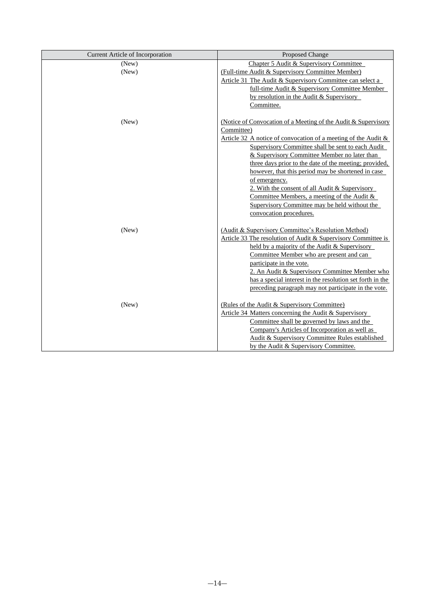| <b>Current Article of Incorporation</b> | Proposed Change                                                   |
|-----------------------------------------|-------------------------------------------------------------------|
| (New)                                   | Chapter 5 Audit & Supervisory Committee                           |
| (New)                                   | (Full-time Audit & Supervisory Committee Member)                  |
|                                         | Article 31 The Audit & Supervisory Committee can select a         |
|                                         | full-time Audit & Supervisory Committee Member                    |
|                                         | by resolution in the Audit $&$ Supervisory                        |
|                                         | Committee.                                                        |
| (New)                                   | (Notice of Convocation of a Meeting of the Audit & Supervisory    |
|                                         | Committee)                                                        |
|                                         | Article 32 A notice of convocation of a meeting of the Audit $\&$ |
|                                         | Supervisory Committee shall be sent to each Audit                 |
|                                         | & Supervisory Committee Member no later than                      |
|                                         | three days prior to the date of the meeting; provided,            |
|                                         | however, that this period may be shortened in case                |
|                                         | of emergency.                                                     |
|                                         | 2. With the consent of all Audit & Supervisory                    |
|                                         | Committee Members, a meeting of the Audit $\&$                    |
|                                         | Supervisory Committee may be held without the                     |
|                                         | convocation procedures.                                           |
| (New)                                   | (Audit & Supervisory Committee's Resolution Method)               |
|                                         | Article 33 The resolution of Audit & Supervisory Committee is     |
|                                         | held by a majority of the Audit & Supervisory                     |
|                                         | Committee Member who are present and can                          |
|                                         | participate in the vote.                                          |
|                                         | 2. An Audit & Supervisory Committee Member who                    |
|                                         | has a special interest in the resolution set forth in the         |
|                                         | preceding paragraph may not participate in the vote.              |
| (New)                                   | (Rules of the Audit & Supervisory Committee)                      |
|                                         | Article 34 Matters concerning the Audit & Supervisory             |
|                                         | Committee shall be governed by laws and the                       |
|                                         | Company's Articles of Incorporation as well as                    |
|                                         | Audit & Supervisory Committee Rules established                   |
|                                         | by the Audit & Supervisory Committee.                             |
|                                         |                                                                   |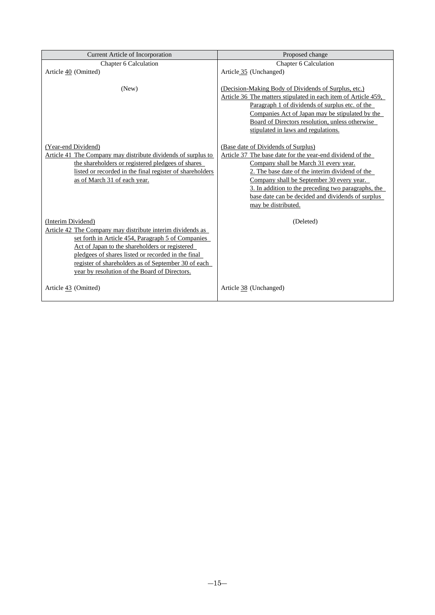| Current Article of Incorporation                                                                                                                                                                                                                                                                                                                       | Proposed change                                                                                                                                                                                                                                                                                                        |
|--------------------------------------------------------------------------------------------------------------------------------------------------------------------------------------------------------------------------------------------------------------------------------------------------------------------------------------------------------|------------------------------------------------------------------------------------------------------------------------------------------------------------------------------------------------------------------------------------------------------------------------------------------------------------------------|
| Chapter 6 Calculation                                                                                                                                                                                                                                                                                                                                  | Chapter 6 Calculation                                                                                                                                                                                                                                                                                                  |
| Article 40 (Omitted)                                                                                                                                                                                                                                                                                                                                   | Article 35 (Unchanged)                                                                                                                                                                                                                                                                                                 |
| (New)                                                                                                                                                                                                                                                                                                                                                  | (Decision-Making Body of Dividends of Surplus, etc.)<br>Article 36 The matters stipulated in each item of Article 459,<br>Paragraph 1 of dividends of surplus etc. of the<br>Companies Act of Japan may be stipulated by the<br>Board of Directors resolution, unless otherwise<br>stipulated in laws and regulations. |
| (Year-end Dividend)                                                                                                                                                                                                                                                                                                                                    | (Base date of Dividends of Surplus)                                                                                                                                                                                                                                                                                    |
| Article 41 The Company may distribute dividends of surplus to                                                                                                                                                                                                                                                                                          | Article 37 The base date for the year-end dividend of the                                                                                                                                                                                                                                                              |
| the shareholders or registered pledgees of shares                                                                                                                                                                                                                                                                                                      | Company shall be March 31 every year.                                                                                                                                                                                                                                                                                  |
| listed or recorded in the final register of shareholders                                                                                                                                                                                                                                                                                               | 2. The base date of the interim dividend of the                                                                                                                                                                                                                                                                        |
| as of March 31 of each year.                                                                                                                                                                                                                                                                                                                           | Company shall be September 30 every year.                                                                                                                                                                                                                                                                              |
|                                                                                                                                                                                                                                                                                                                                                        | 3. In addition to the preceding two paragraphs, the                                                                                                                                                                                                                                                                    |
|                                                                                                                                                                                                                                                                                                                                                        | base date can be decided and dividends of surplus                                                                                                                                                                                                                                                                      |
|                                                                                                                                                                                                                                                                                                                                                        | may be distributed.                                                                                                                                                                                                                                                                                                    |
| (Interim Dividend)<br>Article 42 The Company may distribute interim dividends as<br>set forth in Article 454, Paragraph 5 of Companies<br>Act of Japan to the shareholders or registered<br>pledgees of shares listed or recorded in the final<br>register of shareholders as of September 30 of each<br>year by resolution of the Board of Directors. | (Deleted)                                                                                                                                                                                                                                                                                                              |
| Article 43 (Omitted)                                                                                                                                                                                                                                                                                                                                   | Article 38 (Unchanged)                                                                                                                                                                                                                                                                                                 |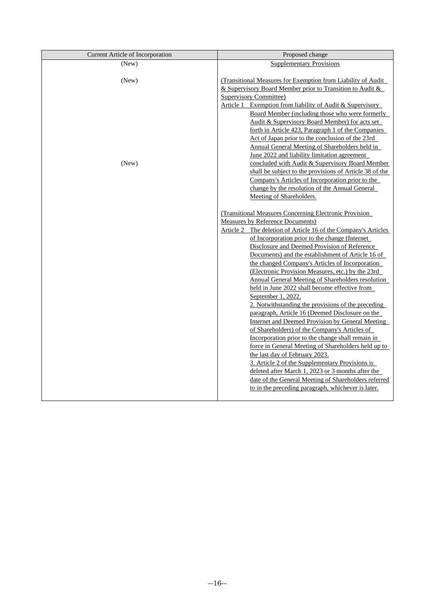| Current Article of Incorporation | Proposed change                                                                                                                                                                                                                                                                                                                                                                                                                                                                                                                                                                                                                                                                                                                                                                                                                                                                                                                                                                                                                                                                                                                                                                             |
|----------------------------------|---------------------------------------------------------------------------------------------------------------------------------------------------------------------------------------------------------------------------------------------------------------------------------------------------------------------------------------------------------------------------------------------------------------------------------------------------------------------------------------------------------------------------------------------------------------------------------------------------------------------------------------------------------------------------------------------------------------------------------------------------------------------------------------------------------------------------------------------------------------------------------------------------------------------------------------------------------------------------------------------------------------------------------------------------------------------------------------------------------------------------------------------------------------------------------------------|
| (New)                            | <b>Supplementary Provisions</b>                                                                                                                                                                                                                                                                                                                                                                                                                                                                                                                                                                                                                                                                                                                                                                                                                                                                                                                                                                                                                                                                                                                                                             |
| (New)<br>(New)                   | (Transitional Measures for Exemption from Liability of Audit<br>& Supervisory Board Member prior to Transition to Audit &<br><b>Supervisory Committee)</b><br>Article 1 Exemption from liability of Audit & Supervisory<br>Board Member (including those who were formerly<br>Audit & Supervisory Board Member) for acts set<br>forth in Article 423, Paragraph 1 of the Companies<br>Act of Japan prior to the conclusion of the 23rd<br>Annual General Meeting of Shareholders held in<br>June 2022 and liability limitation agreement<br>concluded with Audit & Supervisory Board Member<br>shall be subject to the provisions of Article 38 of the<br>Company's Articles of Incorporation prior to the<br>change by the resolution of the Annual General                                                                                                                                                                                                                                                                                                                                                                                                                                |
|                                  | Meeting of Shareholders.<br><b>(Transitional Measures Concerning Electronic Provision)</b><br><b>Measures by Reference Documents)</b><br>Article 2 The deletion of Article 16 of the Company's Articles<br>of Incorporation prior to the change (Internet<br>Disclosure and Deemed Provision of Reference<br>Documents) and the establishment of Article 16 of<br>the changed Company's Articles of Incorporation<br>(Electronic Provision Measures, etc.) by the 23rd<br><b>Annual General Meeting of Shareholders resolution</b><br>held in June 2022 shall become effective from<br>September 1, 2022.<br>2. Notwithstanding the provisions of the preceding<br>paragraph, Article 16 (Deemed Disclosure on the<br>Internet and Deemed Provision by General Meeting<br>of Shareholders) of the Company's Articles of<br>Incorporation prior to the change shall remain in<br>force in General Meeting of Shareholders held up to<br>the last day of February 2023.<br>3. Article 2 of the Supplementary Provisions is<br>deleted after March 1, 2023 or 3 months after the<br>date of the General Meeting of Shareholders referred<br>to in the preceding paragraph, whichever is later. |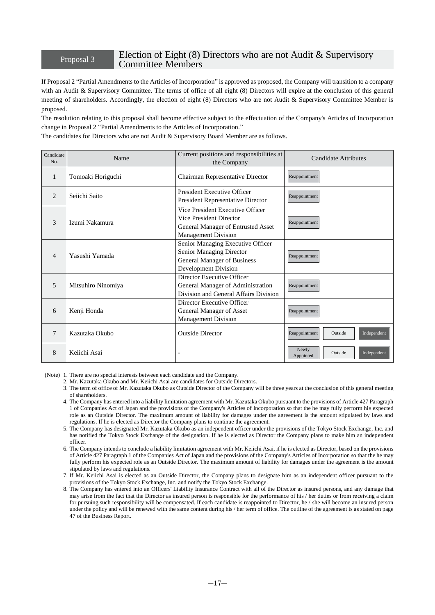## Proposal 3 Election of Eight (8) Directors who are not Audit & Supervisory Committee Members

If Proposal 2 "Partial Amendments to the Articles of Incorporation" is approved as proposed, the Company will transition to a company with an Audit & Supervisory Committee. The terms of office of all eight (8) Directors will expire at the conclusion of this general meeting of shareholders. Accordingly, the election of eight (8) Directors who are not Audit & Supervisory Committee Member is proposed.

The resolution relating to this proposal shall become effective subject to the effectuation of the Company's Articles of Incorporation change in Proposal 2 "Partial Amendments to the Articles of Incorporation."

| The candidates for Directors who are not Audit & Supervisory Board Member are as follows. |  |
|-------------------------------------------------------------------------------------------|--|
|-------------------------------------------------------------------------------------------|--|

| Candidate<br>No. | Name               | Current positions and responsibilities at<br>the Company                                                                        | Candidate Attributes                         |
|------------------|--------------------|---------------------------------------------------------------------------------------------------------------------------------|----------------------------------------------|
| $\overline{1}$   | Tomoaki Horiguchi  | Chairman Representative Director                                                                                                | Reappointment                                |
| $\overline{c}$   | Seiichi Saito      | President Executive Officer<br>President Representative Director                                                                | Reappointment                                |
| 3                | Izumi Nakamura     | Vice President Executive Officer<br>Vice President Director<br>General Manager of Entrusted Asset<br><b>Management Division</b> | Reappointment                                |
| $\overline{4}$   | Yasushi Yamada     | Senior Managing Executive Officer<br>Senior Managing Director<br>General Manager of Business<br>Development Division            | Reappointment                                |
| 5                | Mitsuhiro Ninomiya | Director Executive Officer<br>General Manager of Administration<br>Division and General Affairs Division                        | Reappointment                                |
| 6                | Kenji Honda        | Director Executive Officer<br>General Manager of Asset<br><b>Management Division</b>                                            | Reappointment                                |
| 7                | Kazutaka Okubo     | <b>Outside Director</b>                                                                                                         | Independent<br>Reappointment<br>Outside      |
| 8                | Keiichi Asai       |                                                                                                                                 | Newly<br>Outside<br>Independent<br>Appointed |

(Note) 1. There are no special interests between each candidate and the Company.

2. Mr. Kazutaka Okubo and Mr. Keiichi Asai are candidates for Outside Directors.

- 3. The term of office of Mr. Kazutaka Okubo as Outside Director of the Company will be three years at the conclusion of this general meeting of shareholders.
- 4. The Company has entered into a liability limitation agreement with Mr. Kazutaka Okubo pursuant to the provisions of Article 427 Paragraph 1 of Companies Act of Japan and the provisions of the Company's Articles of Incorporation so that the he may fully perform his expected role as an Outside Director. The maximum amount of liability for damages under the agreement is the amount stipulated by laws and regulations. If he is elected as Director the Company plans to continue the agreement.
- 5. The Company has designated Mr. Kazutaka Okubo as an independent officer under the provisions of the Tokyo Stock Exchange, Inc. and has notified the Tokyo Stock Exchange of the designation. If he is elected as Director the Company plans to make him an independent officer.
- 6. The Company intends to conclude a liability limitation agreement with Mr. Keiichi Asai, if he is elected as Director, based on the provisions of Article 427 Paragraph 1 of the Companies Act of Japan and the provisions of the Company's Articles of Incorporation so that the he may fully perform his expected role as an Outside Director. The maximum amount of liability for damages under the agreement is the amount stipulated by laws and regulations.

7. If Mr. Keiichi Asai is elected as an Outside Director, the Company plans to designate him as an independent officer pursuant to the provisions of the Tokyo Stock Exchange, Inc. and notify the Tokyo Stock Exchange.

8. The Company has entered into an Officers' Liability Insurance Contract with all of the Director as insured persons, and any damage that may arise from the fact that the Director as insured person is responsible for the performance of his / her duties or from receiving a claim for pursuing such responsibility will be compensated. If each candidate is reappointed to Director, he / she will become an insured person under the policy and will be renewed with the same content during his / her term of office. The outline of the agreement is as stated on page 47 of the Business Report.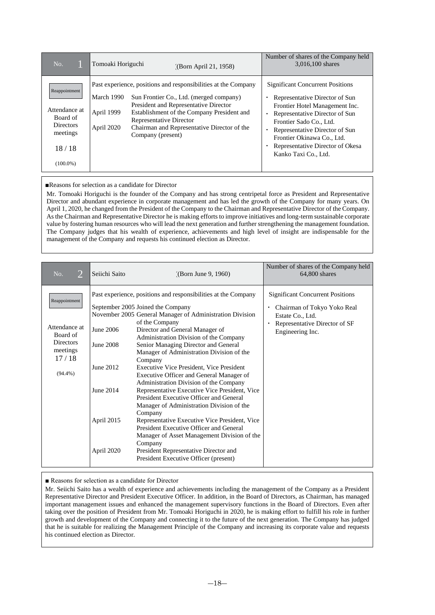| No.                                                                                                | Tomoaki Horiguchi<br>(Born April 21, 1958)                                                                                                                                                                                                                                                                                                | Number of shares of the Company held<br>3,016,100 shares                                                                                                                                                                                                                                             |
|----------------------------------------------------------------------------------------------------|-------------------------------------------------------------------------------------------------------------------------------------------------------------------------------------------------------------------------------------------------------------------------------------------------------------------------------------------|------------------------------------------------------------------------------------------------------------------------------------------------------------------------------------------------------------------------------------------------------------------------------------------------------|
| Reappointment<br>Attendance at<br>Board of<br><b>Directors</b><br>meetings<br>18/18<br>$(100.0\%)$ | Past experience, positions and responsibilities at the Company<br>March 1990<br>Sun Frontier Co., Ltd. (merged company)<br>President and Representative Director<br>April 1999<br>Establishment of the Company President and<br>Representative Director<br>Chairman and Representative Director of the<br>April 2020<br>Company (present) | <b>Significant Concurrent Positions</b><br>Representative Director of Sun<br>Frontier Hotel Management Inc.<br>Representative Director of Sun<br>Frontier Sado Co., Ltd.<br>Representative Director of Sun<br>Frontier Okinawa Co., Ltd.<br>Representative Director of Okesa<br>Kanko Taxi Co., Ltd. |

#### ■Reasons for selection as a candidate for Director

Mr. Tomoaki Horiguchi is the founder of the Company and has strong centripetal force as President and Representative Director and abundant experience in corporate management and has led the growth of the Company for many years. On April 1, 2020, he changed from the President of the Company to the Chairman and Representative Director of the Company. As the Chairman and Representative Director he is making efforts to improve initiatives and long-term sustainable corporate value by fostering human resources who will lead the next generation and further strengthening the management foundation. The Company judges that his wealth of experience, achievements and high level of insight are indispensable for the management of the Company and requests his continued election as Director.

| $\overline{2}$<br>No.                                                                             | Seiichi Saito                                                                | (Dorn June 9, 1960)                                                                                                                                                                                                                                                                                                                                                                                                                                                                                                                                                                                                                                                                                                                                                                                                                                                                          | Number of shares of the Company held<br>64,800 shares                                                                                           |
|---------------------------------------------------------------------------------------------------|------------------------------------------------------------------------------|----------------------------------------------------------------------------------------------------------------------------------------------------------------------------------------------------------------------------------------------------------------------------------------------------------------------------------------------------------------------------------------------------------------------------------------------------------------------------------------------------------------------------------------------------------------------------------------------------------------------------------------------------------------------------------------------------------------------------------------------------------------------------------------------------------------------------------------------------------------------------------------------|-------------------------------------------------------------------------------------------------------------------------------------------------|
| Reappointment<br>Attendance at<br>Board of<br><b>Directors</b><br>meetings<br>17/18<br>$(94.4\%)$ | June 2006<br>June 2008<br>June 2012<br>June 2014<br>April 2015<br>April 2020 | Past experience, positions and responsibilities at the Company<br>September 2005 Joined the Company<br>November 2005 General Manager of Administration Division<br>of the Company<br>Director and General Manager of<br>Administration Division of the Company<br>Senior Managing Director and General<br>Manager of Administration Division of the<br>Company<br>Executive Vice President, Vice President<br>Executive Officer and General Manager of<br>Administration Division of the Company<br>Representative Executive Vice President, Vice<br>President Executive Officer and General<br>Manager of Administration Division of the<br>Company<br>Representative Executive Vice President, Vice<br>President Executive Officer and General<br>Manager of Asset Management Division of the<br>Company<br>President Representative Director and<br>President Executive Officer (present) | <b>Significant Concurrent Positions</b><br>Chairman of Tokyo Yoko Real<br>Estate Co., Ltd.<br>Representative Director of SF<br>Engineering Inc. |

■ Reasons for selection as a candidate for Director

Mr. Seiichi Saito has a wealth of experience and achievements including the management of the Company as a President Representative Director and President Executive Officer. In addition, in the Board of Directors, as Chairman, has managed important management issues and enhanced the management supervisory functions in the Board of Directors. Even after taking over the position of President from Mr. Tomoaki Horiguchi in 2020, he is making effort to fulfill his role in further growth and development of the Company and connecting it to the future of the next generation. The Company has judged that he is suitable for realizing the Management Principle of the Company and increasing its corporate value and requests his continued election as Director.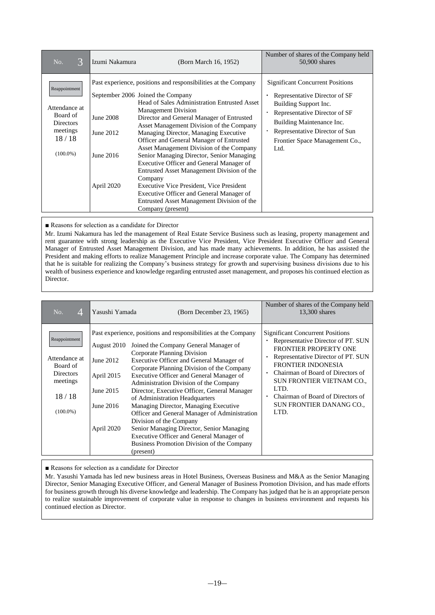| 3<br>No.                                                                                           | Izumi Nakamura                                    | (Born March 16, 1952)                                                                                                                                                                                                                                                                                                                                                                                                                                                                                                                                                                                                                                                                                                    | Number of shares of the Company held<br>$50,900$ shares                                                                                                                                                                                     |
|----------------------------------------------------------------------------------------------------|---------------------------------------------------|--------------------------------------------------------------------------------------------------------------------------------------------------------------------------------------------------------------------------------------------------------------------------------------------------------------------------------------------------------------------------------------------------------------------------------------------------------------------------------------------------------------------------------------------------------------------------------------------------------------------------------------------------------------------------------------------------------------------------|---------------------------------------------------------------------------------------------------------------------------------------------------------------------------------------------------------------------------------------------|
| Reappointment<br>Attendance at<br>Board of<br><b>Directors</b><br>meetings<br>18/18<br>$(100.0\%)$ | June 2008<br>June 2012<br>June 2016<br>April 2020 | Past experience, positions and responsibilities at the Company<br>September 2006 Joined the Company<br>Head of Sales Administration Entrusted Asset<br><b>Management Division</b><br>Director and General Manager of Entrusted<br>Asset Management Division of the Company<br>Managing Director, Managing Executive<br>Officer and General Manager of Entrusted<br>Asset Management Division of the Company<br>Senior Managing Director, Senior Managing<br>Executive Officer and General Manager of<br>Entrusted Asset Management Division of the<br>Company<br>Executive Vice President, Vice President<br>Executive Officer and General Manager of<br>Entrusted Asset Management Division of the<br>Company (present) | <b>Significant Concurrent Positions</b><br>Representative Director of SF<br>Building Support Inc.<br>Representative Director of SF<br>Building Maintenance Inc.<br>Representative Director of Sun<br>Frontier Space Management Co.,<br>Ltd. |

■ Reasons for selection as a candidate for Director

Mr. Izumi Nakamura has led the management of Real Estate Service Business such as leasing, property management and rent guarantee with strong leadership as the Executive Vice President, Vice President Executive Officer and General Manager of Entrusted Asset Management Division, and has made many achievements. In addition, he has assisted the President and making efforts to realize Management Principle and increase corporate value. The Company has determined that he is suitable for realizing the Company's business strategy for growth and supervising business divisions due to his wealth of business experience and knowledge regarding entrusted asset management, and proposes his continued election as Director.

| No.<br>4                                                                                           | Yasushi Yamada                                                                 | (Born December 23, 1965)                                                                                                                                                                                                                                                                                                                                                                                                                                                                                                                                                                                                                                                          | Number of shares of the Company held<br>13,300 shares                                                                                                                                                                                                                                                                        |
|----------------------------------------------------------------------------------------------------|--------------------------------------------------------------------------------|-----------------------------------------------------------------------------------------------------------------------------------------------------------------------------------------------------------------------------------------------------------------------------------------------------------------------------------------------------------------------------------------------------------------------------------------------------------------------------------------------------------------------------------------------------------------------------------------------------------------------------------------------------------------------------------|------------------------------------------------------------------------------------------------------------------------------------------------------------------------------------------------------------------------------------------------------------------------------------------------------------------------------|
| Reappointment<br>Attendance at<br>Board of<br><b>Directors</b><br>meetings<br>18/18<br>$(100.0\%)$ | August 2010<br>June 2012<br>April 2015<br>June 2015<br>June 2016<br>April 2020 | Past experience, positions and responsibilities at the Company<br>Joined the Company General Manager of<br>Corporate Planning Division<br>Executive Officer and General Manager of<br>Corporate Planning Division of the Company<br>Executive Officer and General Manager of<br>Administration Division of the Company<br>Director, Executive Officer, General Manager<br>of Administration Headquarters<br>Managing Director, Managing Executive<br>Officer and General Manager of Administration<br>Division of the Company<br>Senior Managing Director, Senior Managing<br>Executive Officer and General Manager of<br>Business Promotion Division of the Company<br>(present) | <b>Significant Concurrent Positions</b><br>Representative Director of PT. SUN<br>FRONTIER PROPERTY ONE<br>Representative Director of PT. SUN<br><b>FRONTIER INDONESIA</b><br>Chairman of Board of Directors of<br>SUN FRONTIER VIETNAM CO.,<br>LTD.<br>Chairman of Board of Directors of<br>SUN FRONTIER DANANG CO.,<br>LTD. |

■ Reasons for selection as a candidate for Director

Mr. Yasushi Yamada has led new business areas in Hotel Business, Overseas Business and M&A as the Senior Managing Director, Senior Managing Executive Officer, and General Manager of Business Promotion Division, and has made efforts for business growth through his diverse knowledge and leadership. The Company has judged that he is an appropriate person to realize sustainable improvement of corporate value in response to changes in business environment and requests his continued election as Director.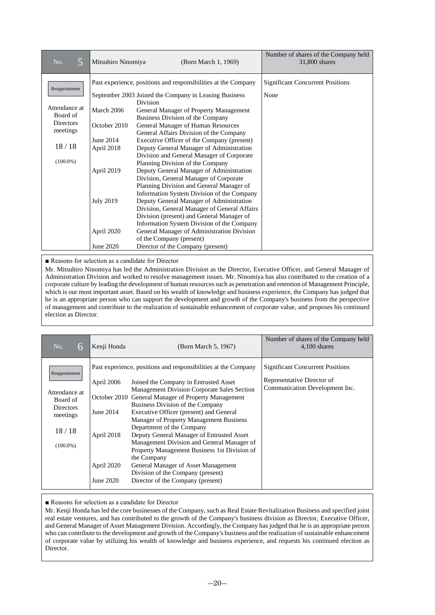| 5<br>No.                                                                                           | Mitsuhiro Ninomiya                                                                      | (Born March 1, 1969)                                                                                                                                                                                                                                                                                                                                                                                                                                                                                                                                                                                                                                                                                                                                      | Number of shares of the Company held<br>31,800 shares |
|----------------------------------------------------------------------------------------------------|-----------------------------------------------------------------------------------------|-----------------------------------------------------------------------------------------------------------------------------------------------------------------------------------------------------------------------------------------------------------------------------------------------------------------------------------------------------------------------------------------------------------------------------------------------------------------------------------------------------------------------------------------------------------------------------------------------------------------------------------------------------------------------------------------------------------------------------------------------------------|-------------------------------------------------------|
| Reappointment<br>Attendance at<br>Board of<br><b>Directors</b><br>meetings<br>18/18<br>$(100.0\%)$ | March 2006<br>October 2010<br>June 2014<br>April 2018<br>April 2019<br><b>July 2019</b> | Past experience, positions and responsibilities at the Company<br>September 2003 Joined the Company in Leasing Business<br>Division<br>General Manager of Property Management<br>Business Division of the Company<br>General Manager of Human Resources<br>General Affairs Division of the Company<br>Executive Officer of the Company (present)<br>Deputy General Manager of Administration<br>Division and General Manager of Corporate<br>Planning Division of the Company<br>Deputy General Manager of Administration<br>Division, General Manager of Corporate<br>Planning Division and General Manager of<br>Information System Division of the Company<br>Deputy General Manager of Administration<br>Division, General Manager of General Affairs | <b>Significant Concurrent Positions</b><br>None       |
|                                                                                                    | April 2020<br>June 2020                                                                 | Division (present) and General Manager of<br>Information System Division of the Company<br>General Manager of Administration Division<br>of the Company (present)<br>Director of the Company (present)                                                                                                                                                                                                                                                                                                                                                                                                                                                                                                                                                    |                                                       |

■ Reasons for selection as a candidate for Director

Mr. Mitsuhiro Ninomiya has led the Administration Division as the Director, Executive Officer, and General Manager of Administration Division and worked to resolve management issues. Mr. Ninomiya has also contributed to the creation of a corporate culture by leading the development of human resources such as penetration and retention of Management Principle, which is our most important asset. Based on his wealth of knowledge and business experience, the Company has judged that he is an appropriate person who can support the development and growth of the Company's business from the perspective of management and contribute to the realization of sustainable enhancement of corporate value, and proposes his continued election as Director.

| No.<br>6                                                                                           | Kenji Honda                                                      | (Born March 5, 1967)                                                                                                                                                                                                                                                                                                                                                                                                                                                                                                                                                                                                                            | Number of shares of the Company held<br>$4,100$ shares                                                  |
|----------------------------------------------------------------------------------------------------|------------------------------------------------------------------|-------------------------------------------------------------------------------------------------------------------------------------------------------------------------------------------------------------------------------------------------------------------------------------------------------------------------------------------------------------------------------------------------------------------------------------------------------------------------------------------------------------------------------------------------------------------------------------------------------------------------------------------------|---------------------------------------------------------------------------------------------------------|
| Reappointment<br>Attendance at<br>Board of<br><b>Directors</b><br>meetings<br>18/18<br>$(100.0\%)$ | April 2006<br>June 2014<br>April 2018<br>April 2020<br>June 2020 | Past experience, positions and responsibilities at the Company<br>Joined the Company in Entrusted Asset<br>Management Division Corporate Sales Section<br>October 2010 General Manager of Property Management<br>Business Division of the Company<br>Executive Officer (present) and General<br>Manager of Property Management Business<br>Department of the Company<br>Deputy General Manager of Entrusted Asset<br>Management Division and General Manager of<br>Property Management Business 1st Division of<br>the Company<br>General Manager of Asset Management<br>Division of the Company (present)<br>Director of the Company (present) | <b>Significant Concurrent Positions</b><br>Representative Director of<br>Communication Development Inc. |

■ Reasons for selection as a candidate for Director

Mr. Kenji Honda has led the core businesses of the Company, such as Real Estate Revitalization Business and specified joint real estate ventures, and has contributed to the growth of the Company's business division as Director, Executive Officer, and General Manager of Asset Management Division. Accordingly, the Company has judged that he is an appropriate person who can contribute to the development and growth of the Company's business and the realization of sustainable enhancement of corporate value by utilizing his wealth of knowledge and business experience, and requests his continued election as Director.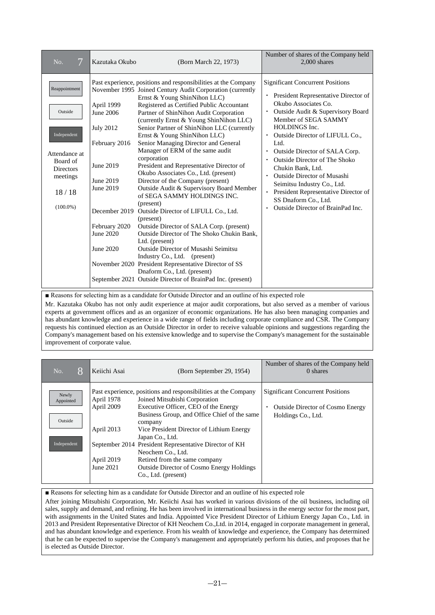| 7<br>No.                                                                                                                     | Kazutaka Okubo                                                                                                                                 | (Born March 22, 1973)                                                                                                                                                                                                                                                                                                                                                                                                                                                                                                                                                                                                                                                                                                                                                                                                                                                                                                                                                                                                                                                                                       | Number of shares of the Company held<br>$2,000$ shares                                                                                                                                                                                                                                                                                                                                                                                                                                             |
|------------------------------------------------------------------------------------------------------------------------------|------------------------------------------------------------------------------------------------------------------------------------------------|-------------------------------------------------------------------------------------------------------------------------------------------------------------------------------------------------------------------------------------------------------------------------------------------------------------------------------------------------------------------------------------------------------------------------------------------------------------------------------------------------------------------------------------------------------------------------------------------------------------------------------------------------------------------------------------------------------------------------------------------------------------------------------------------------------------------------------------------------------------------------------------------------------------------------------------------------------------------------------------------------------------------------------------------------------------------------------------------------------------|----------------------------------------------------------------------------------------------------------------------------------------------------------------------------------------------------------------------------------------------------------------------------------------------------------------------------------------------------------------------------------------------------------------------------------------------------------------------------------------------------|
| Reappointment<br>Outside<br>Independent<br>Attendance at<br>Board of<br><b>Directors</b><br>meetings<br>18/18<br>$(100.0\%)$ | April 1999<br>June 2006<br><b>July 2012</b><br>February 2016<br>June 2019<br>June 2019<br>June 2019<br>February 2020<br>June 2020<br>June 2020 | Past experience, positions and responsibilities at the Company<br>November 1995 Joined Century Audit Corporation (currently<br>Ernst & Young ShinNihon LLC)<br>Registered as Certified Public Accountant<br>Partner of ShinNihon Audit Corporation<br>(currently Ernst & Young ShinNihon LLC)<br>Senior Partner of ShinNihon LLC (currently<br>Ernst & Young ShinNihon LLC)<br>Senior Managing Director and General<br>Manager of ERM of the same audit<br>corporation<br>President and Representative Director of<br>Okubo Associates Co., Ltd. (present)<br>Director of the Company (present)<br>Outside Audit & Supervisory Board Member<br>of SEGA SAMMY HOLDINGS INC.<br>(present)<br>December 2019 Outside Director of LIFULL Co., Ltd.<br>(present)<br>Outside Director of SALA Corp. (present)<br>Outside Director of The Shoko Chukin Bank.<br>Ltd. (present)<br><b>Outside Director of Musashi Seimitsu</b><br>Industry Co., Ltd. (present)<br>November 2020 President Representative Director of SS<br>Dnaform Co., Ltd. (present)<br>September 2021 Outside Director of BrainPad Inc. (present) | <b>Significant Concurrent Positions</b><br>President Representative Director of<br>Okubo Associates Co.<br>Outside Audit & Supervisory Board<br>Member of SEGA SAMMY<br>HOLDINGS Inc.<br>Outside Director of LIFULL Co.,<br>Ltd.<br>Outside Director of SALA Corp.<br><b>Outside Director of The Shoko</b><br>Chukin Bank, Ltd.<br>Outside Director of Musashi<br>Seimitsu Industry Co., Ltd.<br>President Representative Director of<br>SS Dnaform Co., Ltd.<br>Outside Director of BrainPad Inc. |

■ Reasons for selecting him as a candidate for Outside Director and an outline of his expected role

Mr. Kazutaka Okubo has not only audit experience at major audit corporations, but also served as a member of various experts at government offices and as an organizer of economic organizations. He has also been managing companies and has abundant knowledge and experience in a wide range of fields including corporate compliance and CSR. The Company requests his continued election as an Outside Director in order to receive valuable opinions and suggestions regarding the Company's management based on his extensive knowledge and to supervise the Company's management for the sustainable improvement of corporate value.

| 8<br>No.                                     | Keiichi Asai                                                      | (Born September 29, 1954)                                                                                                                                                                                                                                                                                                                                                                                                                                     | Number of shares of the Company held<br>0 shares                                                         |
|----------------------------------------------|-------------------------------------------------------------------|---------------------------------------------------------------------------------------------------------------------------------------------------------------------------------------------------------------------------------------------------------------------------------------------------------------------------------------------------------------------------------------------------------------------------------------------------------------|----------------------------------------------------------------------------------------------------------|
| Newly<br>Appointed<br>Outside<br>Independent | April 1978<br>April 2009<br>April 2013<br>April 2019<br>June 2021 | Past experience, positions and responsibilities at the Company<br>Joined Mitsubishi Corporation<br>Executive Officer, CEO of the Energy<br>Business Group, and Office Chief of the same<br>company<br>Vice President Director of Lithium Energy<br>Japan Co., Ltd.<br>September 2014 President Representative Director of KH<br>Neochem Co., Ltd.<br>Retired from the same company<br><b>Outside Director of Cosmo Energy Holdings</b><br>Co., Ltd. (present) | <b>Significant Concurrent Positions</b><br><b>Outside Director of Cosmo Energy</b><br>Holdings Co., Ltd. |

■ Reasons for selecting him as a candidate for Outside Director and an outline of his expected role

After joining Mitsubishi Corporation, Mr. Keiichi Asai has worked in various divisions of the oil business, including oil sales, supply and demand, and refining. He has been involved in international business in the energy sector for the most part, with assignments in the United States and India. Appointed Vice President Director of Lithium Energy Japan Co., Ltd. in 2013 and President Representative Director of KH Neochem Co.,Ltd. in 2014, engaged in corporate management in general, and has abundant knowledge and experience. From his wealth of knowledge and experience, the Company has determined that he can be expected to supervise the Company's management and appropriately perform his duties, and proposes that he is elected as Outside Director.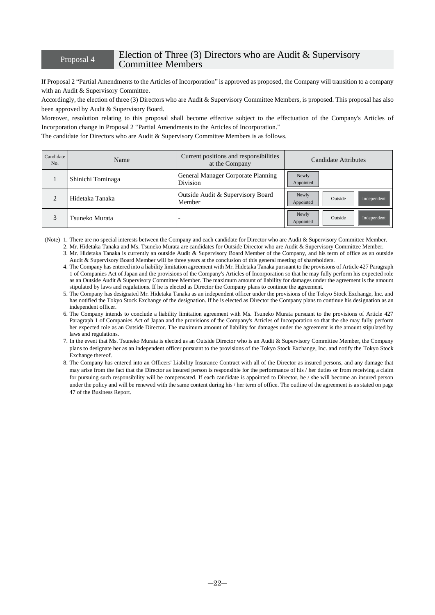## Proposal 4 Election of Three (3) Directors who are Audit & Supervisory Committee Members

If Proposal 2 "Partial Amendments to the Articles of Incorporation" is approved as proposed, the Company will transition to a company with an Audit & Supervisory Committee.

Accordingly, the election of three (3) Directors who are Audit & Supervisory Committee Members, is proposed. This proposal has also been approved by Audit & Supervisory Board.

Moreover, resolution relating to this proposal shall become effective subject to the effectuation of the Company's Articles of Incorporation change in Proposal 2 "Partial Amendments to the Articles of Incorporation."

The candidate for Directors who are Audit & Supervisory Committee Members is as follows.

| Candidate<br>No. | Name              | Current positions and responsibilities<br>at the Company | Candidate Attributes                         |
|------------------|-------------------|----------------------------------------------------------|----------------------------------------------|
|                  | Shinichi Tominaga | General Manager Corporate Planning<br>Division           | Newly<br>Appointed                           |
| $\bigcap$        | Hidetaka Tanaka   | Outside Audit & Supervisory Board<br>Member              | Newly<br>Independent<br>Outside<br>Appointed |
| 3                | Tsuneko Murata    |                                                          | Newly<br>Independent<br>Outside<br>Appointed |

(Note) 1. There are no special interests between the Company and each candidate for Director who are Audit & Supervisory Committee Member.

- 2. Mr. Hidetaka Tanaka and Ms. Tsuneko Murata are candidates for Outside Director who are Audit & Supervisory Committee Member. 3. Mr. Hidetaka Tanaka is currently an outside Audit & Supervisory Board Member of the Company, and his term of office as an outside Audit & Supervisory Board Member will be three years at the conclusion of this general meeting of shareholders.
- 4. The Company has entered into a liability limitation agreement with Mr. Hidetaka Tanaka pursuant to the provisions of Article 427 Paragraph 1 of Companies Act of Japan and the provisions of the Company's Articles of Incorporation so that he may fully perform his expected role as an Outside Audit & Supervisory Committee Member. The maximum amount of liability for damages under the agreement is the amount stipulated by laws and regulations. If he is elected as Director the Company plans to continue the agreement.
- 5. The Company has designated Mr. Hidetaka Tanaka as an independent officer under the provisions of the Tokyo Stock Exchange, Inc. and has notified the Tokyo Stock Exchange of the designation. If he is elected as Director the Company plans to continue his designation as an independent officer.
- 6. The Company intends to conclude a liability limitation agreement with Ms. Tsuneko Murata pursuant to the provisions of Article 427 Paragraph 1 of Companies Act of Japan and the provisions of the Company's Articles of Incorporation so that the she may fully perform her expected role as an Outside Director. The maximum amount of liability for damages under the agreement is the amount stipulated by laws and regulations.
- 7. In the event that Ms. Tsuneko Murata is elected as an Outside Director who is an Audit & Supervisory Committee Member, the Company plans to designate her as an independent officer pursuant to the provisions of the Tokyo Stock Exchange, Inc. and notify the Tokyo Stock Exchange thereof.
- 8. The Company has entered into an Officers' Liability Insurance Contract with all of the Director as insured persons, and any damage that may arise from the fact that the Director as insured person is responsible for the performance of his / her duties or from receiving a claim for pursuing such responsibility will be compensated. If each candidate is appointed to Director, he / she will become an insured person under the policy and will be renewed with the same content during his / her term of office. The outline of the agreement is as stated on page 47 of the Business Report.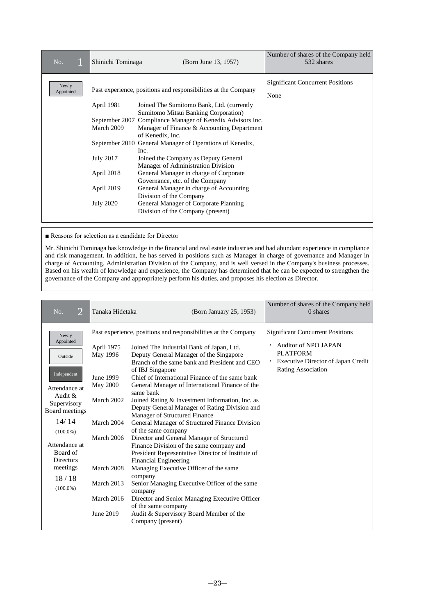| No.                | Shinichi Tominaga                                                                            | (Born June 13, 1957)                                                                                                                                                                                                                                                                                                                                                                                                                                                                                                                                                                                                                                                   | Number of shares of the Company held<br>532 shares |
|--------------------|----------------------------------------------------------------------------------------------|------------------------------------------------------------------------------------------------------------------------------------------------------------------------------------------------------------------------------------------------------------------------------------------------------------------------------------------------------------------------------------------------------------------------------------------------------------------------------------------------------------------------------------------------------------------------------------------------------------------------------------------------------------------------|----------------------------------------------------|
| Newly<br>Appointed | April 1981<br>March 2009<br><b>July 2017</b><br>April 2018<br>April 2019<br><b>July 2020</b> | Past experience, positions and responsibilities at the Company<br>Joined The Sumitomo Bank, Ltd. (currently<br>Sumitomo Mitsui Banking Corporation)<br>September 2007 Compliance Manager of Kenedix Advisors Inc.<br>Manager of Finance & Accounting Department<br>of Kenedix, Inc.<br>September 2010 General Manager of Operations of Kenedix,<br>Inc.<br>Joined the Company as Deputy General<br>Manager of Administration Division<br>General Manager in charge of Corporate<br>Governance, etc. of the Company<br>General Manager in charge of Accounting<br>Division of the Company<br>General Manager of Corporate Planning<br>Division of the Company (present) | <b>Significant Concurrent Positions</b><br>None    |

■ Reasons for selection as a candidate for Director

Mr. Shinichi Tominaga has knowledge in the financial and real estate industries and had abundant experience in compliance and risk management. In addition, he has served in positions such as Manager in charge of governance and Manager in charge of Accounting, Administration Division of the Company, and is well versed in the Company's business processes. Based on his wealth of knowledge and experience, the Company has determined that he can be expected to strengthen the governance of the Company and appropriately perform his duties, and proposes his election as Director.

| $\overline{2}$<br>No.                                                                                                                                                                                                     | Tanaka Hidetaka                                                                                                                                  | (Born January 25, 1953)                                                                                                                                                                                                                                                                                                                                                                                                                                                                                                                                                                                                                                                                                                                                                                                                                                                                                                                                                                        | Number of shares of the Company held<br>$0$ shares                                                                                                                        |
|---------------------------------------------------------------------------------------------------------------------------------------------------------------------------------------------------------------------------|--------------------------------------------------------------------------------------------------------------------------------------------------|------------------------------------------------------------------------------------------------------------------------------------------------------------------------------------------------------------------------------------------------------------------------------------------------------------------------------------------------------------------------------------------------------------------------------------------------------------------------------------------------------------------------------------------------------------------------------------------------------------------------------------------------------------------------------------------------------------------------------------------------------------------------------------------------------------------------------------------------------------------------------------------------------------------------------------------------------------------------------------------------|---------------------------------------------------------------------------------------------------------------------------------------------------------------------------|
| Newly<br>Appointed<br>Outside<br>Independent<br>Attendance at<br>Audit $\&$<br>Supervisory<br>Board meetings<br>14/14<br>$(100.0\%)$<br>Attendance at<br>Board of<br><b>Directors</b><br>meetings<br>18/18<br>$(100.0\%)$ | April 1975<br>May 1996<br>June 1999<br>May 2000<br>March 2002<br>March 2004<br>March 2006<br>March 2008<br>March 2013<br>March 2016<br>June 2019 | Past experience, positions and responsibilities at the Company<br>Joined The Industrial Bank of Japan, Ltd.<br>Deputy General Manager of the Singapore<br>Branch of the same bank and President and CEO<br>of IBJ Singapore<br>Chief of International Finance of the same bank<br>General Manager of International Finance of the<br>same bank<br>Joined Rating & Investment Information, Inc. as<br>Deputy General Manager of Rating Division and<br>Manager of Structured Finance<br>General Manager of Structured Finance Division<br>of the same company<br>Director and General Manager of Structured<br>Finance Division of the same company and<br>President Representative Director of Institute of<br>Financial Engineering<br>Managing Executive Officer of the same<br>company<br>Senior Managing Executive Officer of the same<br>company<br>Director and Senior Managing Executive Officer<br>of the same company<br>Audit & Supervisory Board Member of the<br>Company (present) | <b>Significant Concurrent Positions</b><br><b>Auditor of NPO JAPAN</b><br>$\bullet$<br><b>PLATFORM</b><br><b>Executive Director of Japan Credit</b><br>Rating Association |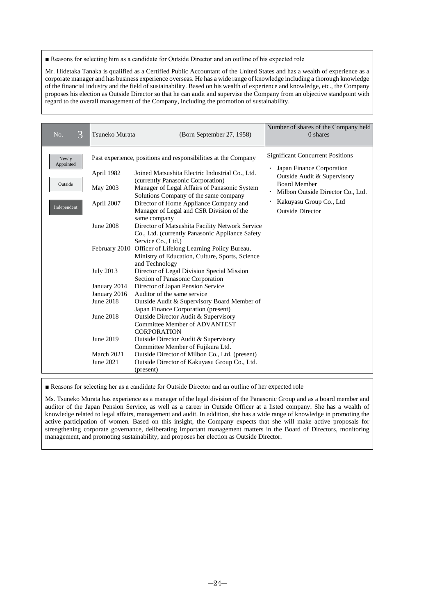#### ■ Reasons for selecting him as a candidate for Outside Director and an outline of his expected role

Mr. Hidetaka Tanaka is qualified as a Certified Public Accountant of the United States and has a wealth of experience as a corporate manager and has business experience overseas. He has a wide range of knowledge including a thorough knowledge of the financial industry and the field of sustainability. Based on his wealth of experience and knowledge, etc., the Company proposes his election as Outside Director so that he can audit and supervise the Company from an objective standpoint with regard to the overall management of the Company, including the promotion of sustainability.

| 3<br>No.                                     | Tsuneko Murata                                                                                                     | (Born September 27, 1958)                                                                                                                                                                                                                                                                                                                                                                                                                                                                                                                                                                                           | Number of shares of the Company held<br>$0$ shares                                                                                                                                                                                 |
|----------------------------------------------|--------------------------------------------------------------------------------------------------------------------|---------------------------------------------------------------------------------------------------------------------------------------------------------------------------------------------------------------------------------------------------------------------------------------------------------------------------------------------------------------------------------------------------------------------------------------------------------------------------------------------------------------------------------------------------------------------------------------------------------------------|------------------------------------------------------------------------------------------------------------------------------------------------------------------------------------------------------------------------------------|
| Newly<br>Appointed<br>Outside<br>Independent | April 1982<br>May 2003<br>April 2007<br><b>June 2008</b>                                                           | Past experience, positions and responsibilities at the Company<br>Joined Matsushita Electric Industrial Co., Ltd.<br>(currently Panasonic Corporation)<br>Manager of Legal Affairs of Panasonic System<br>Solutions Company of the same company<br>Director of Home Appliance Company and<br>Manager of Legal and CSR Division of the<br>same company<br>Director of Matsushita Facility Network Service<br>Co., Ltd. (currently Panasonic Appliance Safety<br>Service Co., Ltd.)<br>February 2010 Officer of Lifelong Learning Policy Bureau,<br>Ministry of Education, Culture, Sports, Science<br>and Technology | <b>Significant Concurrent Positions</b><br>Japan Finance Corporation<br>Outside Audit & Supervisory<br><b>Board Member</b><br>Milbon Outside Director Co., Ltd.<br>$\bullet$<br>Kakuyasu Group Co., Ltd<br><b>Outside Director</b> |
|                                              | <b>July 2013</b><br>January 2014<br>January 2016<br>June 2018<br>June 2018<br>June 2019<br>March 2021<br>June 2021 | Director of Legal Division Special Mission<br>Section of Panasonic Corporation<br>Director of Japan Pension Service<br>Auditor of the same service<br>Outside Audit & Supervisory Board Member of<br>Japan Finance Corporation (present)<br>Outside Director Audit & Supervisory<br>Committee Member of ADVANTEST<br><b>CORPORATION</b><br>Outside Director Audit & Supervisory<br>Committee Member of Fujikura Ltd.<br>Outside Director of Milbon Co., Ltd. (present)<br>Outside Director of Kakuyasu Group Co., Ltd.<br>(present)                                                                                 |                                                                                                                                                                                                                                    |

■ Reasons for selecting her as a candidate for Outside Director and an outline of her expected role

Ms. Tsuneko Murata has experience as a manager of the legal division of the Panasonic Group and as a board member and auditor of the Japan Pension Service, as well as a career in Outside Officer at a listed company. She has a wealth of knowledge related to legal affairs, management and audit. In addition, she has a wide range of knowledge in promoting the active participation of women. Based on this insight, the Company expects that she will make active proposals for strengthening corporate governance, deliberating important management matters in the Board of Directors, monitoring management, and promoting sustainability, and proposes her election as Outside Director.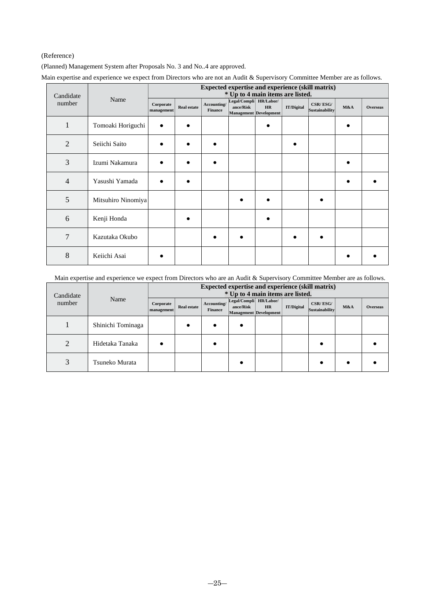## (Reference)

(Planned) Management System after Proposals No. 3 and No..4 are approved.

| Candidate      |                    | Expected expertise and experience (skill matrix)<br>* Up to 4 main items are listed. |                    |                        |                                     |                                     |                   |                            |     |                 |
|----------------|--------------------|--------------------------------------------------------------------------------------|--------------------|------------------------|-------------------------------------|-------------------------------------|-------------------|----------------------------|-----|-----------------|
| number         | Name               | Corporate<br>management                                                              | <b>Real estate</b> | Accounting/<br>Finance | Legal/Compli HR/Labor/<br>ance/Risk | <b>HR</b><br>Management Development | <b>IT/Digital</b> | CSR/ESG/<br>Sustainability | M&A | <b>Overseas</b> |
| 1              | Tomoaki Horiguchi  | $\bullet$                                                                            |                    |                        |                                     | ٠                                   |                   |                            |     |                 |
| $\overline{2}$ | Seiichi Saito      |                                                                                      |                    |                        |                                     |                                     |                   |                            |     |                 |
| 3              | Izumi Nakamura     | $\bullet$                                                                            | $\bullet$          |                        |                                     |                                     |                   |                            |     |                 |
| 4              | Yasushi Yamada     | $\epsilon$                                                                           |                    |                        |                                     |                                     |                   |                            |     |                 |
| 5              | Mitsuhiro Ninomiya |                                                                                      |                    |                        |                                     |                                     |                   |                            |     |                 |
| 6              | Kenji Honda        |                                                                                      |                    |                        |                                     |                                     |                   |                            |     |                 |
| 7              | Kazutaka Okubo     |                                                                                      |                    |                        |                                     |                                     |                   |                            |     |                 |
| 8              | Keiichi Asai       |                                                                                      |                    |                        |                                     |                                     |                   |                            |     |                 |

| Main expertise and experience we expect from Directors who are not an Audit & Supervisory Committee Member are as follows. |  |  |
|----------------------------------------------------------------------------------------------------------------------------|--|--|
|                                                                                                                            |  |  |
|                                                                                                                            |  |  |

Main expertise and experience we expect from Directors who are an Audit & Supervisory Committee Member are as follows.

| Candidate |                   | Expected expertise and experience (skill matrix)<br>* Up to 4 main items are listed. |                    |                               |                                     |                                     |                   |                            |     |                 |
|-----------|-------------------|--------------------------------------------------------------------------------------|--------------------|-------------------------------|-------------------------------------|-------------------------------------|-------------------|----------------------------|-----|-----------------|
| number    | Name              | Corporate<br>management                                                              | <b>Real estate</b> | Accounting/<br><b>Finance</b> | Legal/Compli HR/Labor/<br>ance/Risk | <b>HR</b><br>Management Development | <b>IT/Digital</b> | CSR/ESG/<br>Sustainability | M&A | <b>Overseas</b> |
|           | Shinichi Tominaga |                                                                                      |                    |                               |                                     |                                     |                   |                            |     |                 |
| 2         | Hidetaka Tanaka   |                                                                                      |                    |                               |                                     |                                     |                   |                            |     |                 |
| 3         | Tsuneko Murata    |                                                                                      |                    |                               |                                     |                                     |                   |                            |     |                 |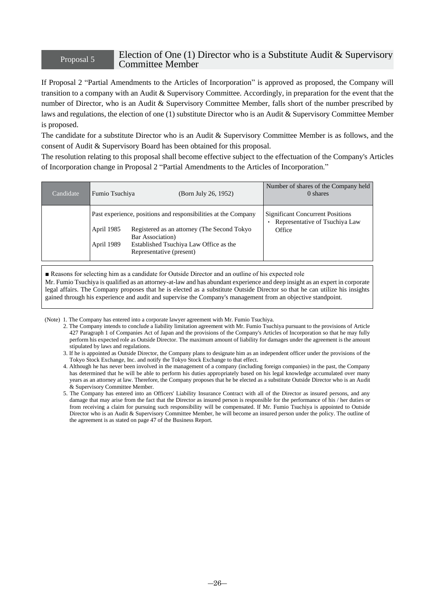## Proposal 5 Election of One (1) Director who is a Substitute Audit & Supervisory Committee Member

If Proposal 2 "Partial Amendments to the Articles of Incorporation" is approved as proposed, the Company will transition to a company with an Audit & Supervisory Committee. Accordingly, in preparation for the event that the number of Director, who is an Audit & Supervisory Committee Member, falls short of the number prescribed by laws and regulations, the election of one (1) substitute Director who is an Audit & Supervisory Committee Member is proposed.

The candidate for a substitute Director who is an Audit & Supervisory Committee Member is as follows, and the consent of Audit & Supervisory Board has been obtained for this proposal.

The resolution relating to this proposal shall become effective subject to the effectuation of the Company's Articles of Incorporation change in Proposal 2 "Partial Amendments to the Articles of Incorporation."

| Candidate | Fumio Tsuchiya           | (Born July 26, 1952)                                                                                                                                                                                    | Number of shares of the Company held<br>0 shares                                    |
|-----------|--------------------------|---------------------------------------------------------------------------------------------------------------------------------------------------------------------------------------------------------|-------------------------------------------------------------------------------------|
|           | April 1985<br>April 1989 | Past experience, positions and responsibilities at the Company<br>Registered as an attorney (The Second Tokyo<br>Bar Association)<br>Established Tsuchiya Law Office as the<br>Representative (present) | <b>Significant Concurrent Positions</b><br>Representative of Tsuchiya Law<br>Office |

■ Reasons for selecting him as a candidate for Outside Director and an outline of his expected role Mr. Fumio Tsuchiya is qualified as an attorney-at-law and has abundant experience and deep insight as an expert in corporate legal affairs. The Company proposes that he is elected as a substitute Outside Director so that he can utilize his insights gained through his experience and audit and supervise the Company's management from an objective standpoint.

(Note) 1. The Company has entered into a corporate lawyer agreement with Mr. Fumio Tsuchiya.

- 2. The Company intends to conclude a liability limitation agreement with Mr. Fumio Tsuchiya pursuant to the provisions of Article 427 Paragraph 1 of Companies Act of Japan and the provisions of the Company's Articles of Incorporation so that he may fully perform his expected role as Outside Director. The maximum amount of liability for damages under the agreement is the amount stipulated by laws and regulations.
- 3. If he is appointed as Outside Director, the Company plans to designate him as an independent officer under the provisions of the Tokyo Stock Exchange, Inc. and notify the Tokyo Stock Exchange to that effect.
- 4. Although he has never been involved in the management of a company (including foreign companies) in the past, the Company has determined that he will be able to perform his duties appropriately based on his legal knowledge accumulated over many years as an attorney at law. Therefore, the Company proposes that he be elected as a substitute Outside Director who is an Audit & Supervisory Committee Member.
- 5. The Company has entered into an Officers' Liability Insurance Contract with all of the Director as insured persons, and any damage that may arise from the fact that the Director as insured person is responsible for the performance of his / her duties or from receiving a claim for pursuing such responsibility will be compensated. If Mr. Fumio Tsuchiya is appointed to Outside Director who is an Audit & Supervisory Committee Member, he will become an insured person under the policy. The outline of the agreement is as stated on page 47 of the Business Report.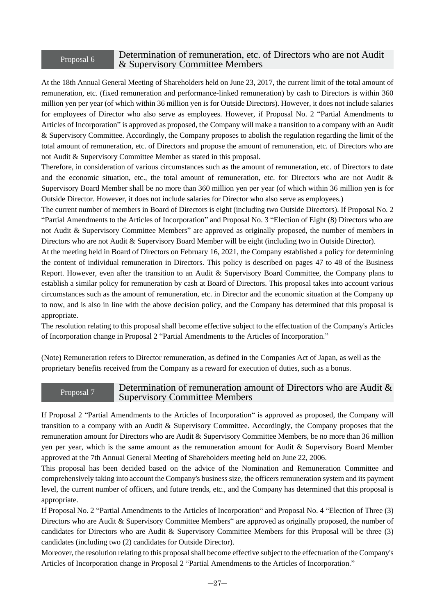## Proposal 6

## Determination of remuneration, etc. of Directors who are not Audit & Supervisory Committee Members

At the 18th Annual General Meeting of Shareholders held on June 23, 2017, the current limit of the total amount of remuneration, etc. (fixed remuneration and performance-linked remuneration) by cash to Directors is within 360 million yen per year (of which within 36 million yen is for Outside Directors). However, it does not include salaries for employees of Director who also serve as employees. However, if Proposal No. 2 "Partial Amendments to Articles of Incorporation" is approved as proposed, the Company will make a transition to a company with an Audit & Supervisory Committee. Accordingly, the Company proposes to abolish the regulation regarding the limit of the total amount of remuneration, etc. of Directors and propose the amount of remuneration, etc. of Directors who are not Audit & Supervisory Committee Member as stated in this proposal.

Therefore, in consideration of various circumstances such as the amount of remuneration, etc. of Directors to date and the economic situation, etc., the total amount of remuneration, etc. for Directors who are not Audit & Supervisory Board Member shall be no more than 360 million yen per year (of which within 36 million yen is for Outside Director. However, it does not include salaries for Director who also serve as employees.)

The current number of members in Board of Directors is eight (including two Outside Directors). If Proposal No. 2 "Partial Amendments to the Articles of Incorporation" and Proposal No. 3 "Election of Eight (8) Directors who are not Audit & Supervisory Committee Members" are approved as originally proposed, the number of members in Directors who are not Audit & Supervisory Board Member will be eight (including two in Outside Director).

At the meeting held in Board of Directors on February 16, 2021, the Company established a policy for determining the content of individual remuneration in Directors. This policy is described on pages 47 to 48 of the Business Report. However, even after the transition to an Audit & Supervisory Board Committee, the Company plans to establish a similar policy for remuneration by cash at Board of Directors. This proposal takes into account various circumstances such as the amount of remuneration, etc. in Director and the economic situation at the Company up to now, and is also in line with the above decision policy, and the Company has determined that this proposal is appropriate.

The resolution relating to this proposal shall become effective subject to the effectuation of the Company's Articles of Incorporation change in Proposal 2 "Partial Amendments to the Articles of Incorporation."

(Note) Remuneration refers to Director remuneration, as defined in the Companies Act of Japan, as well as the proprietary benefits received from the Company as a reward for execution of duties, such as a bonus.

## Proposal 7

## Determination of remuneration amount of Directors who are Audit & Supervisory Committee Members

If Proposal 2 "Partial Amendments to the Articles of Incorporation" is approved as proposed, the Company will transition to a company with an Audit & Supervisory Committee. Accordingly, the Company proposes that the remuneration amount for Directors who are Audit & Supervisory Committee Members, be no more than 36 million yen per year, which is the same amount as the remuneration amount for Audit & Supervisory Board Member approved at the 7th Annual General Meeting of Shareholders meeting held on June 22, 2006.

This proposal has been decided based on the advice of the Nomination and Remuneration Committee and comprehensively taking into account the Company's business size, the officers remuneration system and its payment level, the current number of officers, and future trends, etc., and the Company has determined that this proposal is appropriate.

If Proposal No. 2 "Partial Amendments to the Articles of Incorporation" and Proposal No. 4 "Election of Three (3) Directors who are Audit & Supervisory Committee Members" are approved as originally proposed, the number of candidates for Directors who are Audit & Supervisory Committee Members for this Proposal will be three (3) candidates (including two (2) candidates for Outside Director).

Moreover, the resolution relating to this proposal shall become effective subject to the effectuation of the Company's Articles of Incorporation change in Proposal 2 "Partial Amendments to the Articles of Incorporation."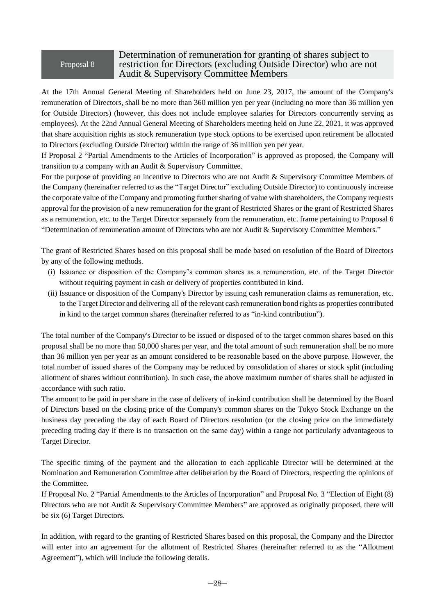## Proposal 8

## Determination of remuneration for granting of shares subject to restriction for Directors (excluding Outside Director) who are not Audit & Supervisory Committee Members

At the 17th Annual General Meeting of Shareholders held on June 23, 2017, the amount of the Company's remuneration of Directors, shall be no more than 360 million yen per year (including no more than 36 million yen for Outside Directors) (however, this does not include employee salaries for Directors concurrently serving as employees). At the 22nd Annual General Meeting of Shareholders meeting held on June 22, 2021, it was approved that share acquisition rights as stock remuneration type stock options to be exercised upon retirement be allocated to Directors (excluding Outside Director) within the range of 36 million yen per year.

If Proposal 2 "Partial Amendments to the Articles of Incorporation" is approved as proposed, the Company will transition to a company with an Audit & Supervisory Committee.

For the purpose of providing an incentive to Directors who are not Audit & Supervisory Committee Members of the Company (hereinafter referred to as the "Target Director" excluding Outside Director) to continuously increase the corporate value of the Company and promoting further sharing of value with shareholders, the Company requests approval for the provision of a new remuneration for the grant of Restricted Shares or the grant of Restricted Shares as a remuneration, etc. to the Target Director separately from the remuneration, etc. frame pertaining to Proposal 6 "Determination of remuneration amount of Directors who are not Audit & Supervisory Committee Members."

The grant of Restricted Shares based on this proposal shall be made based on resolution of the Board of Directors by any of the following methods.

- (i) Issuance or disposition of the Company's common shares as a remuneration, etc. of the Target Director without requiring payment in cash or delivery of properties contributed in kind.
- (ii) Issuance or disposition of the Company's Director by issuing cash remuneration claims as remuneration, etc. to the Target Director and delivering all of the relevant cash remuneration bond rights as properties contributed in kind to the target common shares (hereinafter referred to as "in-kind contribution").

The total number of the Company's Director to be issued or disposed of to the target common shares based on this proposal shall be no more than 50,000 shares per year, and the total amount of such remuneration shall be no more than 36 million yen per year as an amount considered to be reasonable based on the above purpose. However, the total number of issued shares of the Company may be reduced by consolidation of shares or stock split (including allotment of shares without contribution). In such case, the above maximum number of shares shall be adjusted in accordance with such ratio.

The amount to be paid in per share in the case of delivery of in-kind contribution shall be determined by the Board of Directors based on the closing price of the Company's common shares on the Tokyo Stock Exchange on the business day preceding the day of each Board of Directors resolution (or the closing price on the immediately preceding trading day if there is no transaction on the same day) within a range not particularly advantageous to Target Director.

The specific timing of the payment and the allocation to each applicable Director will be determined at the Nomination and Remuneration Committee after deliberation by the Board of Directors, respecting the opinions of the Committee.

If Proposal No. 2 "Partial Amendments to the Articles of Incorporation" and Proposal No. 3 "Election of Eight (8) Directors who are not Audit & Supervisory Committee Members" are approved as originally proposed, there will be six (6) Target Directors.

In addition, with regard to the granting of Restricted Shares based on this proposal, the Company and the Director will enter into an agreement for the allotment of Restricted Shares (hereinafter referred to as the "Allotment Agreement"), which will include the following details.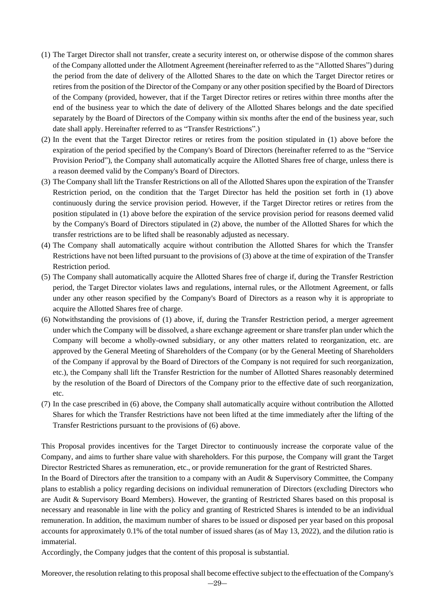- (1) The Target Director shall not transfer, create a security interest on, or otherwise dispose of the common shares of the Company allotted under the Allotment Agreement (hereinafter referred to as the "Allotted Shares") during the period from the date of delivery of the Allotted Shares to the date on which the Target Director retires or retires from the position of the Director of the Company or any other position specified by the Board of Directors of the Company (provided, however, that if the Target Director retires or retires within three months after the end of the business year to which the date of delivery of the Allotted Shares belongs and the date specified separately by the Board of Directors of the Company within six months after the end of the business year, such date shall apply. Hereinafter referred to as "Transfer Restrictions".)
- (2) In the event that the Target Director retires or retires from the position stipulated in (1) above before the expiration of the period specified by the Company's Board of Directors (hereinafter referred to as the "Service Provision Period"), the Company shall automatically acquire the Allotted Shares free of charge, unless there is a reason deemed valid by the Company's Board of Directors.
- (3) The Company shall lift the Transfer Restrictions on all of the Allotted Shares upon the expiration of the Transfer Restriction period, on the condition that the Target Director has held the position set forth in (1) above continuously during the service provision period. However, if the Target Director retires or retires from the position stipulated in (1) above before the expiration of the service provision period for reasons deemed valid by the Company's Board of Directors stipulated in (2) above, the number of the Allotted Shares for which the transfer restrictions are to be lifted shall be reasonably adjusted as necessary.
- (4) The Company shall automatically acquire without contribution the Allotted Shares for which the Transfer Restrictions have not been lifted pursuant to the provisions of (3) above at the time of expiration of the Transfer Restriction period.
- (5) The Company shall automatically acquire the Allotted Shares free of charge if, during the Transfer Restriction period, the Target Director violates laws and regulations, internal rules, or the Allotment Agreement, or falls under any other reason specified by the Company's Board of Directors as a reason why it is appropriate to acquire the Allotted Shares free of charge.
- (6) Notwithstanding the provisions of (1) above, if, during the Transfer Restriction period, a merger agreement under which the Company will be dissolved, a share exchange agreement or share transfer plan under which the Company will become a wholly-owned subsidiary, or any other matters related to reorganization, etc. are approved by the General Meeting of Shareholders of the Company (or by the General Meeting of Shareholders of the Company if approval by the Board of Directors of the Company is not required for such reorganization, etc.), the Company shall lift the Transfer Restriction for the number of Allotted Shares reasonably determined by the resolution of the Board of Directors of the Company prior to the effective date of such reorganization, etc.
- (7) In the case prescribed in (6) above, the Company shall automatically acquire without contribution the Allotted Shares for which the Transfer Restrictions have not been lifted at the time immediately after the lifting of the Transfer Restrictions pursuant to the provisions of (6) above.

This Proposal provides incentives for the Target Director to continuously increase the corporate value of the Company, and aims to further share value with shareholders. For this purpose, the Company will grant the Target Director Restricted Shares as remuneration, etc., or provide remuneration for the grant of Restricted Shares.

In the Board of Directors after the transition to a company with an Audit & Supervisory Committee, the Company plans to establish a policy regarding decisions on individual remuneration of Directors (excluding Directors who are Audit & Supervisory Board Members). However, the granting of Restricted Shares based on this proposal is necessary and reasonable in line with the policy and granting of Restricted Shares is intended to be an individual remuneration. In addition, the maximum number of shares to be issued or disposed per year based on this proposal accounts for approximately 0.1% of the total number of issued shares (as of May 13, 2022), and the dilution ratio is immaterial.

Accordingly, the Company judges that the content of this proposal is substantial.

Moreover, the resolution relating to this proposal shall become effective subject to the effectuation of the Company's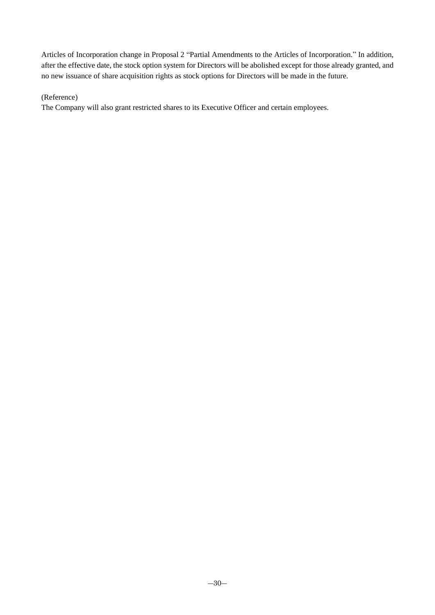Articles of Incorporation change in Proposal 2 "Partial Amendments to the Articles of Incorporation." In addition, after the effective date, the stock option system for Directors will be abolished except for those already granted, and no new issuance of share acquisition rights as stock options for Directors will be made in the future.

## (Reference)

The Company will also grant restricted shares to its Executive Officer and certain employees.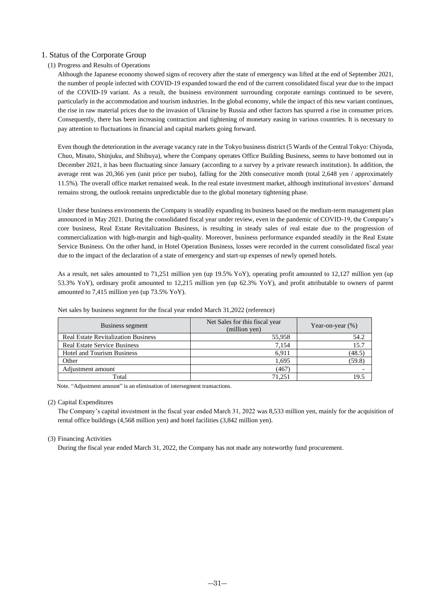## 1. Status of the Corporate Group

## (1) Progress and Results of Operations

Although the Japanese economy showed signs of recovery after the state of emergency was lifted at the end of September 2021, the number of people infected with COVID-19 expanded toward the end of the current consolidated fiscal year due to the impact of the COVID-19 variant. As a result, the business environment surrounding corporate earnings continued to be severe, particularly in the accommodation and tourism industries. In the global economy, while the impact of this new variant continues, the rise in raw material prices due to the invasion of Ukraine by Russia and other factors has spurred a rise in consumer prices. Consequently, there has been increasing contraction and tightening of monetary easing in various countries. It is necessary to pay attention to fluctuations in financial and capital markets going forward.

Even though the deterioration in the average vacancy rate in the Tokyo business district (5 Wards of the Central Tokyo: Chiyoda, Chuo, Minato, Shinjuku, and Shibuya), where the Company operates Office Building Business, seems to have bottomed out in December 2021, it has been fluctuating since January (according to a survey by a private research institution). In addition, the average rent was 20,366 yen (unit price per tsubo), falling for the 20th consecutive month (total 2,648 yen / approximately 11.5%). The overall office market remained weak. In the real estate investment market, although institutional investors' demand remains strong, the outlook remains unpredictable due to the global monetary tightening phase.

Under these business environments the Company is steadily expanding its business based on the medium-term management plan announced in May 2021. During the consolidated fiscal year under review, even in the pandemic of COVID-19, the Company's core business, Real Estate Revitalization Business, is resulting in steady sales of real estate due to the progression of commercialization with high-margin and high-quality. Moreover, business performance expanded steadily in the Real Estate Service Business. On the other hand, in Hotel Operation Business, losses were recorded in the current consolidated fiscal year due to the impact of the declaration of a state of emergency and start-up expenses of newly opened hotels.

As a result, net sales amounted to 71,251 million yen (up 19.5% YoY), operating profit amounted to 12,127 million yen (up 53.3% YoY), ordinary profit amounted to 12,215 million yen (up 62.3% YoY), and profit attributable to owners of parent amounted to 7,415 million yen (up 73.5% YoY).

| Business segment                           | Net Sales for this fiscal year<br>(million yen) | Year-on-year $(\%)$ |
|--------------------------------------------|-------------------------------------------------|---------------------|
| <b>Real Estate Revitalization Business</b> | 55,958                                          | 54.2                |
| <b>Real Estate Service Business</b>        | 7,154                                           | 15.7                |
| <b>Hotel and Tourism Business</b>          | 6,911                                           | (48.5)              |
| Other                                      | 1,695                                           | (59.8)              |
| Adjustment amount                          | (467)                                           |                     |
| Total                                      | 71.251                                          |                     |

Net sales by business segment for the fiscal year ended March 31,2022 (reference)

Note. "Adjustment amount" is an elimination of intersegment transactions.

## (2) Capital Expenditures

The Company's capital investment in the fiscal year ended March 31, 2022 was 8,533 million yen, mainly for the acquisition of rental office buildings (4,568 million yen) and hotel facilities (3,842 million yen).

#### (3) Financing Activities

During the fiscal year ended March 31, 2022, the Company has not made any noteworthy fund procurement.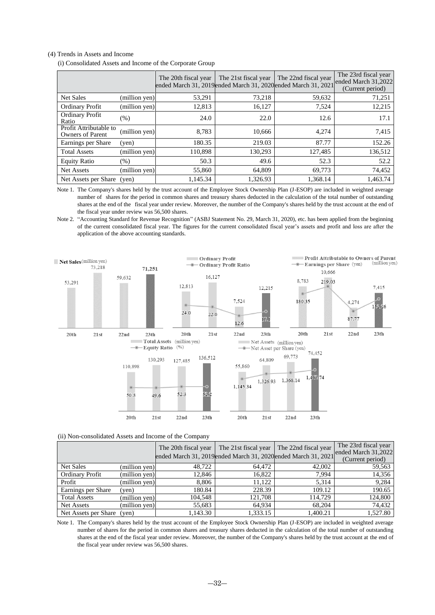#### (4) Trends in Assets and Income

(i) Consolidated Assets and Income of the Corporate Group

|                                                   |               | The 20th fiscal year<br>ended March 31, 2019ended March 31, 2020ended March 31, 2021 | The 21st fiscal year | The 22nd fiscal year | The 23rd fiscal year<br>ended March 31,2022<br>(Current period) |
|---------------------------------------------------|---------------|--------------------------------------------------------------------------------------|----------------------|----------------------|-----------------------------------------------------------------|
| <b>Net Sales</b>                                  | (million yen) | 53,291                                                                               | 73,218               | 59,632               | 71,251                                                          |
| <b>Ordinary Profit</b>                            | (million yen) | 12,813                                                                               | 16,127               | 7,524                | 12,215                                                          |
| <b>Ordinary Profit</b><br>Ratio                   | (%)           | 24.0                                                                                 | 22.0                 | 12.6                 | 17.1                                                            |
| Profit Attributable to<br><b>Owners of Parent</b> | (million yen) | 8.783                                                                                | 10.666               | 4,274                | 7,415                                                           |
| Earnings per Share                                | (yen)         | 180.35                                                                               | 219.03               | 87.77                | 152.26                                                          |
| <b>Total Assets</b>                               | (million yen) | 110,898                                                                              | 130,293              | 127,485              | 136,512                                                         |
| <b>Equity Ratio</b>                               | $(\%)$        | 50.3                                                                                 | 49.6                 | 52.3                 | 52.2                                                            |
| Net Assets                                        | (million yen) | 55,860                                                                               | 64.809               | 69,773               | 74,452                                                          |
| Net Assets per Share                              | (ven)         | 1,145.34                                                                             | 1,326.93             | 1,368.14             | 1,463.74                                                        |

Note 1. The Company's shares held by the trust account of the Employee Stock Ownership Plan (J-ESOP) are included in weighted average number of shares for the period in common shares and treasury shares deducted in the calculation of the total number of outstanding shares at the end of the fiscal year under review. Moreover, the number of the Company's shares held by the trust account at the end of the fiscal year under review was 56,500 shares.

Note 2. "Accounting Standard for Revenue Recognition" (ASBJ Statement No. 29, March 31, 2020), etc. has been applied from the beginning of the current consolidated fiscal year. The figures for the current consolidated fiscal year's assets and profit and loss are after the application of the above accounting standards.



| (ii) Non-consolidated Assets and Income of the Company |  |
|--------------------------------------------------------|--|
|--------------------------------------------------------|--|

|                            |               | The 20th fiscal year | The 21st fiscal year<br>ended March 31, 2019ended March 31, 2020ended March 31, 2021 | The 22nd fiscal year | The 23rd fiscal year<br>ended March 31,2022 |
|----------------------------|---------------|----------------------|--------------------------------------------------------------------------------------|----------------------|---------------------------------------------|
|                            |               |                      |                                                                                      |                      | (Current period)                            |
| <b>Net Sales</b>           | (million yen) | 48.722               | 64.472                                                                               | 42,002               | 59,563                                      |
| <b>Ordinary Profit</b>     | (million yen) | 12.846               | 16,822                                                                               | 7.994                | 14,356                                      |
| Profit                     | (million yen) | 8.806                | 11.122                                                                               | 5.314                | 9,284                                       |
| Earnings per Share         | (ven)         | 180.84               | 228.39                                                                               | 109.12               | 190.65                                      |
| <b>Total Assets</b>        | (million yen) | 104.548              | 121.708                                                                              | 114.729              | 124,800                                     |
| Net Assets                 | (million yen) | 55,683               | 64.934                                                                               | 68,204               | 74,432                                      |
| Net Assets per Share (yen) |               | 1,143.30             | 1,333.15                                                                             | 1,400.21             | 1,527.80                                    |

Note 1. The Company's shares held by the trust account of the Employee Stock Ownership Plan (J-ESOP) are included in weighted average number of shares for the period in common shares and treasury shares deducted in the calculation of the total number of outstanding shares at the end of the fiscal year under review. Moreover, the number of the Company's shares held by the trust account at the end of the fiscal year under review was 56,500 shares.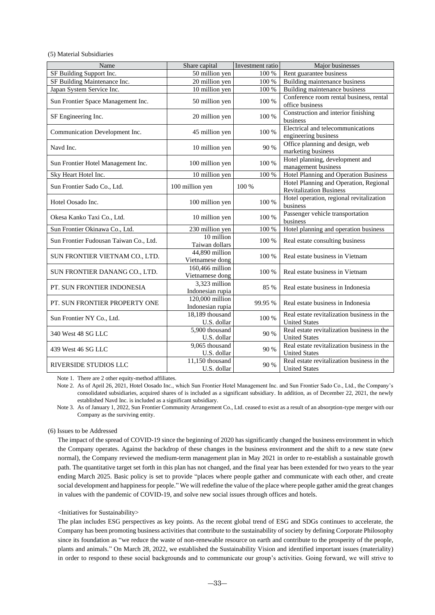(5) Material Subsidiaries

| Name                                   | Share capital                         | Investment ratio | Major businesses                                                         |
|----------------------------------------|---------------------------------------|------------------|--------------------------------------------------------------------------|
| SF Building Support Inc.               | 50 million yen                        | $100\,\%$        | Rent guarantee business                                                  |
| SF Building Maintenance Inc.           | 20 million yen                        | 100 %            | Building maintenance business                                            |
| Japan System Service Inc.              | 10 million yen                        | $100\,\%$        | <b>Building maintenance business</b>                                     |
| Sun Frontier Space Management Inc.     | 50 million yen                        | 100 %            | Conference room rental business, rental<br>office business               |
| SF Engineering Inc.                    | 20 million yen                        | 100 %            | Construction and interior finishing<br>business                          |
| Communication Development Inc.         | 45 million yen                        | 100 %            | Electrical and telecommunications<br>engineering business                |
| Navd Inc.                              | 10 million yen                        | 90 %             | Office planning and design, web<br>marketing business                    |
| Sun Frontier Hotel Management Inc.     | 100 million yen                       | 100 %            | Hotel planning, development and<br>management business                   |
| Sky Heart Hotel Inc.                   | 10 million yen                        | 100 %            | Hotel Planning and Operation Business                                    |
| Sun Frontier Sado Co., Ltd.            | 100 million yen                       | 100 %            | Hotel Planning and Operation, Regional<br><b>Revitalization Business</b> |
| Hotel Oosado Inc.                      | 100 million yen                       | 100 %            | Hotel operation, regional revitalization<br>business                     |
| Okesa Kanko Taxi Co., Ltd.             | 10 million yen                        | 100 %            | Passenger vehicle transportation<br>business                             |
| Sun Frontier Okinawa Co., Ltd.         | 230 million yen                       | 100 %            | Hotel planning and operation business                                    |
| Sun Frontier Fudousan Taiwan Co., Ltd. | 10 million<br>Taiwan dollars          | 100 %            | Real estate consulting business                                          |
| SUN FRONTIER VIETNAM CO., LTD.         | 44,890 million<br>Vietnamese dong     | 100 %            | Real estate business in Vietnam                                          |
| SUN FRONTIER DANANG CO., LTD.          | 160,466 million<br>Vietnamese dong    | 100 %            | Real estate business in Vietnam                                          |
| PT. SUN FRONTIER INDONESIA             | 3,323 million<br>Indonesian rupia     | 85 %             | Real estate business in Indonesia                                        |
| PT. SUN FRONTIER PROPERTY ONE          | $120,000$ million<br>Indonesian rupia | 99.95 %          | Real estate business in Indonesia                                        |
| Sun Frontier NY Co., Ltd.              | 18,189 thousand<br>U.S. dollar        | 100 %            | Real estate revitalization business in the<br><b>United States</b>       |
| 340 West 48 SG LLC                     | 5,900 thousand<br>U.S. dollar         | 90 %             | Real estate revitalization business in the<br><b>United States</b>       |
| 439 West 46 SG LLC                     | 9,065 thousand<br>U.S. dollar         | 90 %             | Real estate revitalization business in the<br><b>United States</b>       |
| <b>RIVERSIDE STUDIOS LLC</b>           | 11,150 thousand<br>U.S. dollar        | 90 %             | Real estate revitalization business in the<br><b>United States</b>       |

Note 1. There are 2 other equity-method affiliates.

Note 2. As of April 26, 2021, Hotel Oosado Inc., which Sun Frontier Hotel Management Inc. and Sun Frontier Sado Co., Ltd., the Company's consolidated subsidiaries, acquired shares of is included as a significant subsidiary. In addition, as of December 22, 2021, the newly established Navd Inc. is included as a significant subsidiary.

Note 3. As of January 1, 2022, Sun Frontier Community Arrangement Co., Ltd. ceased to exist as a result of an absorption-type merger with our Company as the surviving entity.

#### (6) Issues to be Addressed

The impact of the spread of COVID-19 since the beginning of 2020 has significantly changed the business environment in which the Company operates. Against the backdrop of these changes in the business environment and the shift to a new state (new normal), the Company reviewed the medium-term management plan in May 2021 in order to re-establish a sustainable growth path. The quantitative target set forth in this plan has not changed, and the final year has been extended for two years to the year ending March 2025. Basic policy is set to provide "places where people gather and communicate with each other, and create social development and happiness for people." We will redefine the value of the place where people gather amid the great changes in values with the pandemic of COVID-19, and solve new social issues through offices and hotels.

#### <Initiatives for Sustainability>

The plan includes ESG perspectives as key points. As the recent global trend of ESG and SDGs continues to accelerate, the Company has been promoting business activities that contribute to the sustainability of society by defining Corporate Philosophy since its foundation as "we reduce the waste of non-renewable resource on earth and contribute to the prosperity of the people, plants and animals." On March 28, 2022, we established the Sustainability Vision and identified important issues (materiality) in order to respond to these social backgrounds and to communicate our group's activities. Going forward, we will strive to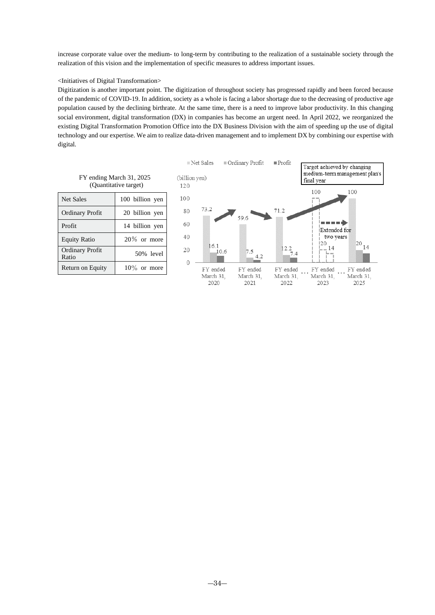increase corporate value over the medium- to long-term by contributing to the realization of a sustainable society through the realization of this vision and the implementation of specific measures to address important issues.

#### <Initiatives of Digital Transformation>

Digitization is another important point. The digitization of throughout society has progressed rapidly and been forced because of the pandemic of COVID-19. In addition, society as a whole is facing a labor shortage due to the decreasing of productive age population caused by the declining birthrate. At the same time, there is a need to improve labor productivity. In this changing social environment, digital transformation (DX) in companies has become an urgent need. In April 2022, we reorganized the existing Digital Transformation Promotion Office into the DX Business Division with the aim of speeding up the use of digital technology and our expertise. We aim to realize data-driven management and to implement DX by combining our expertise with digital.



| FY ending March 31, 2025 |  |
|--------------------------|--|
| (Quantitative target)    |  |
|                          |  |

Ordinary Profit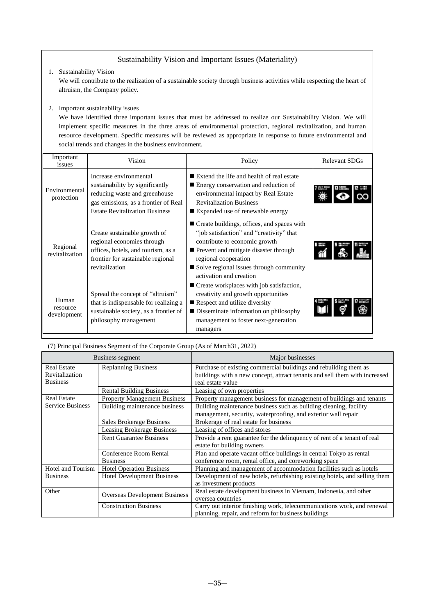## Sustainability Vision and Important Issues (Materiality)

1. Sustainability Vision

We will contribute to the realization of a sustainable society through business activities while respecting the heart of altruism, the Company policy.

## 2. Important sustainability issues

We have identified three important issues that must be addressed to realize our Sustainability Vision. We will implement specific measures in the three areas of environmental protection, regional revitalization, and human resource development. Specific measures will be reviewed as appropriate in response to future environmental and social trends and changes in the business environment.

| Important<br>issues              | Vision                                                                                                                                                                      | Policy                                                                                                                                                                                                                                                             | <b>Relevant SDGs</b> |
|----------------------------------|-----------------------------------------------------------------------------------------------------------------------------------------------------------------------------|--------------------------------------------------------------------------------------------------------------------------------------------------------------------------------------------------------------------------------------------------------------------|----------------------|
| Environmental<br>protection      | Increase environmental<br>sustainability by significantly<br>reducing waste and greenhouse<br>gas emissions, as a frontier of Real<br><b>Estate Revitalization Business</b> | ■ Extend the life and health of real estate<br>Energy conservation and reduction of<br>environmental impact by Real Estate<br><b>Revitalization Business</b><br>■ Expanded use of renewable energy                                                                 |                      |
| Regional<br>revitalization       | Create sustainable growth of<br>regional economies through<br>offices, hotels, and tourism, as a<br>frontier for sustainable regional<br>revitalization                     | ■ Create buildings, offices, and spaces with<br>"job satisfaction" and "creativity" that<br>contribute to economic growth<br>Prevent and mitigate disaster through<br>regional cooperation<br>■ Solve regional issues through community<br>activation and creation |                      |
| Human<br>resource<br>development | Spread the concept of "altruism"<br>that is indispensable for realizing a<br>sustainable society, as a frontier of<br>philosophy management                                 | ■ Create workplaces with job satisfaction,<br>creativity and growth opportunities<br>Respect and utilize diversity<br>■ Disseminate information on philosophy<br>management to foster next-generation<br>managers                                                  |                      |

(7) Principal Business Segment of the Corporate Group (As of March31, 2022)

| Business segment        |                                      | Major businesses                                                           |  |
|-------------------------|--------------------------------------|----------------------------------------------------------------------------|--|
| <b>Real Estate</b>      | <b>Replanning Business</b>           | Purchase of existing commercial buildings and rebuilding them as           |  |
| Revitalization          |                                      | buildings with a new concept, attract tenants and sell them with increased |  |
| <b>Business</b>         |                                      | real estate value                                                          |  |
|                         | <b>Rental Building Business</b>      | Leasing of own properties                                                  |  |
| <b>Real Estate</b>      | <b>Property Management Business</b>  | Property management business for management of buildings and tenants       |  |
| <b>Service Business</b> | Building maintenance business        | Building maintenance business such as building cleaning, facility          |  |
|                         |                                      | management, security, waterproofing, and exterior wall repair              |  |
|                         | <b>Sales Brokerage Business</b>      | Brokerage of real estate for business                                      |  |
|                         | <b>Leasing Brokerage Business</b>    | Leasing of offices and stores                                              |  |
|                         | <b>Rent Guarantee Business</b>       | Provide a rent guarantee for the delinquency of rent of a tenant of real   |  |
|                         |                                      | estate for building owners                                                 |  |
|                         | Conference Room Rental               | Plan and operate vacant office buildings in central Tokyo as rental        |  |
|                         | <b>Business</b>                      | conference room, rental office, and coreworking space                      |  |
| Hotel and Tourism       | <b>Hotel Operation Business</b>      | Planning and management of accommodation facilities such as hotels         |  |
| <b>Business</b>         | <b>Hotel Development Business</b>    | Development of new hotels, refurbishing existing hotels, and selling them  |  |
|                         |                                      | as investment products                                                     |  |
| Other                   | <b>Overseas Development Business</b> | Real estate development business in Vietnam, Indonesia, and other          |  |
|                         |                                      | oversea countries                                                          |  |
|                         | <b>Construction Business</b>         | Carry out interior finishing work, telecommunications work, and renewal    |  |
|                         |                                      | planning, repair, and reform for business buildings                        |  |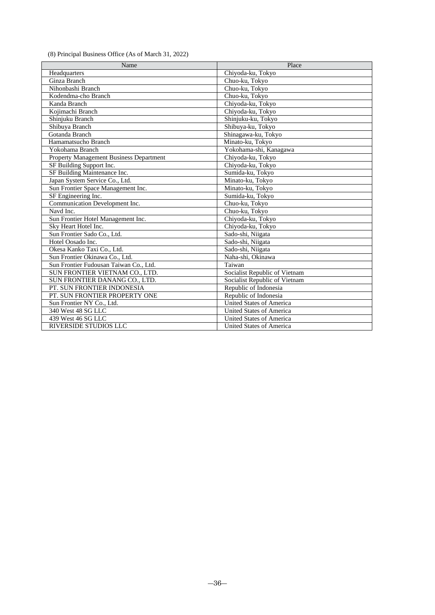(8) Principal Business Office (As of March 31, 2022)

| Name                                    | Place                           |
|-----------------------------------------|---------------------------------|
| Headquarters                            | Chiyoda-ku, Tokyo               |
| Ginza Branch                            | Chuo-ku, Tokyo                  |
| Nihonbashi Branch                       | Chuo-ku, Tokyo                  |
| Kodendma-cho Branch                     | Chuo-ku, Tokyo                  |
| Kanda Branch                            | Chiyoda-ku, Tokyo               |
| Koiimachi Branch                        | Chiyoda-ku, Tokyo               |
| Shinjuku Branch                         | Shinjuku-ku, Tokyo              |
| Shibuya Branch                          | Shibuya-ku, Tokyo               |
| Gotanda Branch                          | Shinagawa-ku, Tokyo             |
| Hamamatsucho Branch                     | Minato-ku, Tokyo                |
| Yokohama Branch                         | Yokohama-shi, Kanagawa          |
| Property Management Business Department | Chiyoda-ku, Tokyo               |
| SF Building Support Inc.                | Chiyoda-ku, Tokyo               |
| SF Building Maintenance Inc.            | Sumida-ku, Tokyo                |
| Japan System Service Co., Ltd.          | Minato-ku, Tokyo                |
| Sun Frontier Space Management Inc.      | Minato-ku, Tokyo                |
| SF Engineering Inc.                     | Sumida-ku, Tokyo                |
| Communication Development Inc.          | Chuo-ku, Tokyo                  |
| Navd Inc.                               | Chuo-ku, Tokyo                  |
| Sun Frontier Hotel Management Inc.      | Chiyoda-ku, Tokyo               |
| Sky Heart Hotel Inc.                    | Chiyoda-ku, Tokyo               |
| Sun Frontier Sado Co., Ltd.             | Sado-shi, Niigata               |
| Hotel Oosado Inc.                       | Sado-shi, Niigata               |
| Okesa Kanko Taxi Co., Ltd.              | Sado-shi, Niigata               |
| Sun Frontier Okinawa Co., Ltd.          | Naha-shi, Okinawa               |
| Sun Frontier Fudousan Taiwan Co., Ltd.  | Taiwan                          |
| SUN FRONTIER VIETNAM CO., LTD.          | Socialist Republic of Vietnam   |
| SUN FRONTIER DANANG CO., LTD.           | Socialist Republic of Vietnam   |
| PT. SUN FRONTIER INDONESIA              | Republic of Indonesia           |
| PT. SUN FRONTIER PROPERTY ONE           | Republic of Indonesia           |
| Sun Frontier NY Co., Ltd.               | <b>United States of America</b> |
| 340 West 48 SG LLC                      | <b>United States of America</b> |
| 439 West 46 SG LLC                      | <b>United States of America</b> |
| <b>RIVERSIDE STUDIOS LLC</b>            | United States of America        |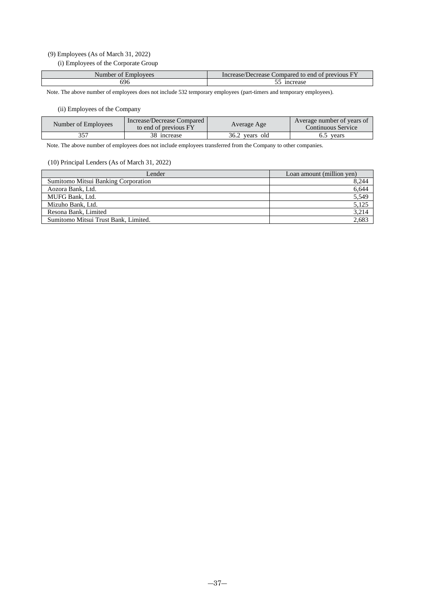## (9) Employees (As of March 31, 2022)

(i) Employees of the Corporate Group

| Number of Employees | Increase/Decrease Compared to end of previous FY |
|---------------------|--------------------------------------------------|
| 696                 | increase                                         |

Note. The above number of employees does not include 532 temporary employees (part-timers and temporary employees).

## (ii) Employees of the Company

| Number of Employees | Increase/Decrease Compared<br>to end of previous FY | Average Age    | Average number of years of<br>Continuous Service |
|---------------------|-----------------------------------------------------|----------------|--------------------------------------------------|
|                     | 38 increase                                         | 36.2 years old | vears                                            |

Note. The above number of employees does not include employees transferred from the Company to other companies.

## (10) Principal Lenders (As of March 31, 2022)

| Lender                               | Loan amount (million yen) |
|--------------------------------------|---------------------------|
| Sumitomo Mitsui Banking Corporation  | 8,244                     |
| Aozora Bank, Ltd.                    | 6,644                     |
| MUFG Bank, Ltd.                      | 5,549                     |
| Mizuho Bank, Ltd.                    | 5,125                     |
| Resona Bank, Limited                 | 3,214                     |
| Sumitomo Mitsui Trust Bank, Limited. | 2,683                     |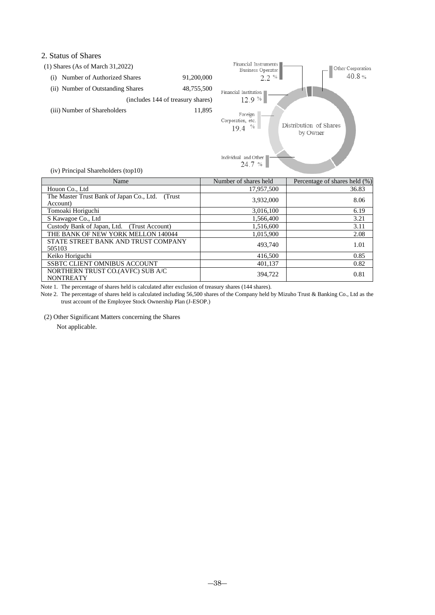## 2. Status of Shares

| $(1)$ Shares (As of March 31,2022) |                                   |
|------------------------------------|-----------------------------------|
| Number of Authorized Shares<br>(1) | 91,200,000                        |
| (ii) Number of Outstanding Shares  | 48,755,500                        |
|                                    | (includes 144 of treasury shares) |
| (iii) Number of Shareholders       | 11.895                            |
|                                    |                                   |



(iv) Principal Shareholders (top10)

| Name                                                        | Number of shares held | Percentage of shares held (%) |
|-------------------------------------------------------------|-----------------------|-------------------------------|
| Houon Co., Ltd                                              | 17,957,500            | 36.83                         |
| The Master Trust Bank of Japan Co., Ltd. (Trust<br>Account) | 3,932,000             | 8.06                          |
| Tomoaki Horiguchi                                           | 3.016.100             | 6.19                          |
| S Kawagoe Co., Ltd                                          | 1,566,400             | 3.21                          |
| Custody Bank of Japan, Ltd. (Trust Account)                 | 1,516,600             | 3.11                          |
| THE BANK OF NEW YORK MELLON 140044                          | 1,015,900             | 2.08                          |
| STATE STREET BANK AND TRUST COMPANY<br>505103               | 493,740               | 1.01                          |
| Keiko Horiguchi                                             | 416,500               | 0.85                          |
| SSBTC CLIENT OMNIBUS ACCOUNT                                | 401,137               | 0.82                          |
| NORTHERN TRUST CO.(AVFC) SUB A/C<br><b>NONTREATY</b>        | 394.722               | 0.81                          |

Note 1. The percentage of shares held is calculated after exclusion of treasury shares (144 shares).

Note 2. The percentage of shares held is calculated including 56,500 shares of the Company held by Mizuho Trust & Banking Co., Ltd as the trust account of the Employee Stock Ownership Plan (J-ESOP.)

(2) Other Significant Matters concerning the Shares

Not applicable.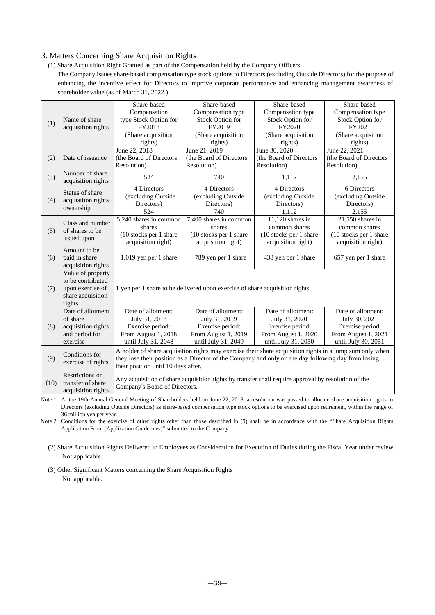## 3. Matters Concerning Share Acquisition Rights

(1) Share Acquisition Right Granted as part of the Compensation held by the Company Officers

The Company issues share-based compensation type stock options to Directors (excluding Outside Directors) for the purpose of enhancing the incentive effect for Directors to improve corporate performance and enhancing management awareness of shareholder value (as of March 31, 2022.)

|                                                                                                                                  |                                     | Share-based                                                                                         | Share-based                                                                                              | Share-based             | Share-based             |
|----------------------------------------------------------------------------------------------------------------------------------|-------------------------------------|-----------------------------------------------------------------------------------------------------|----------------------------------------------------------------------------------------------------------|-------------------------|-------------------------|
|                                                                                                                                  |                                     | Compensation                                                                                        | Compensation type                                                                                        | Compensation type       | Compensation type       |
|                                                                                                                                  | Name of share                       | type Stock Option for                                                                               | Stock Option for                                                                                         | Stock Option for        | Stock Option for        |
| (1)                                                                                                                              | acquisition rights                  | FY2018                                                                                              | FY2019                                                                                                   | FY2020                  | FY2021                  |
|                                                                                                                                  |                                     | (Share acquisition                                                                                  | (Share acquisition                                                                                       | (Share acquisition      | (Share acquisition      |
|                                                                                                                                  |                                     | rights)                                                                                             | rights)                                                                                                  | rights)                 | rights)                 |
|                                                                                                                                  |                                     | June 22, 2018                                                                                       | June 21, 2019                                                                                            | June 30, 2020           | June 22, 2021           |
| (2)                                                                                                                              | Date of issuance                    | (the Board of Directors                                                                             | (the Board of Directors                                                                                  | (the Board of Directors | (the Board of Directors |
|                                                                                                                                  |                                     | Resolution)                                                                                         | Resolution)                                                                                              | Resolution)             | Resolution)             |
|                                                                                                                                  | Number of share                     |                                                                                                     |                                                                                                          |                         |                         |
| (3)                                                                                                                              | acquisition rights                  | 524                                                                                                 | 740                                                                                                      | 1,112                   | 2,155                   |
|                                                                                                                                  | Status of share                     | 4 Directors                                                                                         | 4 Directors                                                                                              | 4 Directors             | 6 Directors             |
|                                                                                                                                  |                                     | (excluding Outside                                                                                  | (excluding Outside                                                                                       | (excluding Outside      | (excluding Outside      |
| (4)                                                                                                                              | acquisition rights                  | Directors)                                                                                          | Directors)                                                                                               | Directors)              | Directors)              |
|                                                                                                                                  | ownership                           | 524                                                                                                 | 740                                                                                                      | 1,112                   | 2,155                   |
|                                                                                                                                  | Class and number                    | 5,240 shares in common                                                                              | 7,400 shares in common                                                                                   | $11,120$ shares in      | $21,550$ shares in      |
| (5)                                                                                                                              | of shares to be                     | shares                                                                                              | shares                                                                                                   | common shares           | common shares           |
|                                                                                                                                  | issued upon                         | (10 stocks per 1 share                                                                              | (10 stocks per 1 share                                                                                   | (10 stocks per 1 share  | (10 stocks per 1 share  |
|                                                                                                                                  |                                     | acquisition right)                                                                                  | acquisition right)                                                                                       | acquisition right)      | acquisition right)      |
|                                                                                                                                  | Amount to be                        |                                                                                                     |                                                                                                          |                         |                         |
| (6)                                                                                                                              | paid in share                       | 1,019 yen per 1 share                                                                               | 789 yen per 1 share                                                                                      | 438 yen per 1 share     | 657 yen per 1 share     |
|                                                                                                                                  | acquisition rights                  |                                                                                                     |                                                                                                          |                         |                         |
|                                                                                                                                  | Value of property                   |                                                                                                     |                                                                                                          |                         |                         |
|                                                                                                                                  | to be contributed                   |                                                                                                     |                                                                                                          |                         |                         |
| (7)                                                                                                                              | upon exercise of                    |                                                                                                     | 1 yen per 1 share to be delivered upon exercise of share acquisition rights                              |                         |                         |
|                                                                                                                                  | share acquisition                   |                                                                                                     |                                                                                                          |                         |                         |
|                                                                                                                                  | rights                              |                                                                                                     |                                                                                                          |                         |                         |
|                                                                                                                                  | Date of allotment                   | Date of allotment:                                                                                  | Date of allotment:                                                                                       | Date of allotment:      | Date of allotment:      |
|                                                                                                                                  | of share                            | July 31, 2018                                                                                       | July 31, 2019                                                                                            | July 31, 2020           | July 30, 2021           |
| (8)                                                                                                                              | acquisition rights                  | Exercise period:                                                                                    | Exercise period:                                                                                         | Exercise period:        | Exercise period:        |
|                                                                                                                                  | and period for                      | From August 1, 2018                                                                                 | From August 1, 2019                                                                                      | From August 1, 2020     | From August 1, 2021     |
|                                                                                                                                  | exercise                            | until July 31, 2048                                                                                 | until July 31, 2049                                                                                      | until July 31, 2050     | until July 30, 2051     |
|                                                                                                                                  | Conditions for                      |                                                                                                     | A holder of share acquisition rights may exercise their share acquisition rights in a lump sum only when |                         |                         |
| (9)<br>they lose their position as a Director of the Company and only on the day following day from losing<br>exercise of rights |                                     |                                                                                                     |                                                                                                          |                         |                         |
|                                                                                                                                  | their position until 10 days after. |                                                                                                     |                                                                                                          |                         |                         |
|                                                                                                                                  | Restrictions on                     | Any acquisition of share acquisition rights by transfer shall require approval by resolution of the |                                                                                                          |                         |                         |
| (10)                                                                                                                             | transfer of share                   | Company's Board of Directors.                                                                       |                                                                                                          |                         |                         |
|                                                                                                                                  | acquisition rights                  |                                                                                                     |                                                                                                          |                         |                         |

Note 1. At the 19th Annual General Meeting of Shareholders held on June 22, 2018, a resolution was passed to allocate share acquisition rights to Directors (excluding Outside Directors) as share-based compensation type stock options to be exercised upon retirement, within the range of 36 million yen per year.

Note 2. Conditions for the exercise of other rights other than those described in (9) shall be in accordance with the "Share Acquisition Rights Application Form (Application Guidelines)" submitted to the Company.

(2) Share Acquisition Rights Delivered to Employees as Consideration for Execution of Duties during the Fiscal Year under review Not applicable.

(3) Other Significant Matters concerning the Share Acquisition Rights Not applicable.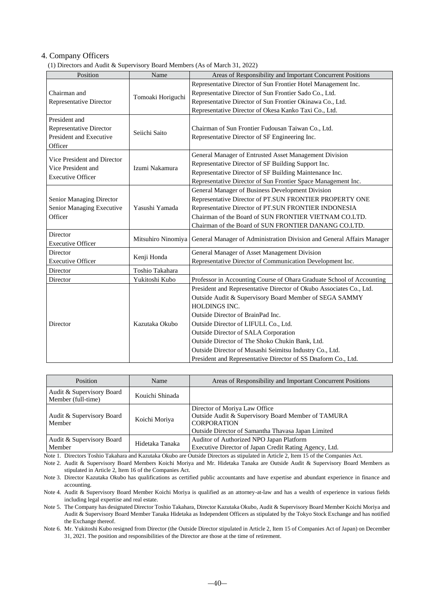## 4. Company Officers

(1) Directors and Audit & Supervisory Board Members (As of March 31, 2022)

| Position                                          | Name               | Areas of Responsibility and Important Concurrent Positions             |
|---------------------------------------------------|--------------------|------------------------------------------------------------------------|
|                                                   |                    | Representative Director of Sun Frontier Hotel Management Inc.          |
| Chairman and                                      | Tomoaki Horiguchi  | Representative Director of Sun Frontier Sado Co., Ltd.                 |
| <b>Representative Director</b>                    |                    | Representative Director of Sun Frontier Okinawa Co., Ltd.              |
|                                                   |                    | Representative Director of Okesa Kanko Taxi Co., Ltd.                  |
| President and                                     |                    |                                                                        |
| Representative Director                           |                    | Chairman of Sun Frontier Fudousan Taiwan Co., Ltd.                     |
| President and Executive                           | Seiichi Saito      | Representative Director of SF Engineering Inc.                         |
| Officer                                           |                    |                                                                        |
|                                                   |                    | General Manager of Entrusted Asset Management Division                 |
| Vice President and Director<br>Vice President and | Izumi Nakamura     | Representative Director of SF Building Support Inc.                    |
| <b>Executive Officer</b>                          |                    | Representative Director of SF Building Maintenance Inc.                |
|                                                   |                    | Representative Director of Sun Frontier Space Management Inc.          |
|                                                   |                    | General Manager of Business Development Division                       |
| <b>Senior Managing Director</b>                   | Yasushi Yamada     | Representative Director of PT.SUN FRONTIER PROPERTY ONE                |
| Senior Managing Executive                         |                    | Representative Director of PT.SUN FRONTIER INDONESIA                   |
| Officer                                           |                    | Chairman of the Board of SUN FRONTIER VIETNAM CO.LTD.                  |
|                                                   |                    | Chairman of the Board of SUN FRONTIER DANANG CO.LTD.                   |
| Director                                          | Mitsuhiro Ninomiya | General Manager of Administration Division and General Affairs Manager |
| <b>Executive Officer</b>                          |                    |                                                                        |
| Director                                          | Kenji Honda        | General Manager of Asset Management Division                           |
| <b>Executive Officer</b>                          |                    | Representative Director of Communication Development Inc.              |
| Director                                          | Toshio Takahara    |                                                                        |
| Director                                          | Yukitoshi Kubo     | Professor in Accounting Course of Ohara Graduate School of Accounting  |
|                                                   |                    | President and Representative Director of Okubo Associates Co., Ltd.    |
|                                                   |                    | Outside Audit & Supervisory Board Member of SEGA SAMMY                 |
|                                                   |                    | HOLDINGS INC.                                                          |
|                                                   |                    | Outside Director of BrainPad Inc.                                      |
| Director                                          | Kazutaka Okubo     | Outside Director of LIFULL Co., Ltd.                                   |
|                                                   |                    | Outside Director of SALA Corporation                                   |
|                                                   |                    | Outside Director of The Shoko Chukin Bank, Ltd.                        |
|                                                   |                    | Outside Director of Musashi Seimitsu Industry Co., Ltd.                |
|                                                   |                    | President and Representative Director of SS Dnaform Co., Ltd.          |

| <b>Position</b>                                 | Name            | Areas of Responsibility and Important Concurrent Positions                                                                                                      |
|-------------------------------------------------|-----------------|-----------------------------------------------------------------------------------------------------------------------------------------------------------------|
| Audit & Supervisory Board<br>Member (full-time) | Kouichi Shinada |                                                                                                                                                                 |
| Audit & Supervisory Board<br>Member             | Koichi Moriya   | Director of Moriya Law Office<br>Outside Audit & Supervisory Board Member of TAMURA<br><b>CORPORATION</b><br>Outside Director of Samantha Thavasa Japan Limited |
| Audit & Supervisory Board<br>Member             | Hidetaka Tanaka | Auditor of Authorized NPO Japan Platform<br>Executive Director of Japan Credit Rating Agency, Ltd.                                                              |

Note 1. Directors Toshio Takahara and Kazutaka Okubo are Outside Directors as stipulated in Article 2, Item 15 of the Companies Act.

Note 2. Audit & Supervisory Board Members Koichi Moriya and Mr. Hidetaka Tanaka are Outside Audit & Supervisory Board Members as stipulated in Article 2, Item 16 of the Companies Act.

Note 4. Audit & Supervisory Board Member Koichi Moriya is qualified as an attorney-at-law and has a wealth of experience in various fields including legal expertise and real estate.

Note 5. The Company has designated Director Toshio Takahara, Director Kazutaka Okubo, Audit & Supervisory Board Member Koichi Moriya and Audit & Supervisory Board Member Tanaka Hidetaka as Independent Officers as stipulated by the Tokyo Stock Exchange and has notified the Exchange thereof.

Note 6. Mr. Yukitoshi Kubo resigned from Director (the Outside Director stipulated in Article 2, Item 15 of Companies Act of Japan) on December 31, 2021. The position and responsibilities of the Director are those at the time of retirement.

Note 3. Director Kazutaka Okubo has qualifications as certified public accountants and have expertise and abundant experience in finance and accounting.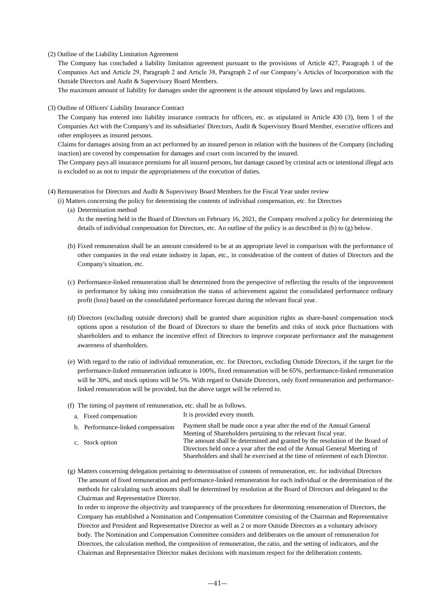#### (2) Outline of the Liability Limitation Agreement

The Company has concluded a liability limitation agreement pursuant to the provisions of Article 427, Paragraph 1 of the Companies Act and Article 29, Paragraph 2 and Article 38, Paragraph 2 of our Company's Articles of Incorporation with the Outside Directors and Audit & Supervisory Board Members.

The maximum amount of liability for damages under the agreement is the amount stipulated by laws and regulations.

(3) Outline of Officers' Liability Insurance Contract

The Company has entered into liability insurance contracts for officers, etc. as stipulated in Article 430 (3), Item 1 of the Companies Act with the Company's and its subsidiaries' Directors, Audit & Supervisory Board Member, executive officers and other employees as insured persons.

Claims for damages arising from an act performed by an insured person in relation with the business of the Company (including inaction) are covered by compensation for damages and court costs incurred by the insured.

The Company pays all insurance premiums for all insured persons, but damage caused by criminal acts or intentional illegal acts is excluded so as not to impair the appropriateness of the execution of duties.

- (4) Remuneration for Directors and Audit & Supervisory Board Members for the Fiscal Year under review
	- (i) Matters concerning the policy for determining the contents of individual compensation, etc. for Directors
		- (a) Determination method

At the meeting held in the Board of Directors on February 16, 2021, the Company resolved a policy for determining the details of individual compensation for Directors, etc. An outline of the policy is as described in (b) to (g) below.

- (b) Fixed remuneration shall be an amount considered to be at an appropriate level in comparison with the performance of other companies in the real estate industry in Japan, etc., in consideration of the content of duties of Directors and the Company's situation, etc.
- (c) Performance-linked remuneration shall be determined from the perspective of reflecting the results of the improvement in performance by taking into consideration the status of achievement against the consolidated performance ordinary profit (loss) based on the consolidated performance forecast during the relevant fiscal year.
- (d) Directors (excluding outside directors) shall be granted share acquisition rights as share-based compensation stock options upon a resolution of the Board of Directors to share the benefits and risks of stock price fluctuations with shareholders and to enhance the incentive effect of Directors to improve corporate performance and the management awareness of shareholders.
- (e) With regard to the ratio of individual remuneration, etc. for Directors, excluding Outside Directors, if the target for the performance-linked remuneration indicator is 100%, fixed remuneration will be 65%, performance-linked remuneration will be 30%, and stock options will be 5%. With regard to Outside Directors, only fixed remuneration and performancelinked remuneration will be provided, but the above target will be referred to.
- (f) The timing of payment of remuneration, etc. shall be as follows.
	- a. Fixed compensation It is provided every month.

| b. Performance-linked compensation | Payment shall be made once a year after the end of the Annual General<br>Meeting of Shareholders pertaining to the relevant fiscal year.                                                                                                     |
|------------------------------------|----------------------------------------------------------------------------------------------------------------------------------------------------------------------------------------------------------------------------------------------|
| c. Stock option                    | The amount shall be determined and granted by the resolution of the Board of<br>Directors held once a year after the end of the Annual General Meeting of<br>Shareholders and shall be exercised at the time of retirement of each Director. |

(g) Matters concerning delegation pertaining to determination of contents of remuneration, etc. for individual Directors The amount of fixed remuneration and performance-linked remuneration for each individual or the determination of the methods for calculating such amounts shall be determined by resolution at the Board of Directors and delegated to the Chairman and Representative Director.

In order to improve the objectivity and transparency of the procedures for determining renumeration of Directors, the Company has established a Nomination and Compensation Committee consisting of the Chairman and Representative Director and President and Representative Director as well as 2 or more Outside Directors as a voluntary advisory body. The Nomination and Compensation Committee considers and deliberates on the amount of remuneration for Directors, the calculation method, the composition of remuneration, the ratio, and the setting of indicators, and the Chairman and Representative Director makes decisions with maximum respect for the deliberation contents.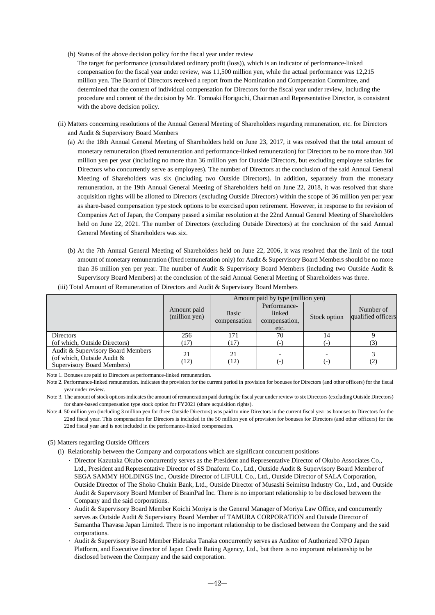- (h) Status of the above decision policy for the fiscal year under review
	- The target for performance (consolidated ordinary profit (loss)), which is an indicator of performance-linked compensation for the fiscal year under review, was 11,500 million yen, while the actual performance was 12,215 million yen. The Board of Directors received a report from the Nomination and Compensation Committee, and determined that the content of individual compensation for Directors for the fiscal year under review, including the procedure and content of the decision by Mr. Tomoaki Horiguchi, Chairman and Representative Director, is consistent with the above decision policy.
- (ii) Matters concerning resolutions of the Annual General Meeting of Shareholders regarding remuneration, etc. for Directors and Audit & Supervisory Board Members
	- (a) At the 18th Annual General Meeting of Shareholders held on June 23, 2017, it was resolved that the total amount of monetary remuneration (fixed remuneration and performance-linked remuneration) for Directors to be no more than 360 million yen per year (including no more than 36 million yen for Outside Directors, but excluding employee salaries for Directors who concurrently serve as employees). The number of Directors at the conclusion of the said Annual General Meeting of Shareholders was six (including two Outside Directors). In addition, separately from the monetary remuneration, at the 19th Annual General Meeting of Shareholders held on June 22, 2018, it was resolved that share acquisition rights will be allotted to Directors (excluding Outside Directors) within the scope of 36 million yen per year as share-based compensation type stock options to be exercised upon retirement. However, in response to the revision of Companies Act of Japan, the Company passed a similar resolution at the 22nd Annual General Meeting of Shareholders held on June 22, 2021. The number of Directors (excluding Outside Directors) at the conclusion of the said Annual General Meeting of Shareholders was six.
	- (b) At the 7th Annual General Meeting of Shareholders held on June 22, 2006, it was resolved that the limit of the total amount of monetary remuneration (fixed remuneration only) for Audit & Supervisory Board Members should be no more than 36 million yen per year. The number of Audit & Supervisory Board Members (including two Outside Audit & Supervisory Board Members) at the conclusion of the said Annual General Meeting of Shareholders was three.

|                                                                                               |                              | Amount paid by type (million yen) |                                                 |              |                                 |
|-----------------------------------------------------------------------------------------------|------------------------------|-----------------------------------|-------------------------------------------------|--------------|---------------------------------|
|                                                                                               | Amount paid<br>(million yen) | <b>Basic</b><br>compensation      | Performance-<br>linked<br>compensation,<br>etc. | Stock option | Number of<br>qualified officers |
| <b>Directors</b><br>(of which, Outside Directors)                                             | 256<br>(17)                  | 171<br>(17)                       | 70                                              | 14           | (3)                             |
| Audit & Supervisory Board Members<br>(of which, Outside Audit &<br>Supervisory Board Members) | 21<br>(12)                   | 21<br>(12)                        | $(-)$                                           | ( – )        | (2)                             |

(iii) Total Amount of Remuneration of Directors and Audit & Supervisory Board Members

Note 1. Bonuses are paid to Directors as performance-linked remuneration.

Note 4. 50 million yen (including 3 million yen for three Outside Directors) was paid to nine Directors in the current fiscal year as bonuses to Directors for the 22nd fiscal year. This compensation for Directors is included in the 50 million yen of provision for bonuses for Directors (and other officers) for the 22nd fiscal year and is not included in the performance-linked compensation.

#### (5) Matters regarding Outside Officers

- (i) Relationship between the Company and corporations which are significant concurrent positions
	- Director Kazutaka Okubo concurrently serves as the President and Representative Director of Okubo Associates Co., Ltd., President and Representative Director of SS Dnaform Co., Ltd., Outside Audit & Supervisory Board Member of SEGA SAMMY HOLDINGS Inc., Outside Director of LIFULL Co., Ltd., Outside Director of SALA Corporation, Outside Director of The Shoko Chukin Bank, Ltd., Outside Director of Musashi Seimitsu Industry Co., Ltd., and Outside Audit & Supervisory Board Member of BrainPad Inc. There is no important relationship to be disclosed between the Company and the said corporations.
	- Audit & Supervisory Board Member Koichi Moriya is the General Manager of Moriya Law Office, and concurrently serves as Outside Audit & Supervisory Board Member of TAMURA CORPORATION and Outside Director of Samantha Thavasa Japan Limited. There is no important relationship to be disclosed between the Company and the said corporations.
	- Audit & Supervisory Board Member Hidetaka Tanaka concurrently serves as Auditor of Authorized NPO Japan Platform, and Executive director of Japan Credit Rating Agency, Ltd., but there is no important relationship to be disclosed between the Company and the said corporation.

Note 2. Performance-linked remuneration. indicates the provision for the current period in provision for bonuses for Directors (and other officers) for the fiscal year under review.

Note 3. The amount of stock options indicates the amount of remuneration paid during the fiscal year under review to six Directors (excluding Outside Directors) for share-based compensation type stock option for FY2021 (share acquisition rights).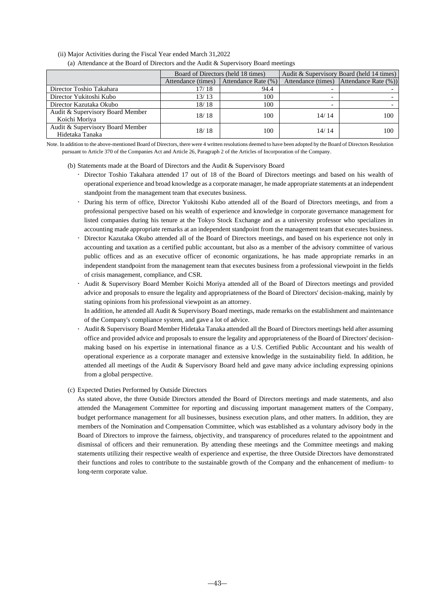- (ii) Major Activities during the Fiscal Year ended March 31,2022
	- (a) Attendance at the Board of Directors and the Audit & Supervisory Board meetings

|                                                     |                    | Board of Directors (held 18 times) | Audit & Supervisory Board (held 14 times) |                                         |  |
|-----------------------------------------------------|--------------------|------------------------------------|-------------------------------------------|-----------------------------------------|--|
|                                                     | Attendance (times) | Attendance Rate (%)                |                                           | Attendance (times) Attendance Rate (%)) |  |
| Director Toshio Takahara                            | 17/18              | 94.4                               |                                           |                                         |  |
| Director Yukitoshi Kubo                             | 13/13              | 100                                |                                           |                                         |  |
| Director Kazutaka Okubo                             | 18/18              | 100                                |                                           |                                         |  |
| Audit & Supervisory Board Member<br>Koichi Moriya   | 18/18              | 100                                | 14/14                                     | 100                                     |  |
| Audit & Supervisory Board Member<br>Hidetaka Tanaka | 18/18              | 100.                               | 14/14                                     | 100                                     |  |

Note. In addition to the above-mentioned Board of Directors, there were 4 written resolutions deemed to have been adopted by the Board of Directors Resolution pursuant to Article 370 of the Companies Act and Article 26, Paragraph 2 of the Articles of Incorporation of the Company.

#### (b) Statements made at the Board of Directors and the Audit & Supervisory Board

- Director Toshio Takahara attended 17 out of 18 of the Board of Directors meetings and based on his wealth of operational experience and broad knowledge as a corporate manager, he made appropriate statements at an independent standpoint from the management team that executes business.
- During his term of office, Director Yukitoshi Kubo attended all of the Board of Directors meetings, and from a professional perspective based on his wealth of experience and knowledge in corporate governance management for listed companies during his tenure at the Tokyo Stock Exchange and as a university professor who specializes in accounting made appropriate remarks at an independent standpoint from the management team that executes business.
- Director Kazutaka Okubo attended all of the Board of Directors meetings, and based on his experience not only in accounting and taxation as a certified public accountant, but also as a member of the advisory committee of various public offices and as an executive officer of economic organizations, he has made appropriate remarks in an independent standpoint from the management team that executes business from a professional viewpoint in the fields of crisis management, compliance, and CSR.
- Audit & Supervisory Board Member Koichi Moriya attended all of the Board of Directors meetings and provided advice and proposals to ensure the legality and appropriateness of the Board of Directors' decision-making, mainly by stating opinions from his professional viewpoint as an attorney.

In addition, he attended all Audit & Supervisory Board meetings, made remarks on the establishment and maintenance of the Company's compliance system, and gave a lot of advice.

 Audit & Supervisory Board Member Hidetaka Tanaka attended all the Board of Directors meetings held after assuming office and provided advice and proposals to ensure the legality and appropriateness of the Board of Directors' decisionmaking based on his expertise in international finance as a U.S. Certified Public Accountant and his wealth of operational experience as a corporate manager and extensive knowledge in the sustainability field. In addition, he attended all meetings of the Audit & Supervisory Board held and gave many advice including expressing opinions from a global perspective.

#### (c) Expected Duties Performed by Outside Directors

As stated above, the three Outside Directors attended the Board of Directors meetings and made statements, and also attended the Management Committee for reporting and discussing important management matters of the Company, budget performance management for all businesses, business execution plans, and other matters. In addition, they are members of the Nomination and Compensation Committee, which was established as a voluntary advisory body in the Board of Directors to improve the fairness, objectivity, and transparency of procedures related to the appointment and dismissal of officers and their remuneration. By attending these meetings and the Committee meetings and making statements utilizing their respective wealth of experience and expertise, the three Outside Directors have demonstrated their functions and roles to contribute to the sustainable growth of the Company and the enhancement of medium- to long-term corporate value.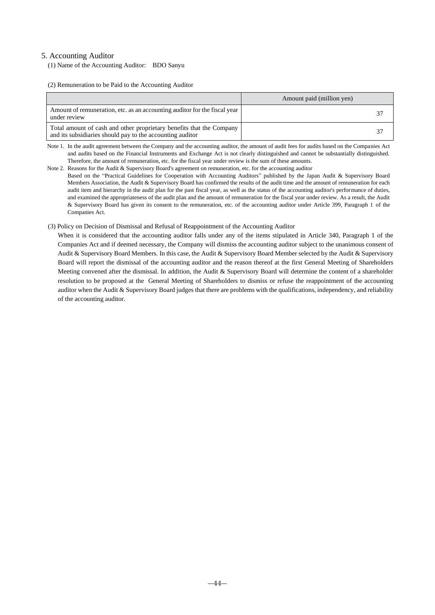## 5. Accounting Auditor

(1) Name of the Accounting Auditor: BDO Sanyu

(2) Remuneration to be Paid to the Accounting Auditor

|                                                                                                                                   | Amount paid (million yen) |
|-----------------------------------------------------------------------------------------------------------------------------------|---------------------------|
| Amount of remuneration, etc. as an accounting auditor for the fiscal year<br>under review                                         | 37                        |
| Total amount of cash and other proprietary benefits that the Company<br>and its subsidiaries should pay to the accounting auditor | 37                        |

Note 1. In the audit agreement between the Company and the accounting auditor, the amount of audit fees for audits based on the Companies Act and audits based on the Financial Instruments and Exchange Act is not clearly distinguished and cannot be substantially distinguished. Therefore, the amount of remuneration, etc. for the fiscal year under review is the sum of these amounts.

Note 2. Reasons for the Audit & Supervisory Board's agreement on remuneration, etc. for the accounting auditor

Based on the "Practical Guidelines for Cooperation with Accounting Auditors" published by the Japan Audit & Supervisory Board Members Association, the Audit & Supervisory Board has confirmed the results of the audit time and the amount of remuneration for each audit item and hierarchy in the audit plan for the past fiscal year, as well as the status of the accounting auditor's performance of duties, and examined the appropriateness of the audit plan and the amount of remuneration for the fiscal year under review. As a result, the Audit & Supervisory Board has given its consent to the remuneration, etc. of the accounting auditor under Article 399, Paragraph 1 of the Companies Act.

#### (3) Policy on Decision of Dismissal and Refusal of Reappointment of the Accounting Auditor

When it is considered that the accounting auditor falls under any of the items stipulated in Article 340, Paragraph 1 of the Companies Act and if deemed necessary, the Company will dismiss the accounting auditor subject to the unanimous consent of Audit & Supervisory Board Members. In this case, the Audit & Supervisory Board Member selected by the Audit & Supervisory Board will report the dismissal of the accounting auditor and the reason thereof at the first General Meeting of Shareholders Meeting convened after the dismissal. In addition, the Audit & Supervisory Board will determine the content of a shareholder resolution to be proposed at the General Meeting of Shareholders to dismiss or refuse the reappointment of the accounting auditor when the Audit & Supervisory Board judges that there are problems with the qualifications, independency, and reliability of the accounting auditor.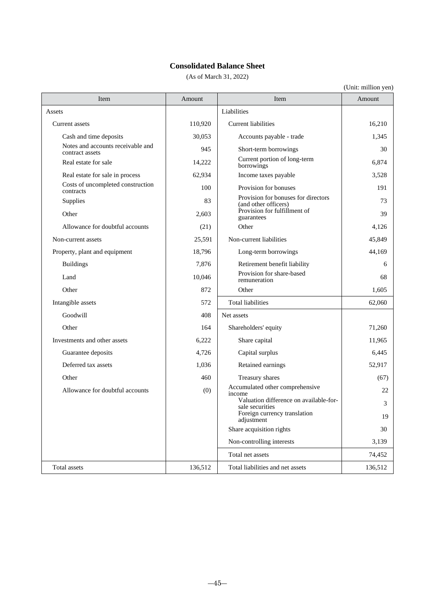## **Consolidated Balance Sheet**

(As of March 31, 2022)

| Item                                                 | Amount  | Item                                                        | Amount  |
|------------------------------------------------------|---------|-------------------------------------------------------------|---------|
| Assets                                               |         | Liabilities                                                 |         |
| Current assets                                       | 110,920 | <b>Current liabilities</b>                                  | 16,210  |
| Cash and time deposits                               | 30.053  | Accounts payable - trade                                    | 1.345   |
| Notes and accounts receivable and<br>contract assets | 945     | Short-term borrowings                                       | 30      |
| Real estate for sale                                 | 14,222  | Current portion of long-term<br>borrowings                  | 6,874   |
| Real estate for sale in process                      | 62,934  | Income taxes payable                                        | 3.528   |
| Costs of uncompleted construction<br>contracts       | 100     | Provision for bonuses                                       | 191     |
| Supplies                                             | 83      | Provision for bonuses for directors<br>(and other officers) | 73      |
| Other                                                | 2,603   | Provision for fulfillment of<br>guarantees                  | 39      |
| Allowance for doubtful accounts                      | (21)    | Other                                                       | 4.126   |
| Non-current assets                                   | 25,591  | Non-current liabilities                                     | 45,849  |
| Property, plant and equipment                        | 18,796  | Long-term borrowings                                        | 44,169  |
| <b>Buildings</b>                                     | 7,876   | Retirement benefit liability                                | 6       |
| Land                                                 | 10,046  | Provision for share-based<br>remuneration                   | 68      |
| Other                                                | 872     | Other                                                       | 1,605   |
| Intangible assets                                    | 572     | <b>Total liabilities</b>                                    | 62,060  |
| Goodwill                                             | 408     | Net assets                                                  |         |
| Other                                                | 164     | Shareholders' equity                                        | 71,260  |
| Investments and other assets                         | 6,222   | Share capital                                               | 11,965  |
| Guarantee deposits                                   | 4,726   | Capital surplus                                             | 6,445   |
| Deferred tax assets                                  | 1,036   | Retained earnings                                           | 52,917  |
| Other                                                | 460     | Treasury shares                                             | (67)    |
| Allowance for doubtful accounts                      | (0)     | Accumulated other comprehensive<br>income                   | 22      |
|                                                      |         | Valuation difference on available-for-<br>sale securities   | 3       |
|                                                      |         | Foreign currency translation<br>adjustment                  | 19      |
|                                                      |         | Share acquisition rights                                    | 30      |
|                                                      |         | Non-controlling interests                                   | 3,139   |
|                                                      |         | Total net assets                                            | 74,452  |
| Total assets                                         | 136,512 | Total liabilities and net assets                            | 136,512 |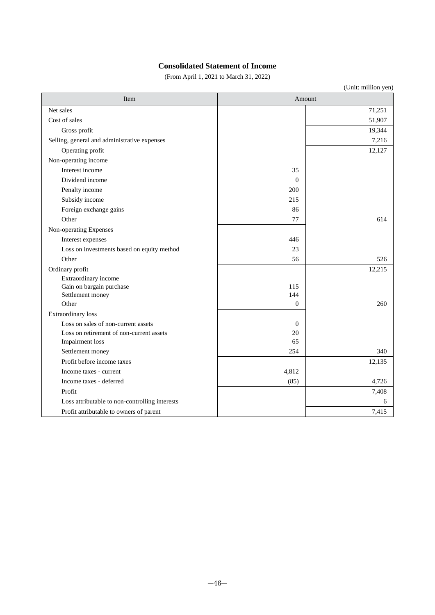## **Consolidated Statement of Income**

(From April 1, 2021 to March 31, 2022)

| Item                                                        |              | Amount |
|-------------------------------------------------------------|--------------|--------|
| Net sales                                                   |              | 71,251 |
| Cost of sales                                               |              | 51,907 |
| Gross profit                                                |              | 19,344 |
| Selling, general and administrative expenses                |              | 7,216  |
| Operating profit                                            |              | 12,127 |
| Non-operating income                                        |              |        |
| Interest income                                             | 35           |        |
| Dividend income                                             | $\theta$     |        |
| Penalty income                                              | 200          |        |
| Subsidy income                                              | 215          |        |
| Foreign exchange gains                                      | 86           |        |
| Other                                                       | 77           | 614    |
| Non-operating Expenses                                      |              |        |
| Interest expenses                                           | 446          |        |
| Loss on investments based on equity method                  | 23           |        |
| Other                                                       | 56           | 526    |
| Ordinary profit                                             |              | 12,215 |
| Extraordinary income                                        |              |        |
| Gain on bargain purchase                                    | 115          |        |
| Settlement money                                            | 144          |        |
| Other                                                       | $\Omega$     | 260    |
| Extraordinary loss                                          |              |        |
| Loss on sales of non-current assets                         | $\mathbf{0}$ |        |
| Loss on retirement of non-current assets<br>Impairment loss | 20<br>65     |        |
| Settlement money                                            | 254          | 340    |
| Profit before income taxes                                  |              | 12,135 |
|                                                             | 4,812        |        |
| Income taxes - current                                      |              |        |
| Income taxes - deferred                                     | (85)         | 4,726  |
| Profit                                                      |              | 7,408  |
| Loss attributable to non-controlling interests              |              | 6      |
| Profit attributable to owners of parent                     |              | 7,415  |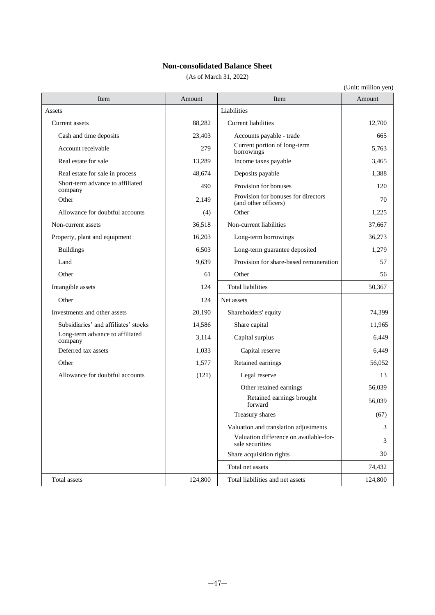## **Non-consolidated Balance Sheet**

(As of March 31, 2022)

| Item                                        | Amount  | Item                                                        | Amount  |
|---------------------------------------------|---------|-------------------------------------------------------------|---------|
| Assets                                      |         | Liabilities                                                 |         |
| Current assets                              | 88,282  | <b>Current liabilities</b>                                  | 12,700  |
| Cash and time deposits                      | 23,403  | Accounts payable - trade                                    | 665     |
| Account receivable                          | 279     | Current portion of long-term<br>borrowings                  | 5,763   |
| Real estate for sale                        | 13,289  | Income taxes payable                                        | 3,465   |
| Real estate for sale in process             | 48.674  | Deposits payable                                            | 1,388   |
| Short-term advance to affiliated<br>company | 490     | Provision for bonuses                                       | 120     |
| Other                                       | 2,149   | Provision for bonuses for directors<br>(and other officers) | 70      |
| Allowance for doubtful accounts             | (4)     | Other                                                       | 1,225   |
| Non-current assets                          | 36,518  | Non-current liabilities                                     | 37,667  |
| Property, plant and equipment               | 16,203  | Long-term borrowings                                        | 36,273  |
| <b>Buildings</b>                            | 6,503   | Long-term guarantee deposited                               | 1,279   |
| Land                                        | 9,639   | Provision for share-based remuneration                      | 57      |
| Other                                       | 61      | Other                                                       | 56      |
| Intangible assets                           | 124     | <b>Total liabilities</b>                                    | 50,367  |
| Other                                       | 124     | Net assets                                                  |         |
| Investments and other assets                | 20,190  | Shareholders' equity                                        | 74,399  |
| Subsidiaries' and affiliates' stocks        | 14,586  | Share capital                                               | 11,965  |
| Long-term advance to affiliated<br>company  | 3,114   | Capital surplus                                             | 6,449   |
| Deferred tax assets                         | 1,033   | Capital reserve                                             | 6,449   |
| Other                                       | 1,577   | Retained earnings                                           | 56,052  |
| Allowance for doubtful accounts             | (121)   | Legal reserve                                               | 13      |
|                                             |         | Other retained earnings                                     | 56,039  |
|                                             |         | Retained earnings brought<br>forward                        | 56,039  |
|                                             |         | Treasury shares                                             | (67)    |
|                                             |         | Valuation and translation adjustments                       | 3       |
|                                             |         | Valuation difference on available-for-<br>sale securities   | 3       |
|                                             |         | Share acquisition rights                                    | 30      |
|                                             |         | Total net assets                                            | 74,432  |
| Total assets                                | 124,800 | Total liabilities and net assets                            | 124,800 |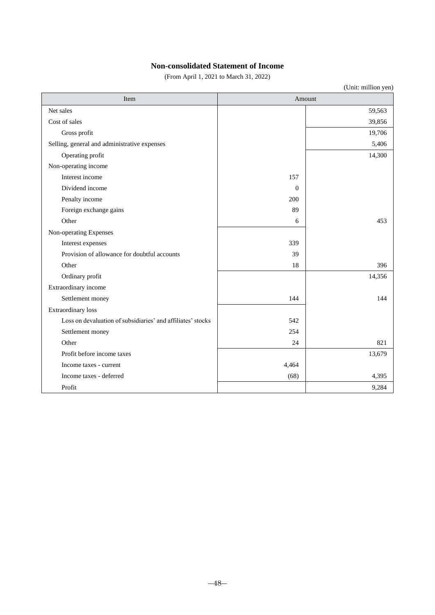## **Non-consolidated Statement of Income**

(From April 1, 2021 to March 31, 2022)

| Item                                                        |          | Amount |
|-------------------------------------------------------------|----------|--------|
| Net sales                                                   |          | 59,563 |
| Cost of sales                                               |          | 39,856 |
| Gross profit                                                |          | 19,706 |
| Selling, general and administrative expenses                |          | 5,406  |
| Operating profit                                            |          | 14,300 |
| Non-operating income                                        |          |        |
| Interest income                                             | 157      |        |
| Dividend income                                             | $\theta$ |        |
| Penalty income                                              | 200      |        |
| Foreign exchange gains                                      | 89       |        |
| Other                                                       | 6        | 453    |
| Non-operating Expenses                                      |          |        |
| Interest expenses                                           | 339      |        |
| Provision of allowance for doubtful accounts                | 39       |        |
| Other                                                       | 18       | 396    |
| Ordinary profit                                             |          | 14,356 |
| Extraordinary income                                        |          |        |
| Settlement money                                            | 144      | 144    |
| <b>Extraordinary</b> loss                                   |          |        |
| Loss on devaluation of subsidiaries' and affiliates' stocks | 542      |        |
| Settlement money                                            | 254      |        |
| Other                                                       | 24       | 821    |
| Profit before income taxes                                  |          | 13,679 |
| Income taxes - current                                      | 4,464    |        |
| Income taxes - deferred                                     | (68)     | 4,395  |
| Profit                                                      |          | 9,284  |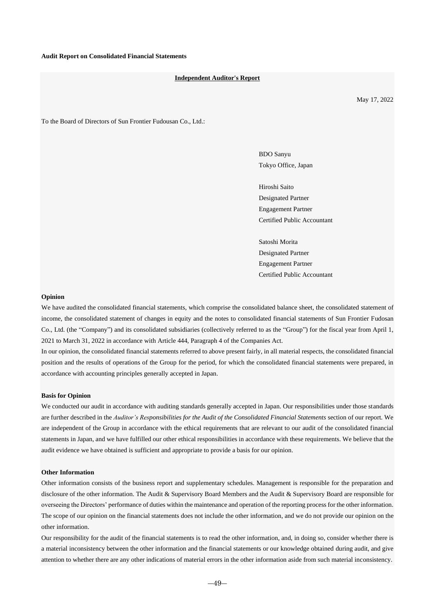#### **Independent Auditor's Report**

May 17, 2022

To the Board of Directors of Sun Frontier Fudousan Co., Ltd.:

BDO Sanyu Tokyo Office, Japan

Hiroshi Saito Designated Partner Engagement Partner Certified Public Accountant

Satoshi Morita Designated Partner Engagement Partner Certified Public Accountant

#### **Opinion**

We have audited the consolidated financial statements, which comprise the consolidated balance sheet, the consolidated statement of income, the consolidated statement of changes in equity and the notes to consolidated financial statements of Sun Frontier Fudosan Co., Ltd. (the "Company") and its consolidated subsidiaries (collectively referred to as the "Group") for the fiscal year from April 1, 2021 to March 31, 2022 in accordance with Article 444, Paragraph 4 of the Companies Act.

In our opinion, the consolidated financial statements referred to above present fairly, in all material respects, the consolidated financial position and the results of operations of the Group for the period, for which the consolidated financial statements were prepared, in accordance with accounting principles generally accepted in Japan.

#### **Basis for Opinion**

We conducted our audit in accordance with auditing standards generally accepted in Japan. Our responsibilities under those standards are further described in the *Auditor's Responsibilities for the Audit of the Consolidated Financial Statements* section of our report. We are independent of the Group in accordance with the ethical requirements that are relevant to our audit of the consolidated financial statements in Japan, and we have fulfilled our other ethical responsibilities in accordance with these requirements. We believe that the audit evidence we have obtained is sufficient and appropriate to provide a basis for our opinion.

#### **Other Information**

Other information consists of the business report and supplementary schedules. Management is responsible for the preparation and disclosure of the other information. The Audit & Supervisory Board Members and the Audit & Supervisory Board are responsible for overseeing the Directors' performance of duties within the maintenance and operation of the reporting process for the other information. The scope of our opinion on the financial statements does not include the other information, and we do not provide our opinion on the other information.

Our responsibility for the audit of the financial statements is to read the other information, and, in doing so, consider whether there is a material inconsistency between the other information and the financial statements or our knowledge obtained during audit, and give attention to whether there are any other indications of material errors in the other information aside from such material inconsistency.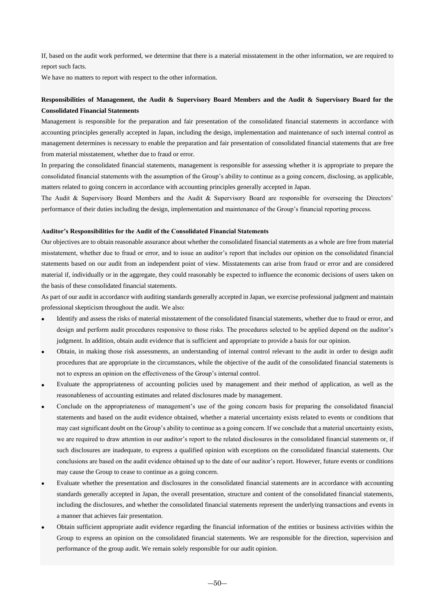If, based on the audit work performed, we determine that there is a material misstatement in the other information, we are required to report such facts.

We have no matters to report with respect to the other information.

## **Responsibilities of Management, the Audit & Supervisory Board Members and the Audit & Supervisory Board for the Consolidated Financial Statements**

Management is responsible for the preparation and fair presentation of the consolidated financial statements in accordance with accounting principles generally accepted in Japan, including the design, implementation and maintenance of such internal control as management determines is necessary to enable the preparation and fair presentation of consolidated financial statements that are free from material misstatement, whether due to fraud or error.

In preparing the consolidated financial statements, management is responsible for assessing whether it is appropriate to prepare the consolidated financial statements with the assumption of the Group's ability to continue as a going concern, disclosing, as applicable, matters related to going concern in accordance with accounting principles generally accepted in Japan.

The Audit & Supervisory Board Members and the Audit & Supervisory Board are responsible for overseeing the Directors' performance of their duties including the design, implementation and maintenance of the Group's financial reporting process.

#### **Auditor's Responsibilities for the Audit of the Consolidated Financial Statements**

Our objectives are to obtain reasonable assurance about whether the consolidated financial statements as a whole are free from material misstatement, whether due to fraud or error, and to issue an auditor's report that includes our opinion on the consolidated financial statements based on our audit from an independent point of view. Misstatements can arise from fraud or error and are considered material if, individually or in the aggregate, they could reasonably be expected to influence the economic decisions of users taken on the basis of these consolidated financial statements.

As part of our audit in accordance with auditing standards generally accepted in Japan, we exercise professional judgment and maintain professional skepticism throughout the audit. We also:

- Identify and assess the risks of material misstatement of the consolidated financial statements, whether due to fraud or error, and design and perform audit procedures responsive to those risks. The procedures selected to be applied depend on the auditor's judgment. In addition, obtain audit evidence that is sufficient and appropriate to provide a basis for our opinion.
- Obtain, in making those risk assessments, an understanding of internal control relevant to the audit in order to design audit procedures that are appropriate in the circumstances, while the objective of the audit of the consolidated financial statements is not to express an opinion on the effectiveness of the Group's internal control.
- Evaluate the appropriateness of accounting policies used by management and their method of application, as well as the reasonableness of accounting estimates and related disclosures made by management.
- Conclude on the appropriateness of management's use of the going concern basis for preparing the consolidated financial statements and based on the audit evidence obtained, whether a material uncertainty exists related to events or conditions that may cast significant doubt on the Group's ability to continue as a going concern. If we conclude that a material uncertainty exists, we are required to draw attention in our auditor's report to the related disclosures in the consolidated financial statements or, if such disclosures are inadequate, to express a qualified opinion with exceptions on the consolidated financial statements. Our conclusions are based on the audit evidence obtained up to the date of our auditor's report. However, future events or conditions may cause the Group to cease to continue as a going concern.
- Evaluate whether the presentation and disclosures in the consolidated financial statements are in accordance with accounting standards generally accepted in Japan, the overall presentation, structure and content of the consolidated financial statements, including the disclosures, and whether the consolidated financial statements represent the underlying transactions and events in a manner that achieves fair presentation.
- Obtain sufficient appropriate audit evidence regarding the financial information of the entities or business activities within the Group to express an opinion on the consolidated financial statements. We are responsible for the direction, supervision and performance of the group audit. We remain solely responsible for our audit opinion.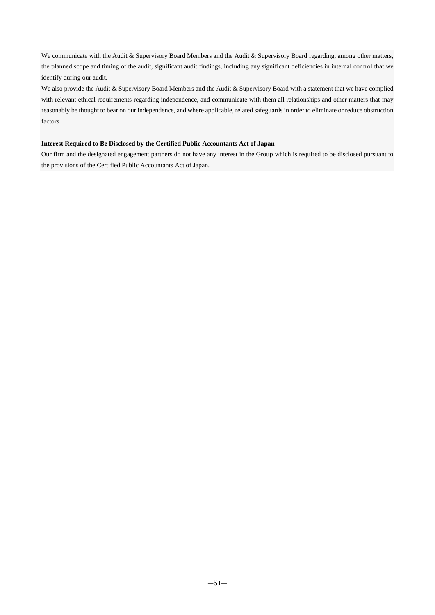We communicate with the Audit & Supervisory Board Members and the Audit & Supervisory Board regarding, among other matters, the planned scope and timing of the audit, significant audit findings, including any significant deficiencies in internal control that we identify during our audit.

We also provide the Audit & Supervisory Board Members and the Audit & Supervisory Board with a statement that we have complied with relevant ethical requirements regarding independence, and communicate with them all relationships and other matters that may reasonably be thought to bear on our independence, and where applicable, related safeguards in order to eliminate or reduce obstruction factors.

## **Interest Required to Be Disclosed by the Certified Public Accountants Act of Japan**

Our firm and the designated engagement partners do not have any interest in the Group which is required to be disclosed pursuant to the provisions of the Certified Public Accountants Act of Japan.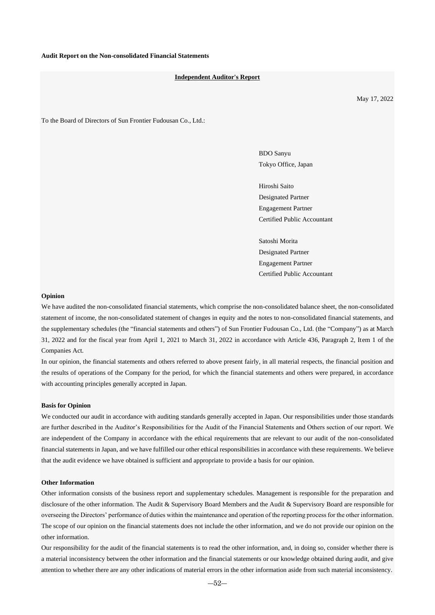#### **Independent Auditor's Report**

May 17, 2022

To the Board of Directors of Sun Frontier Fudousan Co., Ltd.:

BDO Sanyu Tokyo Office, Japan

Hiroshi Saito Designated Partner Engagement Partner Certified Public Accountant

Satoshi Morita Designated Partner Engagement Partner Certified Public Accountant

#### **Opinion**

We have audited the non-consolidated financial statements, which comprise the non-consolidated balance sheet, the non-consolidated statement of income, the non-consolidated statement of changes in equity and the notes to non-consolidated financial statements, and the supplementary schedules (the "financial statements and others") of Sun Frontier Fudousan Co., Ltd. (the "Company") as at March 31, 2022 and for the fiscal year from April 1, 2021 to March 31, 2022 in accordance with Article 436, Paragraph 2, Item 1 of the Companies Act.

In our opinion, the financial statements and others referred to above present fairly, in all material respects, the financial position and the results of operations of the Company for the period, for which the financial statements and others were prepared, in accordance with accounting principles generally accepted in Japan.

#### **Basis for Opinion**

We conducted our audit in accordance with auditing standards generally accepted in Japan. Our responsibilities under those standards are further described in the Auditor's Responsibilities for the Audit of the Financial Statements and Others section of our report. We are independent of the Company in accordance with the ethical requirements that are relevant to our audit of the non-consolidated financial statements in Japan, and we have fulfilled our other ethical responsibilities in accordance with these requirements. We believe that the audit evidence we have obtained is sufficient and appropriate to provide a basis for our opinion.

#### **Other Information**

Other information consists of the business report and supplementary schedules. Management is responsible for the preparation and disclosure of the other information. The Audit & Supervisory Board Members and the Audit & Supervisory Board are responsible for overseeing the Directors' performance of duties within the maintenance and operation of the reporting process for the other information. The scope of our opinion on the financial statements does not include the other information, and we do not provide our opinion on the other information.

Our responsibility for the audit of the financial statements is to read the other information, and, in doing so, consider whether there is a material inconsistency between the other information and the financial statements or our knowledge obtained during audit, and give attention to whether there are any other indications of material errors in the other information aside from such material inconsistency.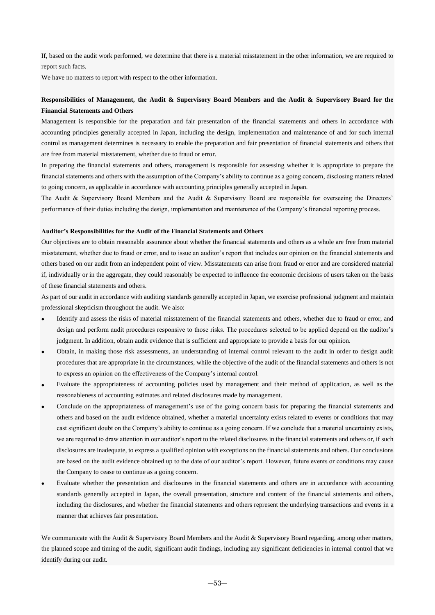If, based on the audit work performed, we determine that there is a material misstatement in the other information, we are required to report such facts.

We have no matters to report with respect to the other information.

## **Responsibilities of Management, the Audit & Supervisory Board Members and the Audit & Supervisory Board for the Financial Statements and Others**

Management is responsible for the preparation and fair presentation of the financial statements and others in accordance with accounting principles generally accepted in Japan, including the design, implementation and maintenance of and for such internal control as management determines is necessary to enable the preparation and fair presentation of financial statements and others that are free from material misstatement, whether due to fraud or error.

In preparing the financial statements and others, management is responsible for assessing whether it is appropriate to prepare the financial statements and others with the assumption of the Company's ability to continue as a going concern, disclosing matters related to going concern, as applicable in accordance with accounting principles generally accepted in Japan.

The Audit & Supervisory Board Members and the Audit & Supervisory Board are responsible for overseeing the Directors' performance of their duties including the design, implementation and maintenance of the Company's financial reporting process.

#### **Auditor's Responsibilities for the Audit of the Financial Statements and Others**

Our objectives are to obtain reasonable assurance about whether the financial statements and others as a whole are free from material misstatement, whether due to fraud or error, and to issue an auditor's report that includes our opinion on the financial statements and others based on our audit from an independent point of view. Misstatements can arise from fraud or error and are considered material if, individually or in the aggregate, they could reasonably be expected to influence the economic decisions of users taken on the basis of these financial statements and others.

As part of our audit in accordance with auditing standards generally accepted in Japan, we exercise professional judgment and maintain professional skepticism throughout the audit. We also:

- Identify and assess the risks of material misstatement of the financial statements and others, whether due to fraud or error, and design and perform audit procedures responsive to those risks. The procedures selected to be applied depend on the auditor's judgment. In addition, obtain audit evidence that is sufficient and appropriate to provide a basis for our opinion.
- Obtain, in making those risk assessments, an understanding of internal control relevant to the audit in order to design audit procedures that are appropriate in the circumstances, while the objective of the audit of the financial statements and others is not to express an opinion on the effectiveness of the Company's internal control.
- Evaluate the appropriateness of accounting policies used by management and their method of application, as well as the reasonableness of accounting estimates and related disclosures made by management.
- Conclude on the appropriateness of management's use of the going concern basis for preparing the financial statements and others and based on the audit evidence obtained, whether a material uncertainty exists related to events or conditions that may cast significant doubt on the Company's ability to continue as a going concern. If we conclude that a material uncertainty exists, we are required to draw attention in our auditor's report to the related disclosures in the financial statements and others or, if such disclosures are inadequate, to express a qualified opinion with exceptions on the financial statements and others. Our conclusions are based on the audit evidence obtained up to the date of our auditor's report. However, future events or conditions may cause the Company to cease to continue as a going concern.
- Evaluate whether the presentation and disclosures in the financial statements and others are in accordance with accounting standards generally accepted in Japan, the overall presentation, structure and content of the financial statements and others, including the disclosures, and whether the financial statements and others represent the underlying transactions and events in a manner that achieves fair presentation.

We communicate with the Audit & Supervisory Board Members and the Audit & Supervisory Board regarding, among other matters, the planned scope and timing of the audit, significant audit findings, including any significant deficiencies in internal control that we identify during our audit.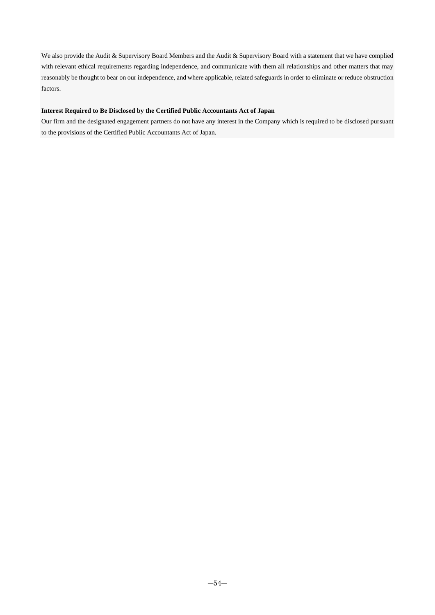We also provide the Audit & Supervisory Board Members and the Audit & Supervisory Board with a statement that we have complied with relevant ethical requirements regarding independence, and communicate with them all relationships and other matters that may reasonably be thought to bear on our independence, and where applicable, related safeguards in order to eliminate or reduce obstruction factors.

### **Interest Required to Be Disclosed by the Certified Public Accountants Act of Japan**

Our firm and the designated engagement partners do not have any interest in the Company which is required to be disclosed pursuant to the provisions of the Certified Public Accountants Act of Japan.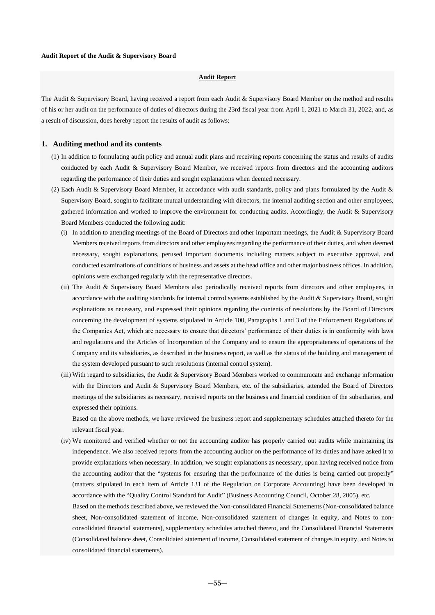## **Audit Report**

The Audit & Supervisory Board, having received a report from each Audit & Supervisory Board Member on the method and results of his or her audit on the performance of duties of directors during the 23rd fiscal year from April 1, 2021 to March 31, 2022, and, as a result of discussion, does hereby report the results of audit as follows:

### **1. Auditing method and its contents**

- (1) In addition to formulating audit policy and annual audit plans and receiving reports concerning the status and results of audits conducted by each Audit & Supervisory Board Member, we received reports from directors and the accounting auditors regarding the performance of their duties and sought explanations when deemed necessary.
- (2) Each Audit & Supervisory Board Member, in accordance with audit standards, policy and plans formulated by the Audit & Supervisory Board, sought to facilitate mutual understanding with directors, the internal auditing section and other employees, gathered information and worked to improve the environment for conducting audits. Accordingly, the Audit & Supervisory Board Members conducted the following audit:
	- (i) In addition to attending meetings of the Board of Directors and other important meetings, the Audit  $\&$  Supervisory Board Members received reports from directors and other employees regarding the performance of their duties, and when deemed necessary, sought explanations, perused important documents including matters subject to executive approval, and conducted examinations of conditions of business and assets at the head office and other major business offices. In addition, opinions were exchanged regularly with the representative directors.
	- (ii) The Audit & Supervisory Board Members also periodically received reports from directors and other employees, in accordance with the auditing standards for internal control systems established by the Audit & Supervisory Board, sought explanations as necessary, and expressed their opinions regarding the contents of resolutions by the Board of Directors concerning the development of systems stipulated in Article 100, Paragraphs 1 and 3 of the Enforcement Regulations of the Companies Act, which are necessary to ensure that directors' performance of their duties is in conformity with laws and regulations and the Articles of Incorporation of the Company and to ensure the appropriateness of operations of the Company and its subsidiaries, as described in the business report, as well as the status of the building and management of the system developed pursuant to such resolutions (internal control system).
	- (iii) With regard to subsidiaries, the Audit & Supervisory Board Members worked to communicate and exchange information with the Directors and Audit & Supervisory Board Members, etc. of the subsidiaries, attended the Board of Directors meetings of the subsidiaries as necessary, received reports on the business and financial condition of the subsidiaries, and expressed their opinions.

Based on the above methods, we have reviewed the business report and supplementary schedules attached thereto for the relevant fiscal year.

(iv) We monitored and verified whether or not the accounting auditor has properly carried out audits while maintaining its independence. We also received reports from the accounting auditor on the performance of its duties and have asked it to provide explanations when necessary. In addition, we sought explanations as necessary, upon having received notice from the accounting auditor that the "systems for ensuring that the performance of the duties is being carried out properly" (matters stipulated in each item of Article 131 of the Regulation on Corporate Accounting) have been developed in accordance with the "Quality Control Standard for Audit" (Business Accounting Council, October 28, 2005), etc.

Based on the methods described above, we reviewed the Non-consolidated Financial Statements (Non-consolidated balance sheet, Non-consolidated statement of income, Non-consolidated statement of changes in equity, and Notes to nonconsolidated financial statements), supplementary schedules attached thereto, and the Consolidated Financial Statements (Consolidated balance sheet, Consolidated statement of income, Consolidated statement of changes in equity, and Notes to consolidated financial statements).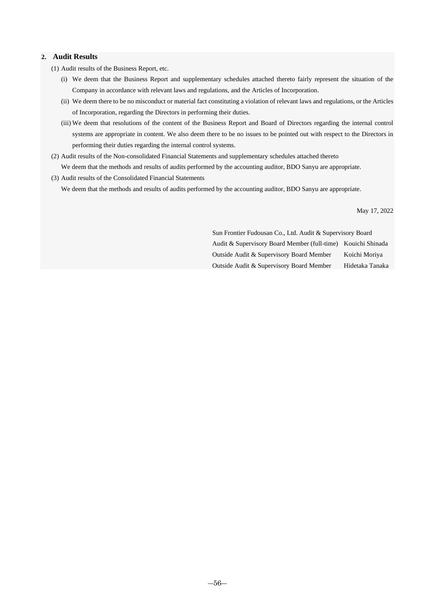## **2. Audit Results**

- (1) Audit results of the Business Report, etc.
	- (i) We deem that the Business Report and supplementary schedules attached thereto fairly represent the situation of the Company in accordance with relevant laws and regulations, and the Articles of Incorporation.
	- (ii) We deem there to be no misconduct or material fact constituting a violation of relevant laws and regulations, or the Articles of Incorporation, regarding the Directors in performing their duties.
	- (iii) We deem that resolutions of the content of the Business Report and Board of Directors regarding the internal control systems are appropriate in content. We also deem there to be no issues to be pointed out with respect to the Directors in performing their duties regarding the internal control systems.
- (2) Audit results of the Non-consolidated Financial Statements and supplementary schedules attached thereto We deem that the methods and results of audits performed by the accounting auditor, BDO Sanyu are appropriate.
- (3) Audit results of the Consolidated Financial Statements

We deem that the methods and results of audits performed by the accounting auditor, BDO Sanyu are appropriate.

May 17, 2022

Sun Frontier Fudousan Co., Ltd. Audit & Supervisory Board Audit & Supervisory Board Member (full-time) Kouichi Shinada Outside Audit & Supervisory Board Member Koichi Moriya Outside Audit & Supervisory Board Member Hidetaka Tanaka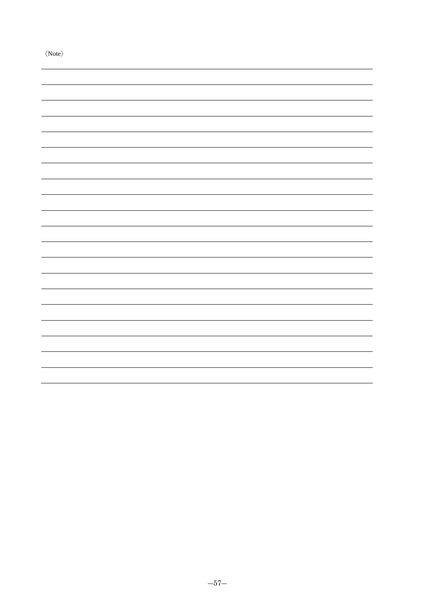〈Note〉